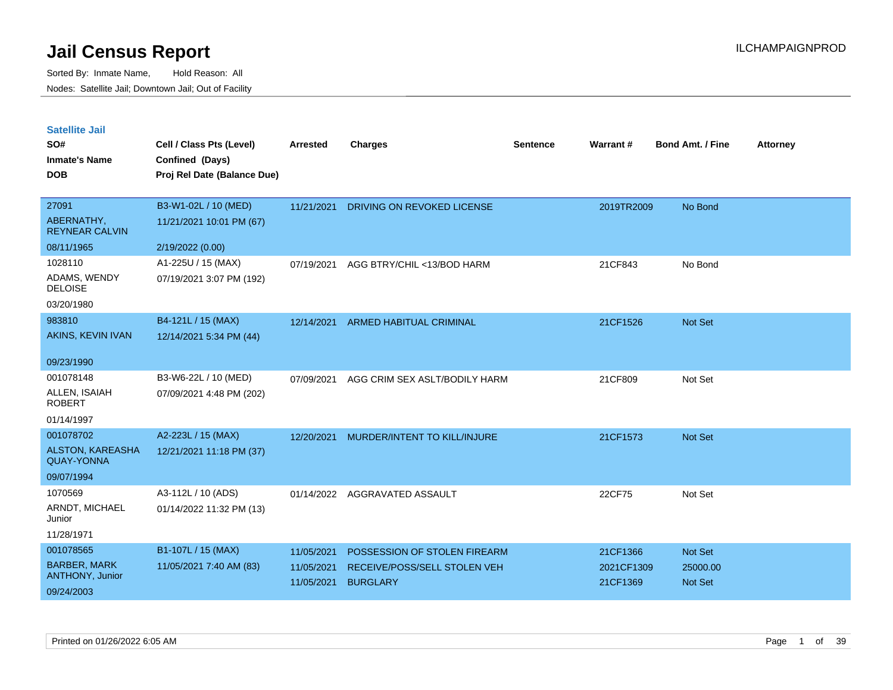| <b>Satellite Jail</b> |  |
|-----------------------|--|
|                       |  |

| SO#<br><b>Inmate's Name</b><br><b>DOB</b> | Cell / Class Pts (Level)<br>Confined (Days)<br>Proj Rel Date (Balance Due) | Arrested   | <b>Charges</b>                 | Sentence | Warrant#   | <b>Bond Amt. / Fine</b> | <b>Attorney</b> |
|-------------------------------------------|----------------------------------------------------------------------------|------------|--------------------------------|----------|------------|-------------------------|-----------------|
| 27091                                     | B3-W1-02L / 10 (MED)                                                       | 11/21/2021 | DRIVING ON REVOKED LICENSE     |          | 2019TR2009 | No Bond                 |                 |
| ABERNATHY,<br><b>REYNEAR CALVIN</b>       | 11/21/2021 10:01 PM (67)                                                   |            |                                |          |            |                         |                 |
| 08/11/1965                                | 2/19/2022 (0.00)                                                           |            |                                |          |            |                         |                 |
| 1028110                                   | A1-225U / 15 (MAX)                                                         | 07/19/2021 | AGG BTRY/CHIL <13/BOD HARM     |          | 21CF843    | No Bond                 |                 |
| ADAMS, WENDY<br><b>DELOISE</b>            | 07/19/2021 3:07 PM (192)                                                   |            |                                |          |            |                         |                 |
| 03/20/1980                                |                                                                            |            |                                |          |            |                         |                 |
| 983810                                    | B4-121L / 15 (MAX)                                                         | 12/14/2021 | <b>ARMED HABITUAL CRIMINAL</b> |          | 21CF1526   | Not Set                 |                 |
| AKINS, KEVIN IVAN                         | 12/14/2021 5:34 PM (44)                                                    |            |                                |          |            |                         |                 |
| 09/23/1990                                |                                                                            |            |                                |          |            |                         |                 |
| 001078148                                 | B3-W6-22L / 10 (MED)                                                       | 07/09/2021 | AGG CRIM SEX ASLT/BODILY HARM  |          | 21CF809    | Not Set                 |                 |
| ALLEN, ISAIAH<br><b>ROBERT</b>            | 07/09/2021 4:48 PM (202)                                                   |            |                                |          |            |                         |                 |
| 01/14/1997                                |                                                                            |            |                                |          |            |                         |                 |
| 001078702                                 | A2-223L / 15 (MAX)                                                         | 12/20/2021 | MURDER/INTENT TO KILL/INJURE   |          | 21CF1573   | <b>Not Set</b>          |                 |
| ALSTON, KAREASHA<br><b>QUAY-YONNA</b>     | 12/21/2021 11:18 PM (37)                                                   |            |                                |          |            |                         |                 |
| 09/07/1994                                |                                                                            |            |                                |          |            |                         |                 |
| 1070569                                   | A3-112L / 10 (ADS)                                                         | 01/14/2022 | AGGRAVATED ASSAULT             |          | 22CF75     | Not Set                 |                 |
| ARNDT, MICHAEL<br>Junior                  | 01/14/2022 11:32 PM (13)                                                   |            |                                |          |            |                         |                 |
| 11/28/1971                                |                                                                            |            |                                |          |            |                         |                 |
| 001078565                                 | B1-107L / 15 (MAX)                                                         | 11/05/2021 | POSSESSION OF STOLEN FIREARM   |          | 21CF1366   | <b>Not Set</b>          |                 |
| <b>BARBER, MARK</b>                       | 11/05/2021 7:40 AM (83)                                                    | 11/05/2021 | RECEIVE/POSS/SELL STOLEN VEH   |          | 2021CF1309 | 25000.00                |                 |
| ANTHONY, Junior<br>09/24/2003             |                                                                            | 11/05/2021 | <b>BURGLARY</b>                |          | 21CF1369   | <b>Not Set</b>          |                 |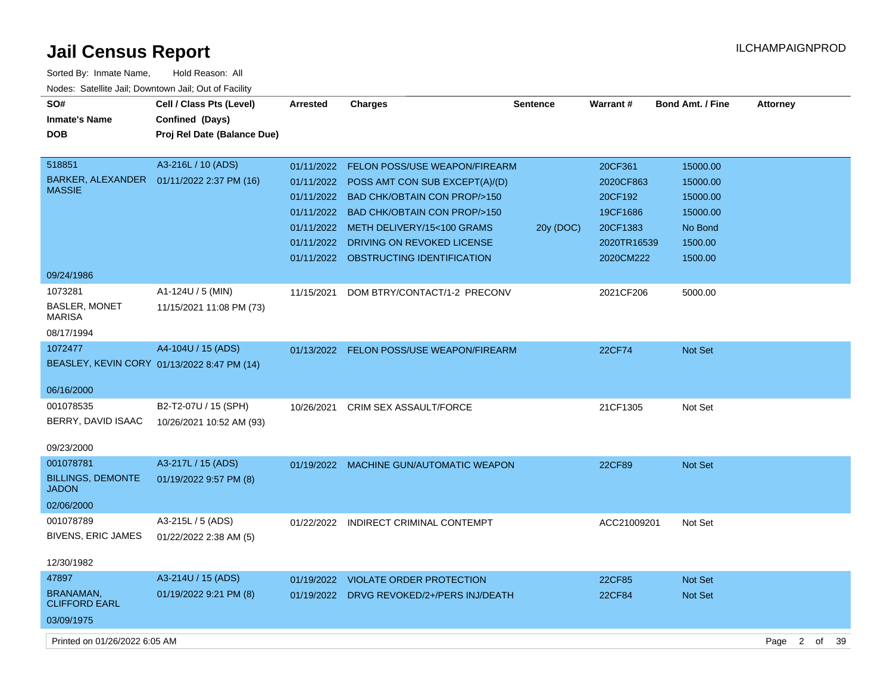| Sorted By: Inmate Name,                               | Hold Reason: All                            |                 |                                           |                 |             |                  |                 |
|-------------------------------------------------------|---------------------------------------------|-----------------|-------------------------------------------|-----------------|-------------|------------------|-----------------|
| Nodes: Satellite Jail; Downtown Jail; Out of Facility |                                             |                 |                                           |                 |             |                  |                 |
| SO#                                                   | Cell / Class Pts (Level)                    | <b>Arrested</b> | <b>Charges</b>                            | <b>Sentence</b> | Warrant#    | Bond Amt. / Fine | <b>Attorney</b> |
| <b>Inmate's Name</b>                                  | Confined (Days)                             |                 |                                           |                 |             |                  |                 |
| <b>DOB</b>                                            | Proj Rel Date (Balance Due)                 |                 |                                           |                 |             |                  |                 |
|                                                       |                                             |                 |                                           |                 |             |                  |                 |
| 518851                                                | A3-216L / 10 (ADS)                          | 01/11/2022      | <b>FELON POSS/USE WEAPON/FIREARM</b>      |                 | 20CF361     | 15000.00         |                 |
| BARKER, ALEXANDER                                     | 01/11/2022 2:37 PM (16)                     |                 | 01/11/2022 POSS AMT CON SUB EXCEPT(A)/(D) |                 | 2020CF863   | 15000.00         |                 |
| <b>MASSIE</b>                                         |                                             |                 | 01/11/2022 BAD CHK/OBTAIN CON PROP/>150   |                 | 20CF192     | 15000.00         |                 |
|                                                       |                                             |                 | 01/11/2022 BAD CHK/OBTAIN CON PROP/>150   |                 | 19CF1686    | 15000.00         |                 |
|                                                       |                                             |                 | 01/11/2022 METH DELIVERY/15<100 GRAMS     | 20y (DOC)       | 20CF1383    | No Bond          |                 |
|                                                       |                                             |                 | 01/11/2022 DRIVING ON REVOKED LICENSE     |                 | 2020TR16539 | 1500.00          |                 |
|                                                       |                                             |                 | 01/11/2022 OBSTRUCTING IDENTIFICATION     |                 | 2020CM222   | 1500.00          |                 |
| 09/24/1986                                            |                                             |                 |                                           |                 |             |                  |                 |
| 1073281                                               | A1-124U / 5 (MIN)                           | 11/15/2021      | DOM BTRY/CONTACT/1-2 PRECONV              |                 | 2021CF206   | 5000.00          |                 |
| <b>BASLER, MONET</b><br><b>MARISA</b>                 | 11/15/2021 11:08 PM (73)                    |                 |                                           |                 |             |                  |                 |
| 08/17/1994                                            |                                             |                 |                                           |                 |             |                  |                 |
| 1072477                                               | A4-104U / 15 (ADS)                          |                 | 01/13/2022 FELON POSS/USE WEAPON/FIREARM  |                 | 22CF74      | Not Set          |                 |
|                                                       | BEASLEY, KEVIN CORY 01/13/2022 8:47 PM (14) |                 |                                           |                 |             |                  |                 |
|                                                       |                                             |                 |                                           |                 |             |                  |                 |
| 06/16/2000                                            |                                             |                 |                                           |                 |             |                  |                 |
| 001078535                                             | B2-T2-07U / 15 (SPH)                        | 10/26/2021      | <b>CRIM SEX ASSAULT/FORCE</b>             |                 | 21CF1305    | Not Set          |                 |
| BERRY, DAVID ISAAC                                    | 10/26/2021 10:52 AM (93)                    |                 |                                           |                 |             |                  |                 |
| 09/23/2000                                            |                                             |                 |                                           |                 |             |                  |                 |
| 001078781                                             | A3-217L / 15 (ADS)                          | 01/19/2022      | <b>MACHINE GUN/AUTOMATIC WEAPON</b>       |                 | 22CF89      | <b>Not Set</b>   |                 |
| <b>BILLINGS, DEMONTE</b><br><b>JADON</b>              | 01/19/2022 9:57 PM (8)                      |                 |                                           |                 |             |                  |                 |
| 02/06/2000                                            |                                             |                 |                                           |                 |             |                  |                 |
| 001078789                                             | A3-215L / 5 (ADS)                           | 01/22/2022      | INDIRECT CRIMINAL CONTEMPT                |                 | ACC21009201 | Not Set          |                 |
| <b>BIVENS, ERIC JAMES</b>                             | 01/22/2022 2:38 AM (5)                      |                 |                                           |                 |             |                  |                 |
|                                                       |                                             |                 |                                           |                 |             |                  |                 |
| 12/30/1982                                            |                                             |                 |                                           |                 |             |                  |                 |
| 47897                                                 | A3-214U / 15 (ADS)                          | 01/19/2022      | <b>VIOLATE ORDER PROTECTION</b>           |                 | 22CF85      | <b>Not Set</b>   |                 |
| <b>BRANAMAN,</b><br><b>CLIFFORD EARL</b>              | 01/19/2022 9:21 PM (8)                      | 01/19/2022      | DRVG REVOKED/2+/PERS INJ/DEATH            |                 | 22CF84      | Not Set          |                 |
| 03/09/1975                                            |                                             |                 |                                           |                 |             |                  |                 |
|                                                       |                                             |                 |                                           |                 |             |                  |                 |

Printed on 01/26/2022 6:05 AM Page 2 of 39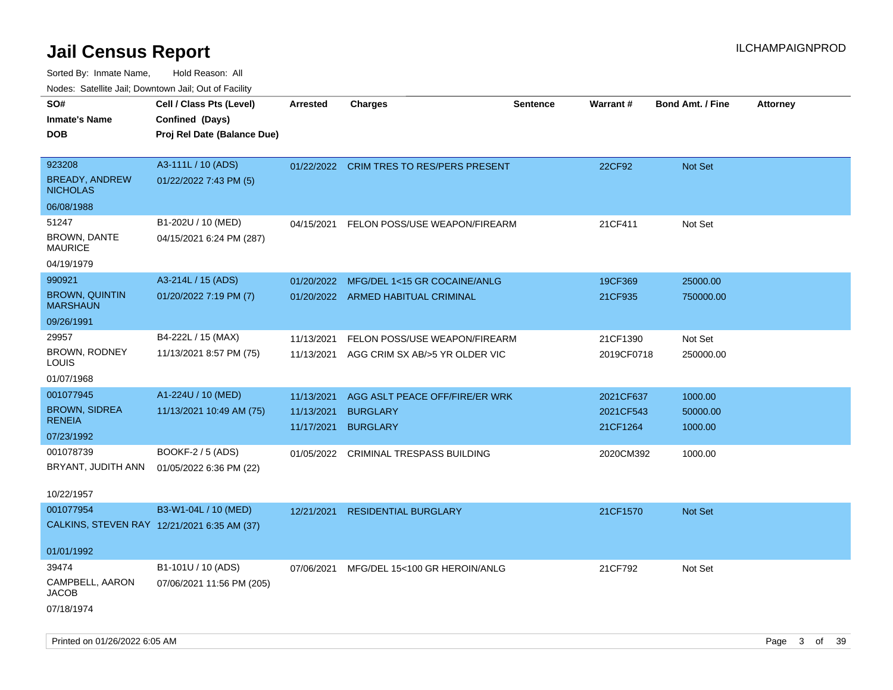| ivouss. Satellite Jali, Downtown Jali, Out of Facility |                                             |                 |                                          |                 |            |                         |                 |
|--------------------------------------------------------|---------------------------------------------|-----------------|------------------------------------------|-----------------|------------|-------------------------|-----------------|
| SO#                                                    | Cell / Class Pts (Level)                    | <b>Arrested</b> | Charges                                  | <b>Sentence</b> | Warrant#   | <b>Bond Amt. / Fine</b> | <b>Attorney</b> |
| Inmate's Name                                          | Confined (Days)                             |                 |                                          |                 |            |                         |                 |
| DOB                                                    | Proj Rel Date (Balance Due)                 |                 |                                          |                 |            |                         |                 |
|                                                        |                                             |                 |                                          |                 |            |                         |                 |
| 923208                                                 | A3-111L / 10 (ADS)                          |                 | 01/22/2022 CRIM TRES TO RES/PERS PRESENT |                 | 22CF92     | Not Set                 |                 |
| <b>BREADY, ANDREW</b><br><b>NICHOLAS</b>               | 01/22/2022 7:43 PM (5)                      |                 |                                          |                 |            |                         |                 |
| 06/08/1988                                             |                                             |                 |                                          |                 |            |                         |                 |
| 51247                                                  | B1-202U / 10 (MED)                          | 04/15/2021      | FELON POSS/USE WEAPON/FIREARM            |                 | 21CF411    | Not Set                 |                 |
| <b>BROWN, DANTE</b><br>MAURICE                         | 04/15/2021 6:24 PM (287)                    |                 |                                          |                 |            |                         |                 |
| 04/19/1979                                             |                                             |                 |                                          |                 |            |                         |                 |
| 990921                                                 | A3-214L / 15 (ADS)                          | 01/20/2022      | MFG/DEL 1<15 GR COCAINE/ANLG             |                 | 19CF369    | 25000.00                |                 |
| <b>BROWN, QUINTIN</b><br><b>MARSHAUN</b>               | 01/20/2022 7:19 PM (7)                      |                 | 01/20/2022 ARMED HABITUAL CRIMINAL       |                 | 21CF935    | 750000.00               |                 |
| 09/26/1991                                             |                                             |                 |                                          |                 |            |                         |                 |
| 29957                                                  | B4-222L / 15 (MAX)                          | 11/13/2021      | FELON POSS/USE WEAPON/FIREARM            |                 | 21CF1390   | Not Set                 |                 |
| <b>BROWN, RODNEY</b><br>LOUIS                          | 11/13/2021 8:57 PM (75)                     | 11/13/2021      | AGG CRIM SX AB/>5 YR OLDER VIC           |                 | 2019CF0718 | 250000.00               |                 |
| 01/07/1968                                             |                                             |                 |                                          |                 |            |                         |                 |
| 001077945                                              | A1-224U / 10 (MED)                          | 11/13/2021      | AGG ASLT PEACE OFF/FIRE/ER WRK           |                 | 2021CF637  | 1000.00                 |                 |
| <b>BROWN, SIDREA</b>                                   | 11/13/2021 10:49 AM (75)                    | 11/13/2021      | <b>BURGLARY</b>                          |                 | 2021CF543  | 50000.00                |                 |
| <b>RENEIA</b>                                          |                                             | 11/17/2021      | <b>BURGLARY</b>                          |                 | 21CF1264   | 1000.00                 |                 |
| 07/23/1992                                             |                                             |                 |                                          |                 |            |                         |                 |
| 001078739                                              | BOOKF-2 / 5 (ADS)                           | 01/05/2022      | CRIMINAL TRESPASS BUILDING               |                 | 2020CM392  | 1000.00                 |                 |
| BRYANT, JUDITH ANN                                     | 01/05/2022 6:36 PM (22)                     |                 |                                          |                 |            |                         |                 |
| 10/22/1957                                             |                                             |                 |                                          |                 |            |                         |                 |
| 001077954                                              | B3-W1-04L / 10 (MED)                        | 12/21/2021      | <b>RESIDENTIAL BURGLARY</b>              |                 | 21CF1570   | Not Set                 |                 |
|                                                        | CALKINS, STEVEN RAY 12/21/2021 6:35 AM (37) |                 |                                          |                 |            |                         |                 |
| 01/01/1992                                             |                                             |                 |                                          |                 |            |                         |                 |
| 39474                                                  | B1-101U / 10 (ADS)                          |                 |                                          |                 |            |                         |                 |
| CAMPBELL, AARON                                        | 07/06/2021 11:56 PM (205)                   | 07/06/2021      | MFG/DEL 15<100 GR HEROIN/ANLG            |                 | 21CF792    | Not Set                 |                 |
| JACOB                                                  |                                             |                 |                                          |                 |            |                         |                 |
| 07/18/1974                                             |                                             |                 |                                          |                 |            |                         |                 |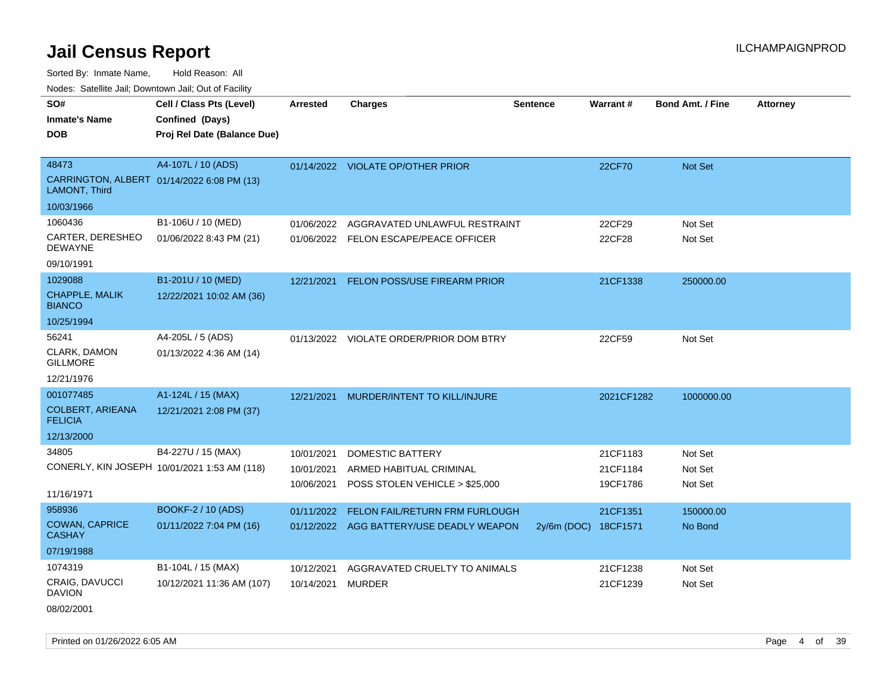Sorted By: Inmate Name, Hold Reason: All

Nodes: Satellite Jail; Downtown Jail; Out of Facility

| SO#<br><b>Inmate's Name</b><br><b>DOB</b>                                          | Cell / Class Pts (Level)<br>Confined (Days)<br>Proj Rel Date (Balance Due) | <b>Arrested</b>                        | <b>Charges</b>                                                                       | <b>Sentence</b>      | Warrant#                         | <b>Bond Amt. / Fine</b>       | <b>Attorney</b> |
|------------------------------------------------------------------------------------|----------------------------------------------------------------------------|----------------------------------------|--------------------------------------------------------------------------------------|----------------------|----------------------------------|-------------------------------|-----------------|
| 48473<br>CARRINGTON, ALBERT 01/14/2022 6:08 PM (13)<br>LAMONT, Third<br>10/03/1966 | A4-107L / 10 (ADS)                                                         |                                        | 01/14/2022 VIOLATE OP/OTHER PRIOR                                                    |                      | 22CF70                           | Not Set                       |                 |
| 1060436<br>CARTER, DERESHEO<br><b>DEWAYNE</b><br>09/10/1991                        | B1-106U / 10 (MED)<br>01/06/2022 8:43 PM (21)                              | 01/06/2022                             | AGGRAVATED UNLAWFUL RESTRAINT<br>01/06/2022 FELON ESCAPE/PEACE OFFICER               |                      | 22CF29<br>22CF28                 | Not Set<br>Not Set            |                 |
| 1029088<br><b>CHAPPLE, MALIK</b><br><b>BIANCO</b><br>10/25/1994                    | B1-201U / 10 (MED)<br>12/22/2021 10:02 AM (36)                             | 12/21/2021                             | FELON POSS/USE FIREARM PRIOR                                                         |                      | 21CF1338                         | 250000.00                     |                 |
| 56241<br>CLARK, DAMON<br><b>GILLMORE</b><br>12/21/1976                             | A4-205L / 5 (ADS)<br>01/13/2022 4:36 AM (14)                               |                                        | 01/13/2022 VIOLATE ORDER/PRIOR DOM BTRY                                              |                      | 22CF59                           | Not Set                       |                 |
| 001077485<br><b>COLBERT, ARIEANA</b><br><b>FELICIA</b><br>12/13/2000               | A1-124L / 15 (MAX)<br>12/21/2021 2:08 PM (37)                              | 12/21/2021                             | MURDER/INTENT TO KILL/INJURE                                                         |                      | 2021CF1282                       | 1000000.00                    |                 |
| 34805<br>11/16/1971                                                                | B4-227U / 15 (MAX)<br>CONERLY, KIN JOSEPH 10/01/2021 1:53 AM (118)         | 10/01/2021<br>10/01/2021<br>10/06/2021 | <b>DOMESTIC BATTERY</b><br>ARMED HABITUAL CRIMINAL<br>POSS STOLEN VEHICLE > \$25,000 |                      | 21CF1183<br>21CF1184<br>19CF1786 | Not Set<br>Not Set<br>Not Set |                 |
| 958936<br><b>COWAN, CAPRICE</b><br><b>CASHAY</b><br>07/19/1988                     | <b>BOOKF-2 / 10 (ADS)</b><br>01/11/2022 7:04 PM (16)                       | 01/11/2022                             | <b>FELON FAIL/RETURN FRM FURLOUGH</b><br>01/12/2022 AGG BATTERY/USE DEADLY WEAPON    | 2y/6m (DOC) 18CF1571 | 21CF1351                         | 150000.00<br>No Bond          |                 |
| 1074319<br><b>CRAIG, DAVUCCI</b><br><b>DAVION</b>                                  | B1-104L / 15 (MAX)<br>10/12/2021 11:36 AM (107)                            | 10/12/2021<br>10/14/2021               | AGGRAVATED CRUELTY TO ANIMALS<br><b>MURDER</b>                                       |                      | 21CF1238<br>21CF1239             | Not Set<br>Not Set            |                 |

08/02/2001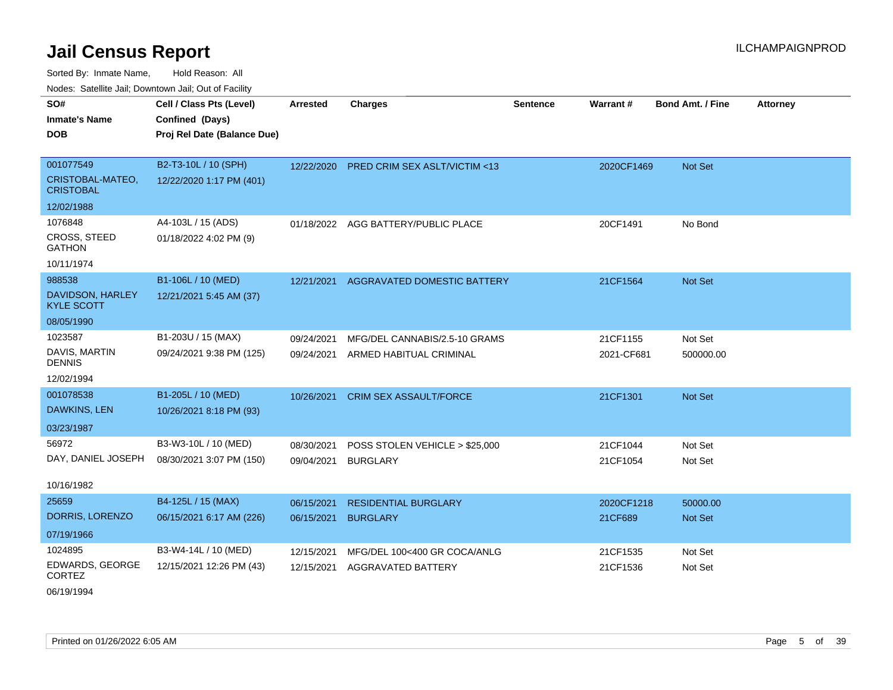Sorted By: Inmate Name, Hold Reason: All Nodes: Satellite Jail; Downtown Jail; Out of Facility

| SO#<br><b>Inmate's Name</b>           | Cell / Class Pts (Level)<br>Confined (Days) | Arrested   | <b>Charges</b>                          | Sentence | <b>Warrant#</b> | <b>Bond Amt. / Fine</b> | <b>Attorney</b> |
|---------------------------------------|---------------------------------------------|------------|-----------------------------------------|----------|-----------------|-------------------------|-----------------|
| <b>DOB</b>                            | Proj Rel Date (Balance Due)                 |            |                                         |          |                 |                         |                 |
|                                       |                                             |            |                                         |          |                 |                         |                 |
| 001077549                             | B2-T3-10L / 10 (SPH)                        | 12/22/2020 | <b>PRED CRIM SEX ASLT/VICTIM &lt;13</b> |          | 2020CF1469      | Not Set                 |                 |
| CRISTOBAL-MATEO,<br><b>CRISTOBAL</b>  | 12/22/2020 1:17 PM (401)                    |            |                                         |          |                 |                         |                 |
| 12/02/1988                            |                                             |            |                                         |          |                 |                         |                 |
| 1076848                               | A4-103L / 15 (ADS)                          | 01/18/2022 | AGG BATTERY/PUBLIC PLACE                |          | 20CF1491        | No Bond                 |                 |
| CROSS, STEED<br><b>GATHON</b>         | 01/18/2022 4:02 PM (9)                      |            |                                         |          |                 |                         |                 |
| 10/11/1974                            |                                             |            |                                         |          |                 |                         |                 |
| 988538                                | B1-106L / 10 (MED)                          | 12/21/2021 | AGGRAVATED DOMESTIC BATTERY             |          | 21CF1564        | Not Set                 |                 |
| DAVIDSON, HARLEY<br><b>KYLE SCOTT</b> | 12/21/2021 5:45 AM (37)                     |            |                                         |          |                 |                         |                 |
| 08/05/1990                            |                                             |            |                                         |          |                 |                         |                 |
| 1023587                               | B1-203U / 15 (MAX)                          | 09/24/2021 | MFG/DEL CANNABIS/2.5-10 GRAMS           |          | 21CF1155        | Not Set                 |                 |
| DAVIS, MARTIN<br><b>DENNIS</b>        | 09/24/2021 9:38 PM (125)                    | 09/24/2021 | ARMED HABITUAL CRIMINAL                 |          | 2021-CF681      | 500000.00               |                 |
| 12/02/1994                            |                                             |            |                                         |          |                 |                         |                 |
| 001078538                             | B1-205L / 10 (MED)                          | 10/26/2021 | <b>CRIM SEX ASSAULT/FORCE</b>           |          | 21CF1301        | Not Set                 |                 |
| <b>DAWKINS, LEN</b>                   | 10/26/2021 8:18 PM (93)                     |            |                                         |          |                 |                         |                 |
| 03/23/1987                            |                                             |            |                                         |          |                 |                         |                 |
| 56972                                 | B3-W3-10L / 10 (MED)                        | 08/30/2021 | POSS STOLEN VEHICLE > \$25,000          |          | 21CF1044        | Not Set                 |                 |
| DAY, DANIEL JOSEPH                    | 08/30/2021 3:07 PM (150)                    | 09/04/2021 | <b>BURGLARY</b>                         |          | 21CF1054        | Not Set                 |                 |
|                                       |                                             |            |                                         |          |                 |                         |                 |
| 10/16/1982                            |                                             |            |                                         |          |                 |                         |                 |
| 25659                                 | B4-125L / 15 (MAX)                          | 06/15/2021 | <b>RESIDENTIAL BURGLARY</b>             |          | 2020CF1218      | 50000.00                |                 |
| DORRIS, LORENZO                       | 06/15/2021 6:17 AM (226)                    | 06/15/2021 | <b>BURGLARY</b>                         |          | 21CF689         | Not Set                 |                 |
| 07/19/1966                            |                                             |            |                                         |          |                 |                         |                 |
| 1024895                               | B3-W4-14L / 10 (MED)                        | 12/15/2021 | MFG/DEL 100<400 GR COCA/ANLG            |          | 21CF1535        | Not Set                 |                 |
| EDWARDS, GEORGE<br><b>CORTEZ</b>      | 12/15/2021 12:26 PM (43)                    | 12/15/2021 | <b>AGGRAVATED BATTERY</b>               |          | 21CF1536        | Not Set                 |                 |

06/19/1994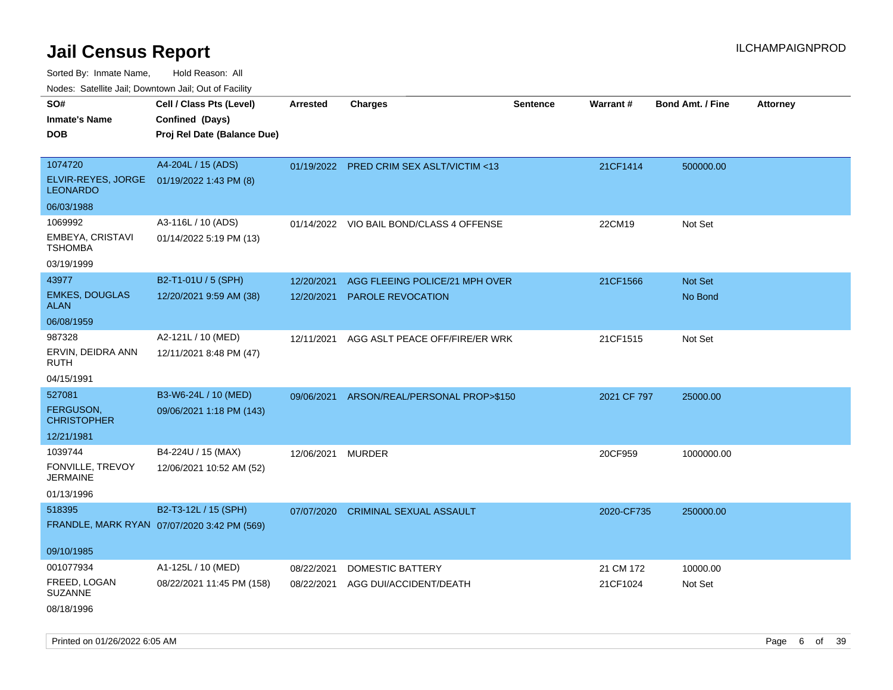Sorted By: Inmate Name, Hold Reason: All

Nodes: Satellite Jail; Downtown Jail; Out of Facility

| rougs. Calcing Jan, Downtown Jan, Out of Facinty             |                                             |                 |                                           |                 |             |                         |                 |
|--------------------------------------------------------------|---------------------------------------------|-----------------|-------------------------------------------|-----------------|-------------|-------------------------|-----------------|
| SO#                                                          | Cell / Class Pts (Level)                    | <b>Arrested</b> | <b>Charges</b>                            | <b>Sentence</b> | Warrant#    | <b>Bond Amt. / Fine</b> | <b>Attorney</b> |
| <b>Inmate's Name</b>                                         | Confined (Days)                             |                 |                                           |                 |             |                         |                 |
| <b>DOB</b>                                                   | Proj Rel Date (Balance Due)                 |                 |                                           |                 |             |                         |                 |
|                                                              |                                             |                 |                                           |                 |             |                         |                 |
| 1074720                                                      | A4-204L / 15 (ADS)                          |                 | 01/19/2022 PRED CRIM SEX ASLT/VICTIM <13  |                 | 21CF1414    | 500000.00               |                 |
| ELVIR-REYES, JORGE 01/19/2022 1:43 PM (8)<br><b>LEONARDO</b> |                                             |                 |                                           |                 |             |                         |                 |
| 06/03/1988                                                   |                                             |                 |                                           |                 |             |                         |                 |
| 1069992                                                      | A3-116L / 10 (ADS)                          |                 | 01/14/2022 VIO BAIL BOND/CLASS 4 OFFENSE  |                 | 22CM19      | Not Set                 |                 |
| EMBEYA, CRISTAVI<br><b>TSHOMBA</b>                           | 01/14/2022 5:19 PM (13)                     |                 |                                           |                 |             |                         |                 |
| 03/19/1999                                                   |                                             |                 |                                           |                 |             |                         |                 |
| 43977                                                        | B2-T1-01U / 5 (SPH)                         | 12/20/2021      | AGG FLEEING POLICE/21 MPH OVER            |                 | 21CF1566    | Not Set                 |                 |
| <b>EMKES, DOUGLAS</b><br><b>ALAN</b>                         | 12/20/2021 9:59 AM (38)                     | 12/20/2021      | <b>PAROLE REVOCATION</b>                  |                 |             | No Bond                 |                 |
| 06/08/1959                                                   |                                             |                 |                                           |                 |             |                         |                 |
| 987328                                                       | A2-121L / 10 (MED)                          | 12/11/2021      | AGG ASLT PEACE OFF/FIRE/ER WRK            |                 | 21CF1515    | Not Set                 |                 |
| ERVIN, DEIDRA ANN<br>RUTH                                    | 12/11/2021 8:48 PM (47)                     |                 |                                           |                 |             |                         |                 |
| 04/15/1991                                                   |                                             |                 |                                           |                 |             |                         |                 |
| 527081                                                       | B3-W6-24L / 10 (MED)                        |                 | 09/06/2021 ARSON/REAL/PERSONAL PROP>\$150 |                 | 2021 CF 797 | 25000.00                |                 |
| FERGUSON,<br><b>CHRISTOPHER</b>                              | 09/06/2021 1:18 PM (143)                    |                 |                                           |                 |             |                         |                 |
| 12/21/1981                                                   |                                             |                 |                                           |                 |             |                         |                 |
| 1039744                                                      | B4-224U / 15 (MAX)                          | 12/06/2021      | <b>MURDER</b>                             |                 | 20CF959     | 1000000.00              |                 |
| FONVILLE, TREVOY<br><b>JERMAINE</b>                          | 12/06/2021 10:52 AM (52)                    |                 |                                           |                 |             |                         |                 |
| 01/13/1996                                                   |                                             |                 |                                           |                 |             |                         |                 |
| 518395                                                       | B2-T3-12L / 15 (SPH)                        | 07/07/2020      | <b>CRIMINAL SEXUAL ASSAULT</b>            |                 | 2020-CF735  | 250000.00               |                 |
|                                                              | FRANDLE, MARK RYAN 07/07/2020 3:42 PM (569) |                 |                                           |                 |             |                         |                 |
|                                                              |                                             |                 |                                           |                 |             |                         |                 |
| 09/10/1985                                                   |                                             |                 |                                           |                 |             |                         |                 |
| 001077934                                                    | A1-125L / 10 (MED)                          | 08/22/2021      | <b>DOMESTIC BATTERY</b>                   |                 | 21 CM 172   | 10000.00                |                 |
| FREED, LOGAN<br>SUZANNE                                      | 08/22/2021 11:45 PM (158)                   | 08/22/2021      | AGG DUI/ACCIDENT/DEATH                    |                 | 21CF1024    | Not Set                 |                 |
| 08/18/1996                                                   |                                             |                 |                                           |                 |             |                         |                 |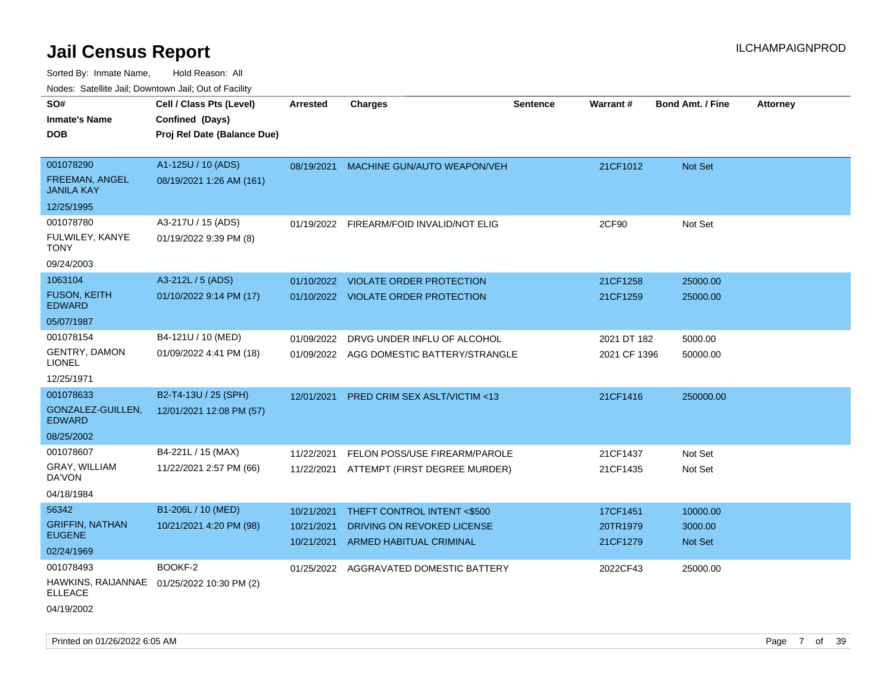| Noues. Salemie Jan, Downlown Jan, Out of Facility |                                            |                 |                                          |                 |              |                         |          |
|---------------------------------------------------|--------------------------------------------|-----------------|------------------------------------------|-----------------|--------------|-------------------------|----------|
| SO#                                               | Cell / Class Pts (Level)                   | <b>Arrested</b> | <b>Charges</b>                           | <b>Sentence</b> | Warrant#     | <b>Bond Amt. / Fine</b> | Attorney |
| <b>Inmate's Name</b>                              | Confined (Days)                            |                 |                                          |                 |              |                         |          |
| <b>DOB</b>                                        | Proj Rel Date (Balance Due)                |                 |                                          |                 |              |                         |          |
|                                                   |                                            |                 |                                          |                 |              |                         |          |
| 001078290                                         | A1-125U / 10 (ADS)                         | 08/19/2021      | MACHINE GUN/AUTO WEAPON/VEH              |                 | 21CF1012     | Not Set                 |          |
| FREEMAN, ANGEL<br><b>JANILA KAY</b>               | 08/19/2021 1:26 AM (161)                   |                 |                                          |                 |              |                         |          |
| 12/25/1995                                        |                                            |                 |                                          |                 |              |                         |          |
| 001078780                                         | A3-217U / 15 (ADS)                         |                 | 01/19/2022 FIREARM/FOID INVALID/NOT ELIG |                 | 2CF90        | Not Set                 |          |
| FULWILEY, KANYE<br><b>TONY</b>                    | 01/19/2022 9:39 PM (8)                     |                 |                                          |                 |              |                         |          |
| 09/24/2003                                        |                                            |                 |                                          |                 |              |                         |          |
| 1063104                                           | A3-212L / 5 (ADS)                          |                 | 01/10/2022 VIOLATE ORDER PROTECTION      |                 | 21CF1258     | 25000.00                |          |
| <b>FUSON, KEITH</b><br><b>EDWARD</b>              | 01/10/2022 9:14 PM (17)                    |                 | 01/10/2022 VIOLATE ORDER PROTECTION      |                 | 21CF1259     | 25000.00                |          |
| 05/07/1987                                        |                                            |                 |                                          |                 |              |                         |          |
| 001078154                                         | B4-121U / 10 (MED)                         | 01/09/2022      | DRVG UNDER INFLU OF ALCOHOL              |                 | 2021 DT 182  | 5000.00                 |          |
| <b>GENTRY, DAMON</b><br><b>LIONEL</b>             | 01/09/2022 4:41 PM (18)                    |                 | 01/09/2022 AGG DOMESTIC BATTERY/STRANGLE |                 | 2021 CF 1396 | 50000.00                |          |
| 12/25/1971                                        |                                            |                 |                                          |                 |              |                         |          |
| 001078633                                         | B2-T4-13U / 25 (SPH)                       | 12/01/2021      | PRED CRIM SEX ASLT/VICTIM <13            |                 | 21CF1416     | 250000.00               |          |
| GONZALEZ-GUILLEN,<br><b>EDWARD</b>                | 12/01/2021 12:08 PM (57)                   |                 |                                          |                 |              |                         |          |
| 08/25/2002                                        |                                            |                 |                                          |                 |              |                         |          |
| 001078607                                         | B4-221L / 15 (MAX)                         | 11/22/2021      | FELON POSS/USE FIREARM/PAROLE            |                 | 21CF1437     | Not Set                 |          |
| GRAY, WILLIAM<br>DA'VON                           | 11/22/2021 2:57 PM (66)                    | 11/22/2021      | ATTEMPT (FIRST DEGREE MURDER)            |                 | 21CF1435     | Not Set                 |          |
| 04/18/1984                                        |                                            |                 |                                          |                 |              |                         |          |
| 56342                                             | B1-206L / 10 (MED)                         | 10/21/2021      | THEFT CONTROL INTENT <\$500              |                 | 17CF1451     | 10000.00                |          |
| <b>GRIFFIN, NATHAN</b>                            | 10/21/2021 4:20 PM (98)                    | 10/21/2021      | DRIVING ON REVOKED LICENSE               |                 | 20TR1979     | 3000.00                 |          |
| <b>EUGENE</b>                                     |                                            | 10/21/2021      | ARMED HABITUAL CRIMINAL                  |                 | 21CF1279     | <b>Not Set</b>          |          |
| 02/24/1969                                        |                                            |                 |                                          |                 |              |                         |          |
| 001078493                                         | BOOKF-2                                    |                 | 01/25/2022 AGGRAVATED DOMESTIC BATTERY   |                 | 2022CF43     | 25000.00                |          |
| <b>ELLEACE</b>                                    | HAWKINS, RAIJANNAE 01/25/2022 10:30 PM (2) |                 |                                          |                 |              |                         |          |
| 04/19/2002                                        |                                            |                 |                                          |                 |              |                         |          |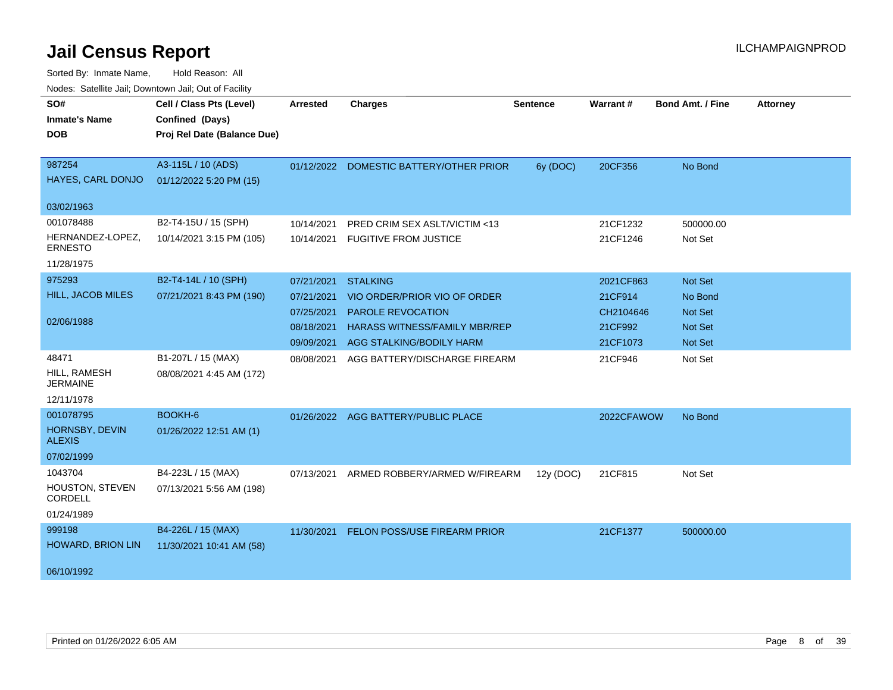| roucs. Oatchite sail, Downtown sail, Out of Facility |                             |            |                                         |                 |            |                         |                 |
|------------------------------------------------------|-----------------------------|------------|-----------------------------------------|-----------------|------------|-------------------------|-----------------|
| SO#                                                  | Cell / Class Pts (Level)    | Arrested   | <b>Charges</b>                          | <b>Sentence</b> | Warrant#   | <b>Bond Amt. / Fine</b> | <b>Attorney</b> |
| <b>Inmate's Name</b>                                 | Confined (Days)             |            |                                         |                 |            |                         |                 |
| <b>DOB</b>                                           | Proj Rel Date (Balance Due) |            |                                         |                 |            |                         |                 |
|                                                      |                             |            |                                         |                 |            |                         |                 |
| 987254                                               | A3-115L / 10 (ADS)          |            | 01/12/2022 DOMESTIC BATTERY/OTHER PRIOR | 6y (DOC)        | 20CF356    | No Bond                 |                 |
| HAYES, CARL DONJO                                    | 01/12/2022 5:20 PM (15)     |            |                                         |                 |            |                         |                 |
| 03/02/1963                                           |                             |            |                                         |                 |            |                         |                 |
| 001078488                                            | B2-T4-15U / 15 (SPH)        | 10/14/2021 | PRED CRIM SEX ASLT/VICTIM <13           |                 | 21CF1232   | 500000.00               |                 |
| HERNANDEZ-LOPEZ,<br><b>ERNESTO</b>                   | 10/14/2021 3:15 PM (105)    | 10/14/2021 | <b>FUGITIVE FROM JUSTICE</b>            |                 | 21CF1246   | Not Set                 |                 |
| 11/28/1975                                           |                             |            |                                         |                 |            |                         |                 |
| 975293                                               | B2-T4-14L / 10 (SPH)        | 07/21/2021 | <b>STALKING</b>                         |                 | 2021CF863  | <b>Not Set</b>          |                 |
| <b>HILL, JACOB MILES</b>                             | 07/21/2021 8:43 PM (190)    | 07/21/2021 | VIO ORDER/PRIOR VIO OF ORDER            |                 | 21CF914    | No Bond                 |                 |
|                                                      |                             | 07/25/2021 | <b>PAROLE REVOCATION</b>                |                 | CH2104646  | <b>Not Set</b>          |                 |
| 02/06/1988                                           |                             | 08/18/2021 | <b>HARASS WITNESS/FAMILY MBR/REP</b>    |                 | 21CF992    | Not Set                 |                 |
|                                                      |                             | 09/09/2021 | AGG STALKING/BODILY HARM                |                 | 21CF1073   | Not Set                 |                 |
| 48471                                                | B1-207L / 15 (MAX)          | 08/08/2021 | AGG BATTERY/DISCHARGE FIREARM           |                 | 21CF946    | Not Set                 |                 |
| HILL, RAMESH<br>JERMAINE                             | 08/08/2021 4:45 AM (172)    |            |                                         |                 |            |                         |                 |
| 12/11/1978                                           |                             |            |                                         |                 |            |                         |                 |
| 001078795                                            | BOOKH-6                     |            | 01/26/2022 AGG BATTERY/PUBLIC PLACE     |                 | 2022CFAWOW | No Bond                 |                 |
| HORNSBY, DEVIN<br><b>ALEXIS</b>                      | 01/26/2022 12:51 AM (1)     |            |                                         |                 |            |                         |                 |
| 07/02/1999                                           |                             |            |                                         |                 |            |                         |                 |
| 1043704                                              | B4-223L / 15 (MAX)          | 07/13/2021 | ARMED ROBBERY/ARMED W/FIREARM           | 12y (DOC)       | 21CF815    | Not Set                 |                 |
| <b>HOUSTON, STEVEN</b><br>CORDELL                    | 07/13/2021 5:56 AM (198)    |            |                                         |                 |            |                         |                 |
| 01/24/1989                                           |                             |            |                                         |                 |            |                         |                 |
| 999198                                               | B4-226L / 15 (MAX)          | 11/30/2021 | <b>FELON POSS/USE FIREARM PRIOR</b>     |                 | 21CF1377   | 500000.00               |                 |
| <b>HOWARD, BRION LIN</b>                             | 11/30/2021 10:41 AM (58)    |            |                                         |                 |            |                         |                 |
|                                                      |                             |            |                                         |                 |            |                         |                 |
| 06/10/1992                                           |                             |            |                                         |                 |            |                         |                 |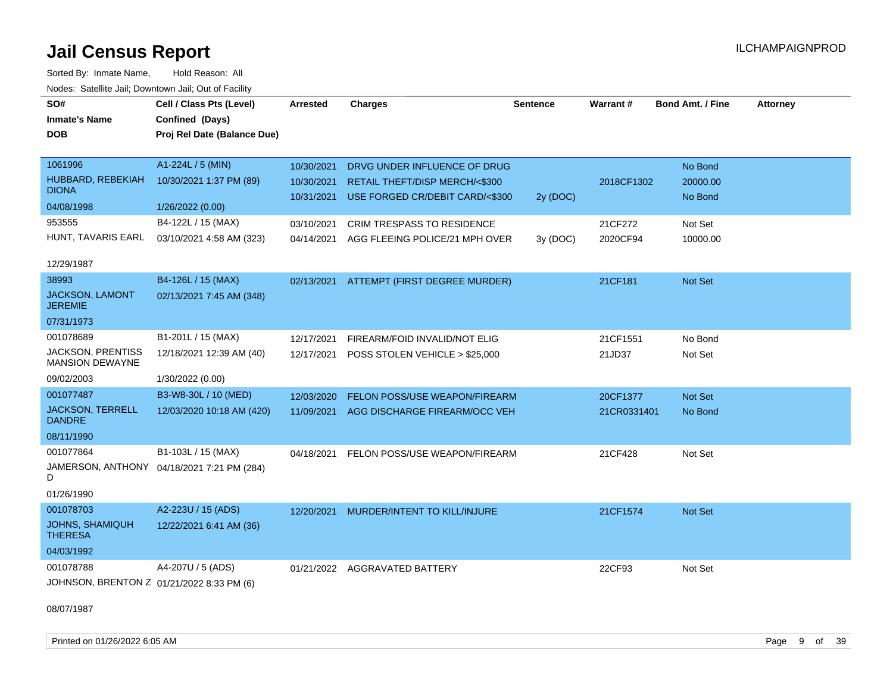Sorted By: Inmate Name, Hold Reason: All Nodes: Satellite Jail; Downtown Jail; Out of Facility

| SO#<br><b>Inmate's Name</b>                            | Cell / Class Pts (Level)<br>Confined (Days) | <b>Arrested</b>          | <b>Charges</b>                                                    | <b>Sentence</b> | Warrant#    | <b>Bond Amt. / Fine</b> | <b>Attorney</b> |
|--------------------------------------------------------|---------------------------------------------|--------------------------|-------------------------------------------------------------------|-----------------|-------------|-------------------------|-----------------|
| <b>DOB</b>                                             | Proj Rel Date (Balance Due)                 |                          |                                                                   |                 |             |                         |                 |
|                                                        |                                             |                          |                                                                   |                 |             |                         |                 |
| 1061996                                                | A1-224L / 5 (MIN)                           | 10/30/2021               | DRVG UNDER INFLUENCE OF DRUG                                      |                 |             | No Bond                 |                 |
| HUBBARD, REBEKIAH<br><b>DIONA</b>                      | 10/30/2021 1:37 PM (89)                     | 10/30/2021<br>10/31/2021 | RETAIL THEFT/DISP MERCH/<\$300<br>USE FORGED CR/DEBIT CARD/<\$300 | 2y (DOC)        | 2018CF1302  | 20000.00<br>No Bond     |                 |
| 04/08/1998                                             | 1/26/2022 (0.00)                            |                          |                                                                   |                 |             |                         |                 |
| 953555                                                 | B4-122L / 15 (MAX)                          | 03/10/2021               | <b>CRIM TRESPASS TO RESIDENCE</b>                                 |                 | 21CF272     | Not Set                 |                 |
| HUNT, TAVARIS EARL                                     | 03/10/2021 4:58 AM (323)                    | 04/14/2021               | AGG FLEEING POLICE/21 MPH OVER                                    | 3y (DOC)        | 2020CF94    | 10000.00                |                 |
| 12/29/1987                                             |                                             |                          |                                                                   |                 |             |                         |                 |
| 38993                                                  | B4-126L / 15 (MAX)                          |                          | 02/13/2021 ATTEMPT (FIRST DEGREE MURDER)                          |                 | 21CF181     | Not Set                 |                 |
| JACKSON, LAMONT<br><b>JEREMIE</b>                      | 02/13/2021 7:45 AM (348)                    |                          |                                                                   |                 |             |                         |                 |
| 07/31/1973                                             |                                             |                          |                                                                   |                 |             |                         |                 |
| 001078689                                              | B1-201L / 15 (MAX)                          | 12/17/2021               | FIREARM/FOID INVALID/NOT ELIG                                     |                 | 21CF1551    | No Bond                 |                 |
| <b>JACKSON, PRENTISS</b><br>MANSION DEWAYNE            | 12/18/2021 12:39 AM (40)                    | 12/17/2021               | POSS STOLEN VEHICLE > \$25,000                                    |                 | 21JD37      | Not Set                 |                 |
| 09/02/2003                                             | 1/30/2022 (0.00)                            |                          |                                                                   |                 |             |                         |                 |
| 001077487                                              | B3-W8-30L / 10 (MED)                        | 12/03/2020               | FELON POSS/USE WEAPON/FIREARM                                     |                 | 20CF1377    | Not Set                 |                 |
| <b>JACKSON, TERRELL</b><br><b>DANDRE</b>               | 12/03/2020 10:18 AM (420)                   |                          | 11/09/2021 AGG DISCHARGE FIREARM/OCC VEH                          |                 | 21CR0331401 | No Bond                 |                 |
| 08/11/1990                                             |                                             |                          |                                                                   |                 |             |                         |                 |
| 001077864                                              | B1-103L / 15 (MAX)                          | 04/18/2021               | FELON POSS/USE WEAPON/FIREARM                                     |                 | 21CF428     | Not Set                 |                 |
| D                                                      | JAMERSON, ANTHONY 04/18/2021 7:21 PM (284)  |                          |                                                                   |                 |             |                         |                 |
| 01/26/1990                                             |                                             |                          |                                                                   |                 |             |                         |                 |
| 001078703                                              | A2-223U / 15 (ADS)                          |                          | 12/20/2021 MURDER/INTENT TO KILL/INJURE                           |                 | 21CF1574    | Not Set                 |                 |
| JOHNS, SHAMIQUH<br><b>THERESA</b>                      | 12/22/2021 6:41 AM (36)                     |                          |                                                                   |                 |             |                         |                 |
| 04/03/1992                                             |                                             |                          |                                                                   |                 |             |                         |                 |
| 001078788<br>JOHNSON, BRENTON Z 01/21/2022 8:33 PM (6) | A4-207U / 5 (ADS)                           |                          | 01/21/2022 AGGRAVATED BATTERY                                     |                 | 22CF93      | Not Set                 |                 |

08/07/1987

Printed on 01/26/2022 6:05 AM Page 9 of 39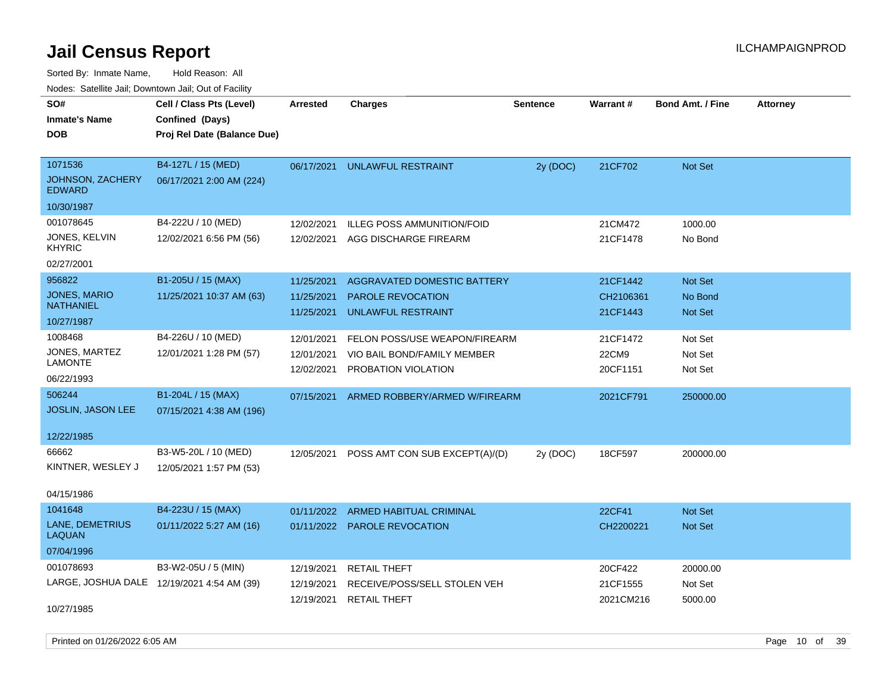| roucs. Calcinic Jan, Downtown Jan, Out of Facility |                                            |                 |                                           |                 |           |                         |                 |
|----------------------------------------------------|--------------------------------------------|-----------------|-------------------------------------------|-----------------|-----------|-------------------------|-----------------|
| SO#                                                | Cell / Class Pts (Level)                   | <b>Arrested</b> | <b>Charges</b>                            | <b>Sentence</b> | Warrant#  | <b>Bond Amt. / Fine</b> | <b>Attorney</b> |
| <b>Inmate's Name</b>                               | Confined (Days)                            |                 |                                           |                 |           |                         |                 |
| <b>DOB</b>                                         | Proj Rel Date (Balance Due)                |                 |                                           |                 |           |                         |                 |
|                                                    |                                            |                 |                                           |                 |           |                         |                 |
| 1071536                                            | B4-127L / 15 (MED)                         | 06/17/2021      | UNLAWFUL RESTRAINT                        | 2y (DOC)        | 21CF702   | Not Set                 |                 |
| JOHNSON, ZACHERY<br><b>EDWARD</b>                  | 06/17/2021 2:00 AM (224)                   |                 |                                           |                 |           |                         |                 |
| 10/30/1987                                         |                                            |                 |                                           |                 |           |                         |                 |
| 001078645                                          | B4-222U / 10 (MED)                         | 12/02/2021      | <b>ILLEG POSS AMMUNITION/FOID</b>         |                 | 21CM472   | 1000.00                 |                 |
| JONES, KELVIN<br><b>KHYRIC</b>                     | 12/02/2021 6:56 PM (56)                    | 12/02/2021      | AGG DISCHARGE FIREARM                     |                 | 21CF1478  | No Bond                 |                 |
| 02/27/2001                                         |                                            |                 |                                           |                 |           |                         |                 |
| 956822                                             | B1-205U / 15 (MAX)                         | 11/25/2021      | AGGRAVATED DOMESTIC BATTERY               |                 | 21CF1442  | Not Set                 |                 |
| JONES, MARIO                                       | 11/25/2021 10:37 AM (63)                   | 11/25/2021      | PAROLE REVOCATION                         |                 | CH2106361 | No Bond                 |                 |
| <b>NATHANIEL</b>                                   |                                            | 11/25/2021      | <b>UNLAWFUL RESTRAINT</b>                 |                 | 21CF1443  | Not Set                 |                 |
| 10/27/1987                                         |                                            |                 |                                           |                 |           |                         |                 |
| 1008468                                            | B4-226U / 10 (MED)                         | 12/01/2021      | FELON POSS/USE WEAPON/FIREARM             |                 | 21CF1472  | Not Set                 |                 |
| JONES, MARTEZ<br>LAMONTE                           | 12/01/2021 1:28 PM (57)                    | 12/01/2021      | VIO BAIL BOND/FAMILY MEMBER               |                 | 22CM9     | Not Set                 |                 |
|                                                    |                                            | 12/02/2021      | PROBATION VIOLATION                       |                 | 20CF1151  | Not Set                 |                 |
| 06/22/1993                                         |                                            |                 |                                           |                 |           |                         |                 |
| 506244                                             | B1-204L / 15 (MAX)                         | 07/15/2021      | ARMED ROBBERY/ARMED W/FIREARM             |                 | 2021CF791 | 250000.00               |                 |
| <b>JOSLIN, JASON LEE</b>                           | 07/15/2021 4:38 AM (196)                   |                 |                                           |                 |           |                         |                 |
| 12/22/1985                                         |                                            |                 |                                           |                 |           |                         |                 |
| 66662                                              | B3-W5-20L / 10 (MED)                       |                 | 12/05/2021 POSS AMT CON SUB EXCEPT(A)/(D) | 2y (DOC)        | 18CF597   | 200000.00               |                 |
| KINTNER, WESLEY J                                  | 12/05/2021 1:57 PM (53)                    |                 |                                           |                 |           |                         |                 |
|                                                    |                                            |                 |                                           |                 |           |                         |                 |
| 04/15/1986                                         |                                            |                 |                                           |                 |           |                         |                 |
| 1041648                                            | B4-223U / 15 (MAX)                         | 01/11/2022      | <b>ARMED HABITUAL CRIMINAL</b>            |                 | 22CF41    | Not Set                 |                 |
| <b>LANE, DEMETRIUS</b><br><b>LAQUAN</b>            | 01/11/2022 5:27 AM (16)                    |                 | 01/11/2022 PAROLE REVOCATION              |                 | CH2200221 | Not Set                 |                 |
| 07/04/1996                                         |                                            |                 |                                           |                 |           |                         |                 |
| 001078693                                          | B3-W2-05U / 5 (MIN)                        | 12/19/2021      | <b>RETAIL THEFT</b>                       |                 | 20CF422   | 20000.00                |                 |
|                                                    | LARGE, JOSHUA DALE 12/19/2021 4:54 AM (39) | 12/19/2021      | RECEIVE/POSS/SELL STOLEN VEH              |                 | 21CF1555  | Not Set                 |                 |
|                                                    |                                            | 12/19/2021      | <b>RETAIL THEFT</b>                       |                 | 2021CM216 | 5000.00                 |                 |
| 10/27/1985                                         |                                            |                 |                                           |                 |           |                         |                 |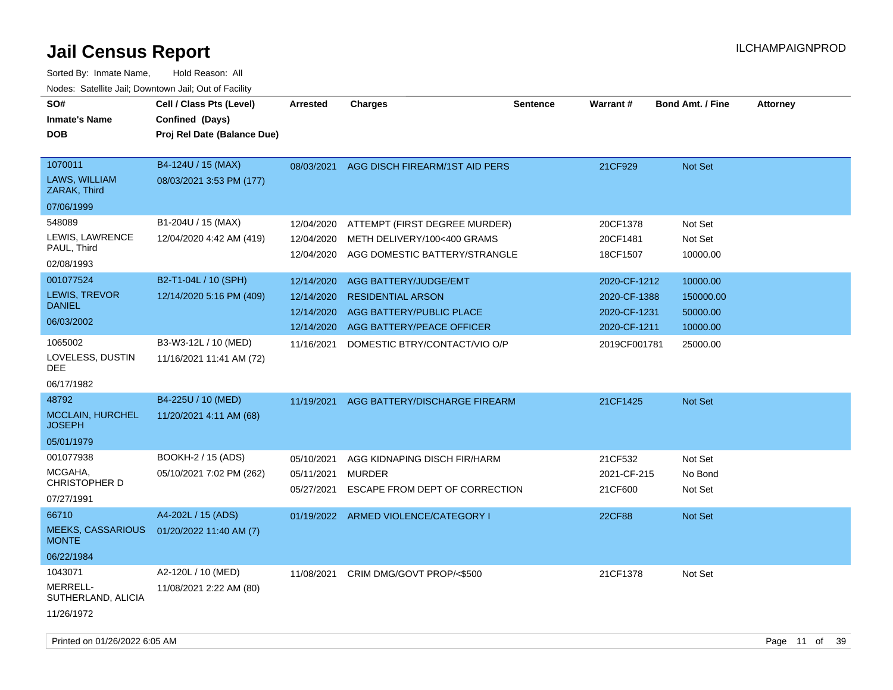Sorted By: Inmate Name, Hold Reason: All Nodes: Satellite Jail; Downtown Jail; Out of Facility

| SO#<br><b>Inmate's Name</b><br><b>DOB</b>                                                                                                                                | Cell / Class Pts (Level)<br>Confined (Days)<br>Proj Rel Date (Balance Due)                                                                             | <b>Arrested</b>                                                                                              | <b>Charges</b>                                                                                                                                                                                                                               | <b>Sentence</b> | <b>Warrant#</b>                                                                                                  | <b>Bond Amt. / Fine</b>                                                                     | <b>Attorney</b> |
|--------------------------------------------------------------------------------------------------------------------------------------------------------------------------|--------------------------------------------------------------------------------------------------------------------------------------------------------|--------------------------------------------------------------------------------------------------------------|----------------------------------------------------------------------------------------------------------------------------------------------------------------------------------------------------------------------------------------------|-----------------|------------------------------------------------------------------------------------------------------------------|---------------------------------------------------------------------------------------------|-----------------|
| 1070011<br>LAWS, WILLIAM<br>ZARAK, Third<br>07/06/1999                                                                                                                   | B4-124U / 15 (MAX)<br>08/03/2021 3:53 PM (177)                                                                                                         |                                                                                                              | 08/03/2021 AGG DISCH FIREARM/1ST AID PERS                                                                                                                                                                                                    |                 | 21CF929                                                                                                          | Not Set                                                                                     |                 |
| 548089<br>LEWIS, LAWRENCE<br>PAUL, Third<br>02/08/1993<br>001077524<br>LEWIS, TREVOR<br><b>DANIEL</b><br>06/03/2002<br>1065002<br>LOVELESS, DUSTIN<br>DEE.<br>06/17/1982 | B1-204U / 15 (MAX)<br>12/04/2020 4:42 AM (419)<br>B2-T1-04L / 10 (SPH)<br>12/14/2020 5:16 PM (409)<br>B3-W3-12L / 10 (MED)<br>11/16/2021 11:41 AM (72) | 12/04/2020<br>12/04/2020<br>12/04/2020<br>12/14/2020<br>12/14/2020<br>12/14/2020<br>12/14/2020<br>11/16/2021 | ATTEMPT (FIRST DEGREE MURDER)<br>METH DELIVERY/100<400 GRAMS<br>AGG DOMESTIC BATTERY/STRANGLE<br>AGG BATTERY/JUDGE/EMT<br><b>RESIDENTIAL ARSON</b><br>AGG BATTERY/PUBLIC PLACE<br>AGG BATTERY/PEACE OFFICER<br>DOMESTIC BTRY/CONTACT/VIO O/P |                 | 20CF1378<br>20CF1481<br>18CF1507<br>2020-CF-1212<br>2020-CF-1388<br>2020-CF-1231<br>2020-CF-1211<br>2019CF001781 | Not Set<br>Not Set<br>10000.00<br>10000.00<br>150000.00<br>50000.00<br>10000.00<br>25000.00 |                 |
| 48792<br><b>MCCLAIN, HURCHEL</b><br><b>JOSEPH</b><br>05/01/1979                                                                                                          | B4-225U / 10 (MED)<br>11/20/2021 4:11 AM (68)                                                                                                          |                                                                                                              | 11/19/2021 AGG BATTERY/DISCHARGE FIREARM                                                                                                                                                                                                     |                 | 21CF1425                                                                                                         | Not Set                                                                                     |                 |
| 001077938<br>MCGAHA,<br><b>CHRISTOPHER D</b><br>07/27/1991                                                                                                               | BOOKH-2 / 15 (ADS)<br>05/10/2021 7:02 PM (262)                                                                                                         | 05/10/2021<br>05/11/2021<br>05/27/2021                                                                       | AGG KIDNAPING DISCH FIR/HARM<br><b>MURDER</b><br>ESCAPE FROM DEPT OF CORRECTION                                                                                                                                                              |                 | 21CF532<br>2021-CF-215<br>21CF600                                                                                | Not Set<br>No Bond<br>Not Set                                                               |                 |
| 66710<br><b>MEEKS, CASSARIOUS</b><br><b>MONTE</b><br>06/22/1984                                                                                                          | A4-202L / 15 (ADS)<br>01/20/2022 11:40 AM (7)                                                                                                          |                                                                                                              | 01/19/2022 ARMED VIOLENCE/CATEGORY I                                                                                                                                                                                                         |                 | <b>22CF88</b>                                                                                                    | Not Set                                                                                     |                 |
| 1043071<br>MERRELL-<br>SUTHERLAND, ALICIA<br>11/26/1972                                                                                                                  | A2-120L / 10 (MED)<br>11/08/2021 2:22 AM (80)                                                                                                          | 11/08/2021                                                                                                   | CRIM DMG/GOVT PROP/<\$500                                                                                                                                                                                                                    |                 | 21CF1378                                                                                                         | Not Set                                                                                     |                 |

Printed on 01/26/2022 6:05 AM **Page 11** of 39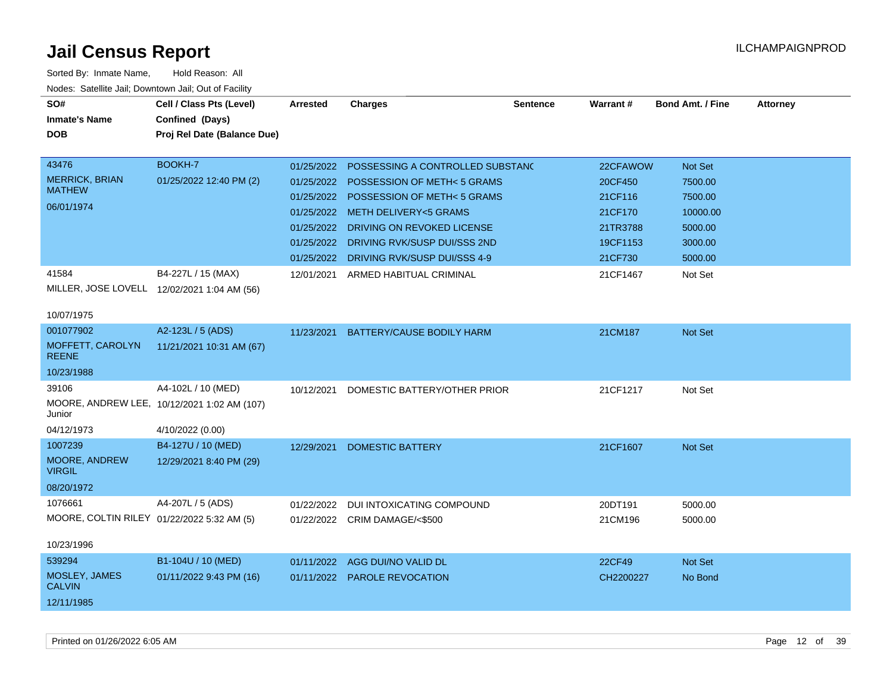| SO#<br><b>Inmate's Name</b><br><b>DOB</b>     | Cell / Class Pts (Level)<br>Confined (Days)<br>Proj Rel Date (Balance Due) | <b>Arrested</b> | <b>Charges</b>                          | <b>Sentence</b> | Warrant # | <b>Bond Amt. / Fine</b> | <b>Attorney</b> |
|-----------------------------------------------|----------------------------------------------------------------------------|-----------------|-----------------------------------------|-----------------|-----------|-------------------------|-----------------|
| 43476                                         | BOOKH-7                                                                    | 01/25/2022      | POSSESSING A CONTROLLED SUBSTANC        |                 | 22CFAWOW  | Not Set                 |                 |
| <b>MERRICK, BRIAN</b><br><b>MATHEW</b>        | 01/25/2022 12:40 PM (2)                                                    |                 | 01/25/2022 POSSESSION OF METH< 5 GRAMS  |                 | 20CF450   | 7500.00                 |                 |
| 06/01/1974                                    |                                                                            | 01/25/2022      | <b>POSSESSION OF METH&lt;5 GRAMS</b>    |                 | 21CF116   | 7500.00                 |                 |
|                                               |                                                                            | 01/25/2022      | <b>METH DELIVERY&lt;5 GRAMS</b>         |                 | 21CF170   | 10000.00                |                 |
|                                               |                                                                            | 01/25/2022      | DRIVING ON REVOKED LICENSE              |                 | 21TR3788  | 5000.00                 |                 |
|                                               |                                                                            | 01/25/2022      | DRIVING RVK/SUSP DUI/SSS 2ND            |                 | 19CF1153  | 3000.00                 |                 |
|                                               |                                                                            |                 | 01/25/2022 DRIVING RVK/SUSP DUI/SSS 4-9 |                 | 21CF730   | 5000.00                 |                 |
| 41584                                         | B4-227L / 15 (MAX)<br>MILLER, JOSE LOVELL 12/02/2021 1:04 AM (56)          |                 | 12/01/2021 ARMED HABITUAL CRIMINAL      |                 | 21CF1467  | Not Set                 |                 |
| 10/07/1975                                    |                                                                            |                 |                                         |                 |           |                         |                 |
| 001077902<br>MOFFETT, CAROLYN<br><b>REENE</b> | A2-123L / 5 (ADS)<br>11/21/2021 10:31 AM (67)                              | 11/23/2021      | BATTERY/CAUSE BODILY HARM               |                 | 21CM187   | Not Set                 |                 |
| 10/23/1988                                    |                                                                            |                 |                                         |                 |           |                         |                 |
| 39106                                         | A4-102L / 10 (MED)                                                         | 10/12/2021      | DOMESTIC BATTERY/OTHER PRIOR            |                 | 21CF1217  | Not Set                 |                 |
| Junior                                        | MOORE, ANDREW LEE, 10/12/2021 1:02 AM (107)                                |                 |                                         |                 |           |                         |                 |
| 04/12/1973                                    | 4/10/2022 (0.00)                                                           |                 |                                         |                 |           |                         |                 |
| 1007239                                       | B4-127U / 10 (MED)                                                         | 12/29/2021      | <b>DOMESTIC BATTERY</b>                 |                 | 21CF1607  | Not Set                 |                 |
| MOORE, ANDREW<br><b>VIRGIL</b>                | 12/29/2021 8:40 PM (29)                                                    |                 |                                         |                 |           |                         |                 |
| 08/20/1972                                    |                                                                            |                 |                                         |                 |           |                         |                 |
| 1076661                                       | A4-207L / 5 (ADS)                                                          | 01/22/2022      | DUI INTOXICATING COMPOUND               |                 | 20DT191   | 5000.00                 |                 |
| MOORE, COLTIN RILEY 01/22/2022 5:32 AM (5)    |                                                                            |                 | 01/22/2022 CRIM DAMAGE/<\$500           |                 | 21CM196   | 5000.00                 |                 |
| 10/23/1996                                    |                                                                            |                 |                                         |                 |           |                         |                 |
| 539294                                        | B1-104U / 10 (MED)                                                         | 01/11/2022      | AGG DUI/NO VALID DL                     |                 | 22CF49    | Not Set                 |                 |
| MOSLEY, JAMES<br><b>CALVIN</b>                | 01/11/2022 9:43 PM (16)                                                    |                 | 01/11/2022 PAROLE REVOCATION            |                 | CH2200227 | No Bond                 |                 |
| 12/11/1985                                    |                                                                            |                 |                                         |                 |           |                         |                 |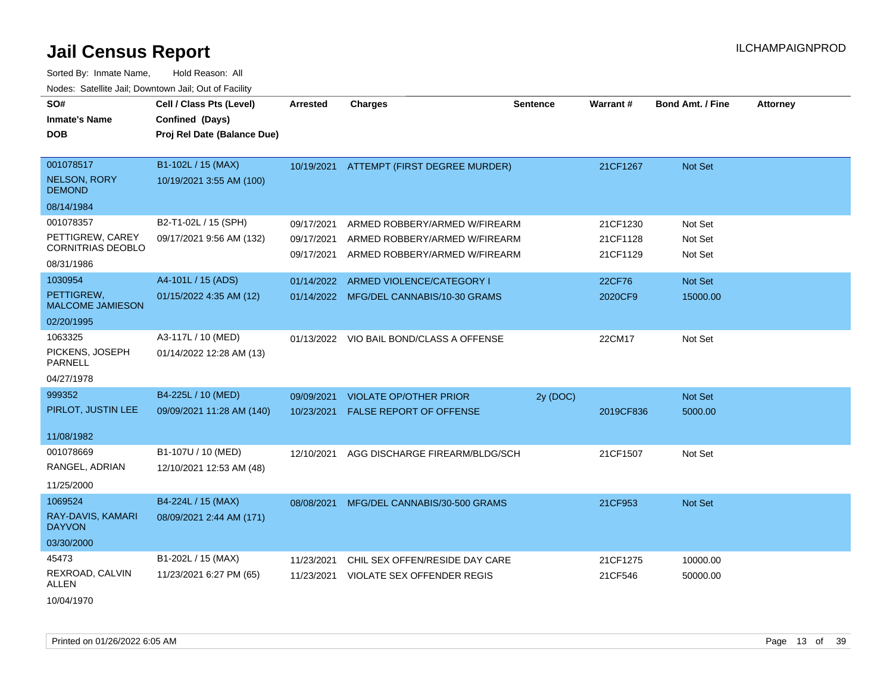| SO#<br><b>Inmate's Name</b><br><b>DOB</b>                                             | Cell / Class Pts (Level)<br>Confined (Days)<br>Proj Rel Date (Balance Due) | Arrested                               | <b>Charges</b>                                                                                  | <b>Sentence</b> | <b>Warrant#</b>                  | <b>Bond Amt. / Fine</b>       | <b>Attorney</b> |
|---------------------------------------------------------------------------------------|----------------------------------------------------------------------------|----------------------------------------|-------------------------------------------------------------------------------------------------|-----------------|----------------------------------|-------------------------------|-----------------|
| 001078517<br><b>NELSON, RORY</b><br><b>DEMOND</b>                                     | B1-102L / 15 (MAX)<br>10/19/2021 3:55 AM (100)                             |                                        | 10/19/2021 ATTEMPT (FIRST DEGREE MURDER)                                                        |                 | 21CF1267                         | Not Set                       |                 |
| 08/14/1984<br>001078357<br>PETTIGREW, CAREY<br><b>CORNITRIAS DEOBLO</b><br>08/31/1986 | B2-T1-02L / 15 (SPH)<br>09/17/2021 9:56 AM (132)                           | 09/17/2021<br>09/17/2021<br>09/17/2021 | ARMED ROBBERY/ARMED W/FIREARM<br>ARMED ROBBERY/ARMED W/FIREARM<br>ARMED ROBBERY/ARMED W/FIREARM |                 | 21CF1230<br>21CF1128<br>21CF1129 | Not Set<br>Not Set<br>Not Set |                 |
| 1030954<br>PETTIGREW,<br><b>MALCOME JAMIESON</b><br>02/20/1995                        | A4-101L / 15 (ADS)<br>01/15/2022 4:35 AM (12)                              | 01/14/2022                             | ARMED VIOLENCE/CATEGORY I<br>01/14/2022 MFG/DEL CANNABIS/10-30 GRAMS                            |                 | 22CF76<br>2020CF9                | Not Set<br>15000.00           |                 |
| 1063325<br>PICKENS, JOSEPH<br><b>PARNELL</b><br>04/27/1978                            | A3-117L / 10 (MED)<br>01/14/2022 12:28 AM (13)                             |                                        | 01/13/2022 VIO BAIL BOND/CLASS A OFFENSE                                                        |                 | 22CM17                           | Not Set                       |                 |
| 999352<br>PIRLOT, JUSTIN LEE<br>11/08/1982                                            | B4-225L / 10 (MED)<br>09/09/2021 11:28 AM (140)                            | 09/09/2021<br>10/23/2021               | <b>VIOLATE OP/OTHER PRIOR</b><br><b>FALSE REPORT OF OFFENSE</b>                                 | 2y (DOC)        | 2019CF836                        | Not Set<br>5000.00            |                 |
| 001078669<br>RANGEL, ADRIAN<br>11/25/2000                                             | B1-107U / 10 (MED)<br>12/10/2021 12:53 AM (48)                             | 12/10/2021                             | AGG DISCHARGE FIREARM/BLDG/SCH                                                                  |                 | 21CF1507                         | Not Set                       |                 |
| 1069524<br>RAY-DAVIS, KAMARI<br><b>DAYVON</b><br>03/30/2000                           | B4-224L / 15 (MAX)<br>08/09/2021 2:44 AM (171)                             |                                        | 08/08/2021 MFG/DEL CANNABIS/30-500 GRAMS                                                        |                 | 21CF953                          | Not Set                       |                 |
| 45473<br>REXROAD, CALVIN<br>ALLEN<br>10/04/1970                                       | B1-202L / 15 (MAX)<br>11/23/2021 6:27 PM (65)                              | 11/23/2021<br>11/23/2021               | CHIL SEX OFFEN/RESIDE DAY CARE<br><b>VIOLATE SEX OFFENDER REGIS</b>                             |                 | 21CF1275<br>21CF546              | 10000.00<br>50000.00          |                 |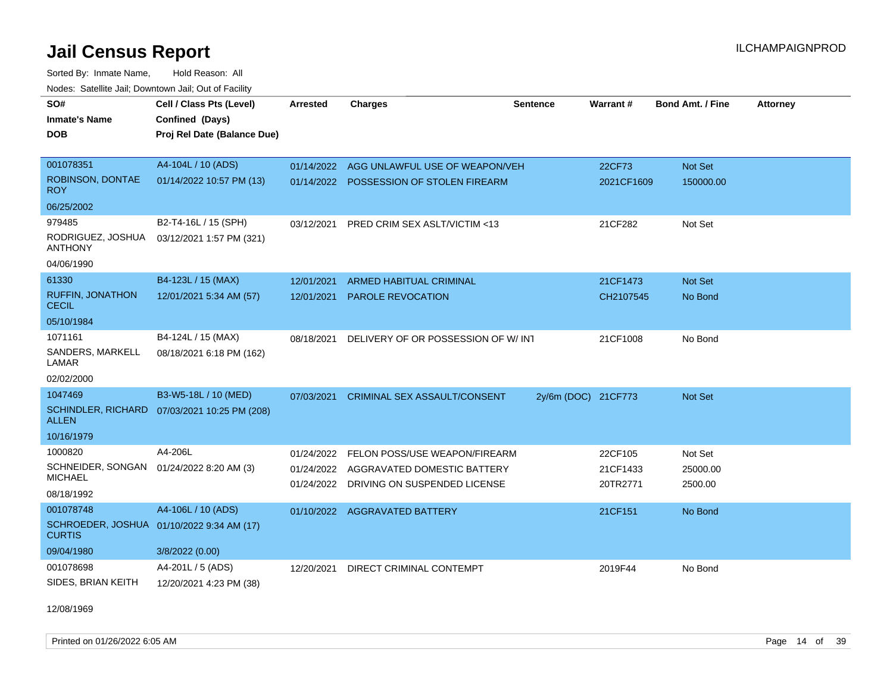Sorted By: Inmate Name, Hold Reason: All Nodes: Satellite Jail; Downtown Jail; Out of Facility

| SO#                                      | Cell / Class Pts (Level)                     | <b>Arrested</b> | <b>Charges</b>                          | <b>Sentence</b>     | Warrant#   | <b>Bond Amt. / Fine</b> | <b>Attorney</b> |
|------------------------------------------|----------------------------------------------|-----------------|-----------------------------------------|---------------------|------------|-------------------------|-----------------|
| <b>Inmate's Name</b>                     | Confined (Days)                              |                 |                                         |                     |            |                         |                 |
| <b>DOB</b>                               | Proj Rel Date (Balance Due)                  |                 |                                         |                     |            |                         |                 |
|                                          |                                              |                 |                                         |                     |            |                         |                 |
| 001078351                                | A4-104L / 10 (ADS)                           | 01/14/2022      | AGG UNLAWFUL USE OF WEAPON/VEH          |                     | 22CF73     | Not Set                 |                 |
| ROBINSON, DONTAE<br>ROY                  | 01/14/2022 10:57 PM (13)                     | 01/14/2022      | POSSESSION OF STOLEN FIREARM            |                     | 2021CF1609 | 150000.00               |                 |
| 06/25/2002                               |                                              |                 |                                         |                     |            |                         |                 |
| 979485                                   | B2-T4-16L / 15 (SPH)                         | 03/12/2021      | PRED CRIM SEX ASLT/VICTIM <13           |                     | 21CF282    | Not Set                 |                 |
| RODRIGUEZ, JOSHUA<br><b>ANTHONY</b>      | 03/12/2021 1:57 PM (321)                     |                 |                                         |                     |            |                         |                 |
| 04/06/1990                               |                                              |                 |                                         |                     |            |                         |                 |
| 61330                                    | B4-123L / 15 (MAX)                           | 12/01/2021      | <b>ARMED HABITUAL CRIMINAL</b>          |                     | 21CF1473   | Not Set                 |                 |
| <b>RUFFIN, JONATHON</b><br><b>CECIL</b>  | 12/01/2021 5:34 AM (57)                      | 12/01/2021      | <b>PAROLE REVOCATION</b>                |                     | CH2107545  | No Bond                 |                 |
| 05/10/1984                               |                                              |                 |                                         |                     |            |                         |                 |
| 1071161                                  | B4-124L / 15 (MAX)                           | 08/18/2021      | DELIVERY OF OR POSSESSION OF W/ INT     |                     | 21CF1008   | No Bond                 |                 |
| SANDERS, MARKELL<br>LAMAR                | 08/18/2021 6:18 PM (162)                     |                 |                                         |                     |            |                         |                 |
| 02/02/2000                               |                                              |                 |                                         |                     |            |                         |                 |
| 1047469                                  | B3-W5-18L / 10 (MED)                         | 07/03/2021      | <b>CRIMINAL SEX ASSAULT/CONSENT</b>     | 2y/6m (DOC) 21CF773 |            | Not Set                 |                 |
| <b>ALLEN</b>                             | SCHINDLER, RICHARD 07/03/2021 10:25 PM (208) |                 |                                         |                     |            |                         |                 |
| 10/16/1979                               |                                              |                 |                                         |                     |            |                         |                 |
| 1000820                                  | A4-206L                                      | 01/24/2022      | FELON POSS/USE WEAPON/FIREARM           |                     | 22CF105    | Not Set                 |                 |
| SCHNEIDER, SONGAN 01/24/2022 8:20 AM (3) |                                              |                 | 01/24/2022 AGGRAVATED DOMESTIC BATTERY  |                     | 21CF1433   | 25000.00                |                 |
| <b>MICHAEL</b>                           |                                              |                 | 01/24/2022 DRIVING ON SUSPENDED LICENSE |                     | 20TR2771   | 2500.00                 |                 |
| 08/18/1992                               |                                              |                 |                                         |                     |            |                         |                 |
| 001078748                                | A4-106L / 10 (ADS)                           |                 | 01/10/2022 AGGRAVATED BATTERY           |                     | 21CF151    | No Bond                 |                 |
| <b>CURTIS</b>                            | SCHROEDER, JOSHUA 01/10/2022 9:34 AM (17)    |                 |                                         |                     |            |                         |                 |
| 09/04/1980                               | 3/8/2022 (0.00)                              |                 |                                         |                     |            |                         |                 |
| 001078698                                | A4-201L / 5 (ADS)                            | 12/20/2021      | DIRECT CRIMINAL CONTEMPT                |                     | 2019F44    | No Bond                 |                 |
| SIDES, BRIAN KEITH                       | 12/20/2021 4:23 PM (38)                      |                 |                                         |                     |            |                         |                 |

12/08/1969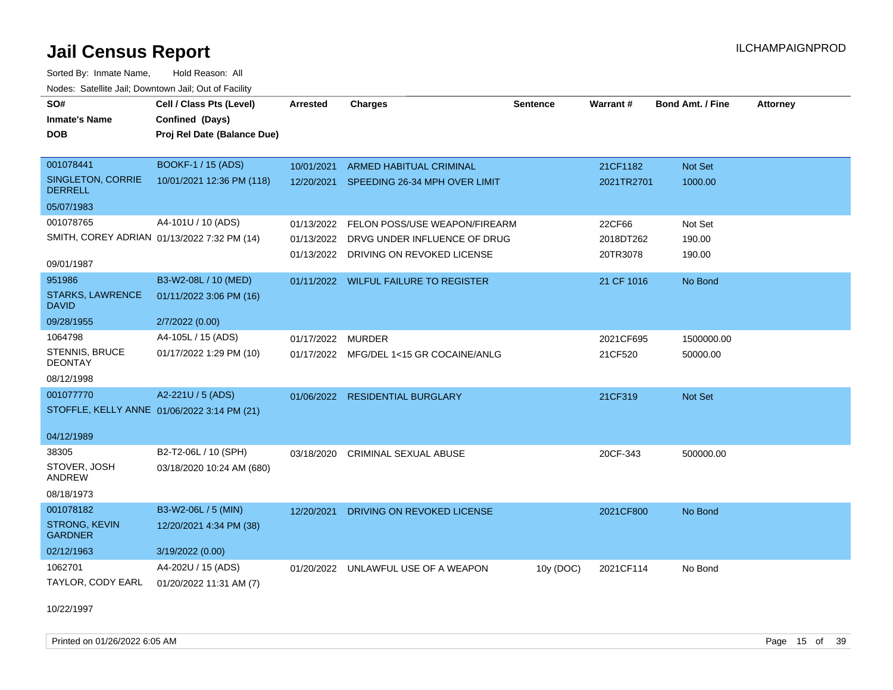Sorted By: Inmate Name, Hold Reason: All Nodes: Satellite Jail; Downtown Jail; Out of Facility

| SO#<br><b>Inmate's Name</b><br><b>DOB</b>   | Cell / Class Pts (Level)<br>Confined (Days)<br>Proj Rel Date (Balance Due) | <b>Arrested</b> | <b>Charges</b>                           | <b>Sentence</b> | Warrant#   | Bond Amt. / Fine | <b>Attorney</b> |
|---------------------------------------------|----------------------------------------------------------------------------|-----------------|------------------------------------------|-----------------|------------|------------------|-----------------|
| 001078441                                   | <b>BOOKF-1 / 15 (ADS)</b>                                                  | 10/01/2021      | ARMED HABITUAL CRIMINAL                  |                 | 21CF1182   | Not Set          |                 |
| SINGLETON, CORRIE<br><b>DERRELL</b>         | 10/01/2021 12:36 PM (118)                                                  |                 | 12/20/2021 SPEEDING 26-34 MPH OVER LIMIT |                 | 2021TR2701 | 1000.00          |                 |
| 05/07/1983                                  |                                                                            |                 |                                          |                 |            |                  |                 |
| 001078765                                   | A4-101U / 10 (ADS)                                                         |                 | 01/13/2022 FELON POSS/USE WEAPON/FIREARM |                 | 22CF66     | Not Set          |                 |
| SMITH, COREY ADRIAN 01/13/2022 7:32 PM (14) |                                                                            |                 | 01/13/2022 DRVG UNDER INFLUENCE OF DRUG  |                 | 2018DT262  | 190.00           |                 |
| 09/01/1987                                  |                                                                            |                 | 01/13/2022 DRIVING ON REVOKED LICENSE    |                 | 20TR3078   | 190.00           |                 |
| 951986                                      | B3-W2-08L / 10 (MED)                                                       |                 | 01/11/2022 WILFUL FAILURE TO REGISTER    |                 | 21 CF 1016 | No Bond          |                 |
| <b>STARKS, LAWRENCE</b><br><b>DAVID</b>     | 01/11/2022 3:06 PM (16)                                                    |                 |                                          |                 |            |                  |                 |
| 09/28/1955                                  | 2/7/2022 (0.00)                                                            |                 |                                          |                 |            |                  |                 |
| 1064798                                     | A4-105L / 15 (ADS)                                                         | 01/17/2022      | MURDER                                   |                 | 2021CF695  | 1500000.00       |                 |
| STENNIS, BRUCE<br><b>DEONTAY</b>            | 01/17/2022 1:29 PM (10)                                                    |                 | 01/17/2022 MFG/DEL 1<15 GR COCAINE/ANLG  |                 | 21CF520    | 50000.00         |                 |
| 08/12/1998                                  |                                                                            |                 |                                          |                 |            |                  |                 |
| 001077770                                   | A2-221U / 5 (ADS)                                                          |                 | 01/06/2022 RESIDENTIAL BURGLARY          |                 | 21CF319    | Not Set          |                 |
| STOFFLE, KELLY ANNE 01/06/2022 3:14 PM (21) |                                                                            |                 |                                          |                 |            |                  |                 |
| 04/12/1989                                  |                                                                            |                 |                                          |                 |            |                  |                 |
| 38305                                       | B2-T2-06L / 10 (SPH)                                                       |                 | 03/18/2020 CRIMINAL SEXUAL ABUSE         |                 | 20CF-343   | 500000.00        |                 |
| STOVER, JOSH<br>ANDREW                      | 03/18/2020 10:24 AM (680)                                                  |                 |                                          |                 |            |                  |                 |
| 08/18/1973                                  |                                                                            |                 |                                          |                 |            |                  |                 |
| 001078182                                   | B3-W2-06L / 5 (MIN)                                                        | 12/20/2021      | DRIVING ON REVOKED LICENSE               |                 | 2021CF800  | No Bond          |                 |
| <b>STRONG, KEVIN</b><br><b>GARDNER</b>      | 12/20/2021 4:34 PM (38)                                                    |                 |                                          |                 |            |                  |                 |
| 02/12/1963                                  | 3/19/2022 (0.00)                                                           |                 |                                          |                 |            |                  |                 |
| 1062701                                     | A4-202U / 15 (ADS)                                                         |                 | 01/20/2022 UNLAWFUL USE OF A WEAPON      | 10y (DOC)       | 2021CF114  | No Bond          |                 |
| TAYLOR, CODY EARL                           | 01/20/2022 11:31 AM (7)                                                    |                 |                                          |                 |            |                  |                 |

10/22/1997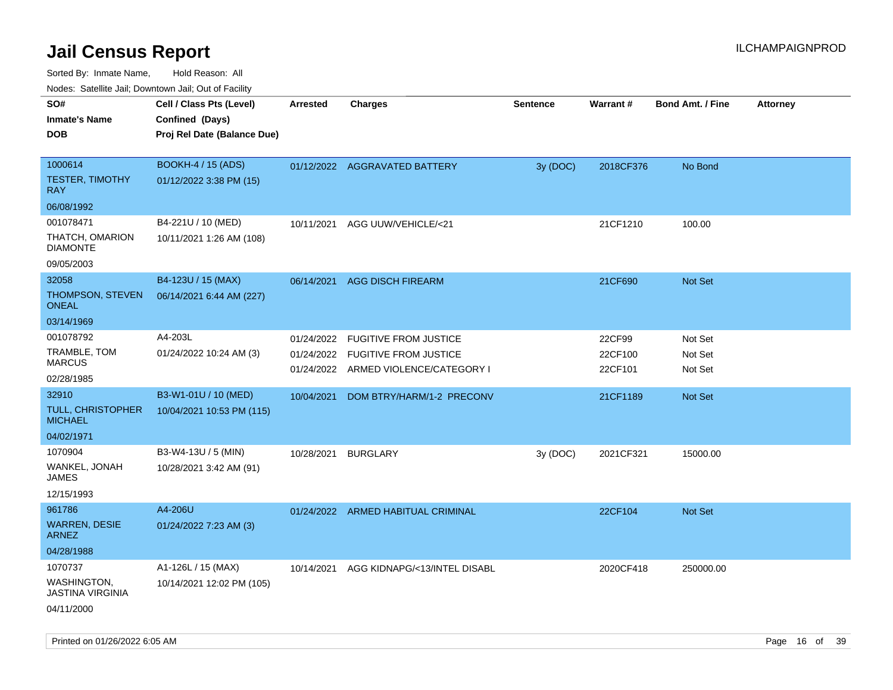| ivous. Saleling Jali, Downtown Jali, Out of Facility |                             |                 |                                                                      |                 |                    |                         |                 |
|------------------------------------------------------|-----------------------------|-----------------|----------------------------------------------------------------------|-----------------|--------------------|-------------------------|-----------------|
| SO#                                                  | Cell / Class Pts (Level)    | <b>Arrested</b> | <b>Charges</b>                                                       | <b>Sentence</b> | Warrant#           | <b>Bond Amt. / Fine</b> | <b>Attorney</b> |
| <b>Inmate's Name</b>                                 | Confined (Days)             |                 |                                                                      |                 |                    |                         |                 |
| <b>DOB</b>                                           | Proj Rel Date (Balance Due) |                 |                                                                      |                 |                    |                         |                 |
|                                                      |                             |                 |                                                                      |                 |                    |                         |                 |
| 1000614                                              | <b>BOOKH-4 / 15 (ADS)</b>   |                 | 01/12/2022 AGGRAVATED BATTERY                                        | 3y (DOC)        | 2018CF376          | No Bond                 |                 |
| <b>TESTER, TIMOTHY</b><br><b>RAY</b>                 | 01/12/2022 3:38 PM (15)     |                 |                                                                      |                 |                    |                         |                 |
| 06/08/1992                                           |                             |                 |                                                                      |                 |                    |                         |                 |
| 001078471                                            | B4-221U / 10 (MED)          | 10/11/2021      | AGG UUW/VEHICLE/<21                                                  |                 | 21CF1210           | 100.00                  |                 |
| THATCH, OMARION<br><b>DIAMONTE</b>                   | 10/11/2021 1:26 AM (108)    |                 |                                                                      |                 |                    |                         |                 |
| 09/05/2003                                           |                             |                 |                                                                      |                 |                    |                         |                 |
| 32058                                                | B4-123U / 15 (MAX)          | 06/14/2021      | <b>AGG DISCH FIREARM</b>                                             |                 | 21CF690            | Not Set                 |                 |
| <b>THOMPSON, STEVEN</b><br><b>ONEAL</b>              | 06/14/2021 6:44 AM (227)    |                 |                                                                      |                 |                    |                         |                 |
| 03/14/1969                                           |                             |                 |                                                                      |                 |                    |                         |                 |
| 001078792                                            | A4-203L                     | 01/24/2022      | <b>FUGITIVE FROM JUSTICE</b>                                         |                 | 22CF99             | Not Set                 |                 |
| TRAMBLE, TOM<br><b>MARCUS</b>                        | 01/24/2022 10:24 AM (3)     | 01/24/2022      | <b>FUGITIVE FROM JUSTICE</b><br>01/24/2022 ARMED VIOLENCE/CATEGORY I |                 | 22CF100<br>22CF101 | Not Set<br>Not Set      |                 |
| 02/28/1985                                           |                             |                 |                                                                      |                 |                    |                         |                 |
| 32910                                                | B3-W1-01U / 10 (MED)        | 10/04/2021      | DOM BTRY/HARM/1-2 PRECONV                                            |                 | 21CF1189           | <b>Not Set</b>          |                 |
| <b>TULL, CHRISTOPHER</b><br><b>MICHAEL</b>           | 10/04/2021 10:53 PM (115)   |                 |                                                                      |                 |                    |                         |                 |
| 04/02/1971                                           |                             |                 |                                                                      |                 |                    |                         |                 |
| 1070904                                              | B3-W4-13U / 5 (MIN)         | 10/28/2021      | <b>BURGLARY</b>                                                      | 3y(DOC)         | 2021CF321          | 15000.00                |                 |
| WANKEL, JONAH<br>JAMES                               | 10/28/2021 3:42 AM (91)     |                 |                                                                      |                 |                    |                         |                 |
| 12/15/1993                                           |                             |                 |                                                                      |                 |                    |                         |                 |
| 961786                                               | A4-206U                     |                 | 01/24/2022 ARMED HABITUAL CRIMINAL                                   |                 | 22CF104            | Not Set                 |                 |
| <b>WARREN, DESIE</b><br><b>ARNEZ</b>                 | 01/24/2022 7:23 AM (3)      |                 |                                                                      |                 |                    |                         |                 |
| 04/28/1988                                           |                             |                 |                                                                      |                 |                    |                         |                 |
| 1070737                                              | A1-126L / 15 (MAX)          | 10/14/2021      | AGG KIDNAPG/<13/INTEL DISABL                                         |                 | 2020CF418          | 250000.00               |                 |
| WASHINGTON,<br><b>JASTINA VIRGINIA</b>               | 10/14/2021 12:02 PM (105)   |                 |                                                                      |                 |                    |                         |                 |
| 04/11/2000                                           |                             |                 |                                                                      |                 |                    |                         |                 |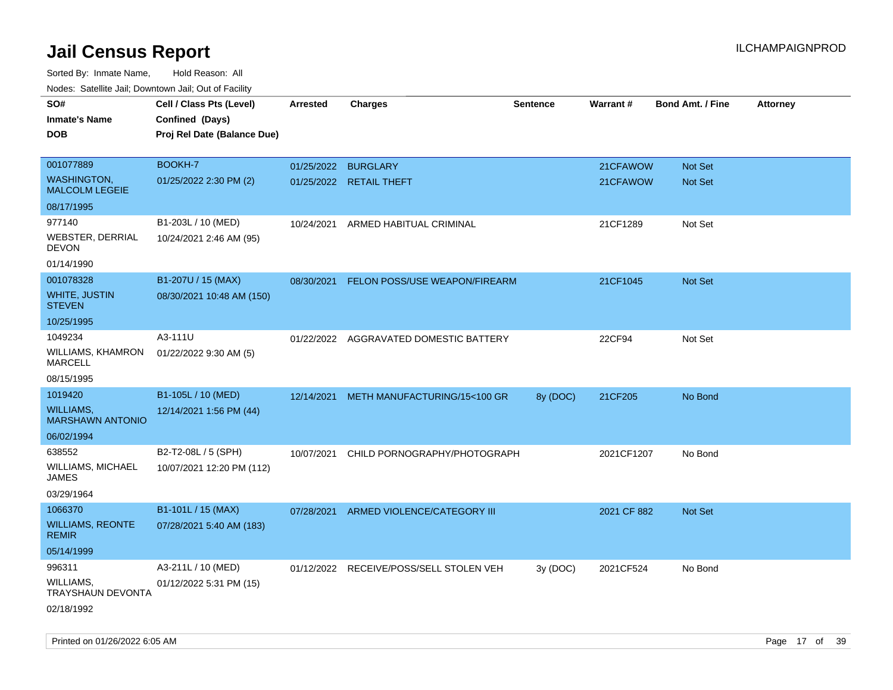| rouco. Calcinic Jan, Downtown Jan, Out of Facility |                             |                     |                                         |                 |             |                         |                 |
|----------------------------------------------------|-----------------------------|---------------------|-----------------------------------------|-----------------|-------------|-------------------------|-----------------|
| SO#                                                | Cell / Class Pts (Level)    | <b>Arrested</b>     | <b>Charges</b>                          | <b>Sentence</b> | Warrant#    | <b>Bond Amt. / Fine</b> | <b>Attorney</b> |
| <b>Inmate's Name</b>                               | Confined (Days)             |                     |                                         |                 |             |                         |                 |
| <b>DOB</b>                                         | Proj Rel Date (Balance Due) |                     |                                         |                 |             |                         |                 |
|                                                    |                             |                     |                                         |                 |             |                         |                 |
| 001077889                                          | BOOKH-7                     | 01/25/2022 BURGLARY |                                         |                 | 21CFAWOW    | Not Set                 |                 |
| <b>WASHINGTON,</b><br><b>MALCOLM LEGEIE</b>        | 01/25/2022 2:30 PM (2)      |                     | 01/25/2022 RETAIL THEFT                 |                 | 21CFAWOW    | <b>Not Set</b>          |                 |
| 08/17/1995                                         |                             |                     |                                         |                 |             |                         |                 |
| 977140                                             | B1-203L / 10 (MED)          | 10/24/2021          | ARMED HABITUAL CRIMINAL                 |                 | 21CF1289    | Not Set                 |                 |
| WEBSTER, DERRIAL<br>DEVON                          | 10/24/2021 2:46 AM (95)     |                     |                                         |                 |             |                         |                 |
| 01/14/1990                                         |                             |                     |                                         |                 |             |                         |                 |
| 001078328                                          | B1-207U / 15 (MAX)          | 08/30/2021          | FELON POSS/USE WEAPON/FIREARM           |                 | 21CF1045    | Not Set                 |                 |
| <b>WHITE, JUSTIN</b><br><b>STEVEN</b>              | 08/30/2021 10:48 AM (150)   |                     |                                         |                 |             |                         |                 |
| 10/25/1995                                         |                             |                     |                                         |                 |             |                         |                 |
| 1049234                                            | A3-111U                     |                     | 01/22/2022 AGGRAVATED DOMESTIC BATTERY  |                 | 22CF94      | Not Set                 |                 |
| <b>WILLIAMS, KHAMRON</b><br><b>MARCELL</b>         | 01/22/2022 9:30 AM (5)      |                     |                                         |                 |             |                         |                 |
| 08/15/1995                                         |                             |                     |                                         |                 |             |                         |                 |
| 1019420                                            | B1-105L / 10 (MED)          | 12/14/2021          | METH MANUFACTURING/15<100 GR            | 8y (DOC)        | 21CF205     | No Bond                 |                 |
| WILLIAMS,<br><b>MARSHAWN ANTONIO</b>               | 12/14/2021 1:56 PM (44)     |                     |                                         |                 |             |                         |                 |
| 06/02/1994                                         |                             |                     |                                         |                 |             |                         |                 |
| 638552                                             | B2-T2-08L / 5 (SPH)         | 10/07/2021          | CHILD PORNOGRAPHY/PHOTOGRAPH            |                 | 2021CF1207  | No Bond                 |                 |
| WILLIAMS, MICHAEL<br>JAMES                         | 10/07/2021 12:20 PM (112)   |                     |                                         |                 |             |                         |                 |
| 03/29/1964                                         |                             |                     |                                         |                 |             |                         |                 |
| 1066370                                            | B1-101L / 15 (MAX)          | 07/28/2021          | ARMED VIOLENCE/CATEGORY III             |                 | 2021 CF 882 | Not Set                 |                 |
| <b>WILLIAMS, REONTE</b><br><b>REMIR</b>            | 07/28/2021 5:40 AM (183)    |                     |                                         |                 |             |                         |                 |
| 05/14/1999                                         |                             |                     |                                         |                 |             |                         |                 |
| 996311                                             | A3-211L / 10 (MED)          |                     | 01/12/2022 RECEIVE/POSS/SELL STOLEN VEH | 3y(DOC)         | 2021CF524   | No Bond                 |                 |
| WILLIAMS,<br>TRAYSHAUN DEVONTA                     | 01/12/2022 5:31 PM (15)     |                     |                                         |                 |             |                         |                 |
| 02/18/1992                                         |                             |                     |                                         |                 |             |                         |                 |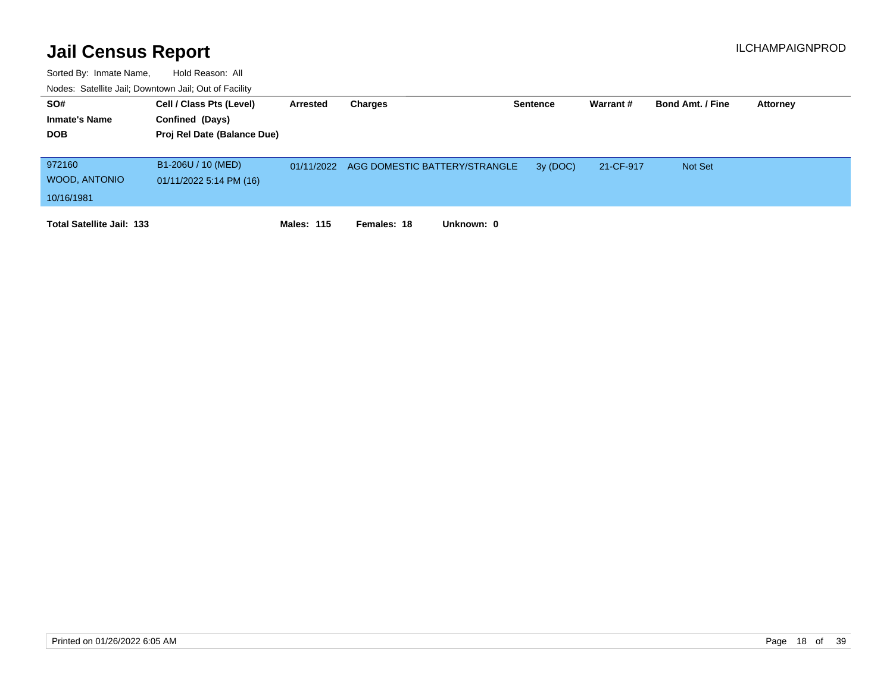| SO#                              | Cell / Class Pts (Level)    | Arrested          | Charges                                  | <b>Sentence</b> | Warrant#  | <b>Bond Amt. / Fine</b> | Attorney |
|----------------------------------|-----------------------------|-------------------|------------------------------------------|-----------------|-----------|-------------------------|----------|
| <b>Inmate's Name</b>             | Confined (Days)             |                   |                                          |                 |           |                         |          |
| <b>DOB</b>                       | Proj Rel Date (Balance Due) |                   |                                          |                 |           |                         |          |
|                                  |                             |                   |                                          |                 |           |                         |          |
| 972160                           | B1-206U / 10 (MED)          |                   | 01/11/2022 AGG DOMESTIC BATTERY/STRANGLE | 3y (DOC)        | 21-CF-917 | <b>Not Set</b>          |          |
| WOOD, ANTONIO                    | 01/11/2022 5:14 PM (16)     |                   |                                          |                 |           |                         |          |
| 10/16/1981                       |                             |                   |                                          |                 |           |                         |          |
| <b>Total Satellite Jail: 133</b> |                             | <b>Males: 115</b> | Unknown: 0<br>Females: 18                |                 |           |                         |          |
|                                  |                             |                   |                                          |                 |           |                         |          |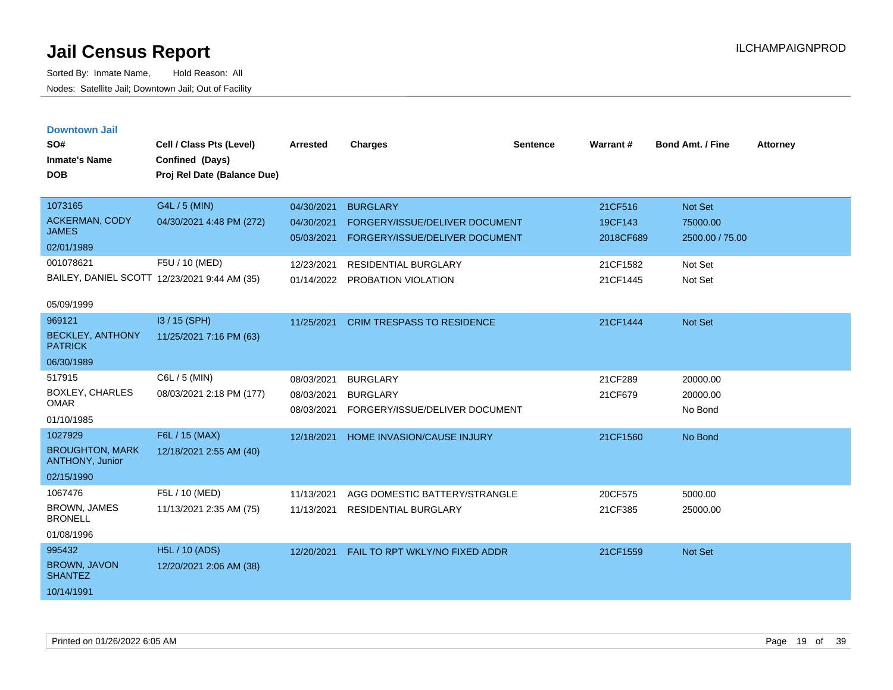| <b>Downtown Jail</b><br>SO#<br><b>Inmate's Name</b><br><b>DOB</b> | Cell / Class Pts (Level)<br>Confined (Days)<br>Proj Rel Date (Balance Due) | <b>Arrested</b>          | <b>Charges</b>                                                   | <b>Sentence</b> | Warrant#             | <b>Bond Amt. / Fine</b>     | <b>Attorney</b> |
|-------------------------------------------------------------------|----------------------------------------------------------------------------|--------------------------|------------------------------------------------------------------|-----------------|----------------------|-----------------------------|-----------------|
|                                                                   |                                                                            |                          |                                                                  |                 |                      |                             |                 |
| 1073165                                                           | G4L / 5 (MIN)                                                              | 04/30/2021               | <b>BURGLARY</b>                                                  |                 | 21CF516              | <b>Not Set</b>              |                 |
| ACKERMAN, CODY<br><b>JAMES</b>                                    | 04/30/2021 4:48 PM (272)                                                   | 04/30/2021<br>05/03/2021 | FORGERY/ISSUE/DELIVER DOCUMENT<br>FORGERY/ISSUE/DELIVER DOCUMENT |                 | 19CF143<br>2018CF689 | 75000.00<br>2500.00 / 75.00 |                 |
| 02/01/1989                                                        |                                                                            |                          |                                                                  |                 |                      |                             |                 |
| 001078621                                                         | F5U / 10 (MED)                                                             | 12/23/2021               | <b>RESIDENTIAL BURGLARY</b>                                      |                 | 21CF1582             | Not Set                     |                 |
|                                                                   | BAILEY, DANIEL SCOTT 12/23/2021 9:44 AM (35)                               | 01/14/2022               | PROBATION VIOLATION                                              |                 | 21CF1445             | Not Set                     |                 |
| 05/09/1999                                                        |                                                                            |                          |                                                                  |                 |                      |                             |                 |
| 969121                                                            | I3 / 15 (SPH)                                                              | 11/25/2021               | <b>CRIM TRESPASS TO RESIDENCE</b>                                |                 | 21CF1444             | <b>Not Set</b>              |                 |
| <b>BECKLEY, ANTHONY</b><br><b>PATRICK</b>                         | 11/25/2021 7:16 PM (63)                                                    |                          |                                                                  |                 |                      |                             |                 |
| 06/30/1989                                                        |                                                                            |                          |                                                                  |                 |                      |                             |                 |
| 517915                                                            | C6L / 5 (MIN)                                                              | 08/03/2021               | <b>BURGLARY</b>                                                  |                 | 21CF289              | 20000.00                    |                 |
| BOXLEY, CHARLES<br><b>OMAR</b>                                    | 08/03/2021 2:18 PM (177)                                                   | 08/03/2021<br>08/03/2021 | <b>BURGLARY</b><br>FORGERY/ISSUE/DELIVER DOCUMENT                |                 | 21CF679              | 20000.00<br>No Bond         |                 |
| 01/10/1985                                                        |                                                                            |                          |                                                                  |                 |                      |                             |                 |
| 1027929                                                           | F6L / 15 (MAX)                                                             | 12/18/2021               | HOME INVASION/CAUSE INJURY                                       |                 | 21CF1560             | No Bond                     |                 |
| <b>BROUGHTON, MARK</b><br><b>ANTHONY, Junior</b>                  | 12/18/2021 2:55 AM (40)                                                    |                          |                                                                  |                 |                      |                             |                 |
| 02/15/1990                                                        |                                                                            |                          |                                                                  |                 |                      |                             |                 |
| 1067476                                                           | F5L / 10 (MED)                                                             | 11/13/2021               | AGG DOMESTIC BATTERY/STRANGLE                                    |                 | 20CF575              | 5000.00                     |                 |
| <b>BROWN, JAMES</b><br><b>BRONELL</b>                             | 11/13/2021 2:35 AM (75)                                                    | 11/13/2021               | RESIDENTIAL BURGLARY                                             |                 | 21CF385              | 25000.00                    |                 |
| 01/08/1996                                                        |                                                                            |                          |                                                                  |                 |                      |                             |                 |
| 995432                                                            | <b>H5L / 10 (ADS)</b>                                                      | 12/20/2021               | FAIL TO RPT WKLY/NO FIXED ADDR                                   |                 | 21CF1559             | <b>Not Set</b>              |                 |
| <b>BROWN, JAVON</b><br><b>SHANTEZ</b>                             | 12/20/2021 2:06 AM (38)                                                    |                          |                                                                  |                 |                      |                             |                 |
| 10/14/1991                                                        |                                                                            |                          |                                                                  |                 |                      |                             |                 |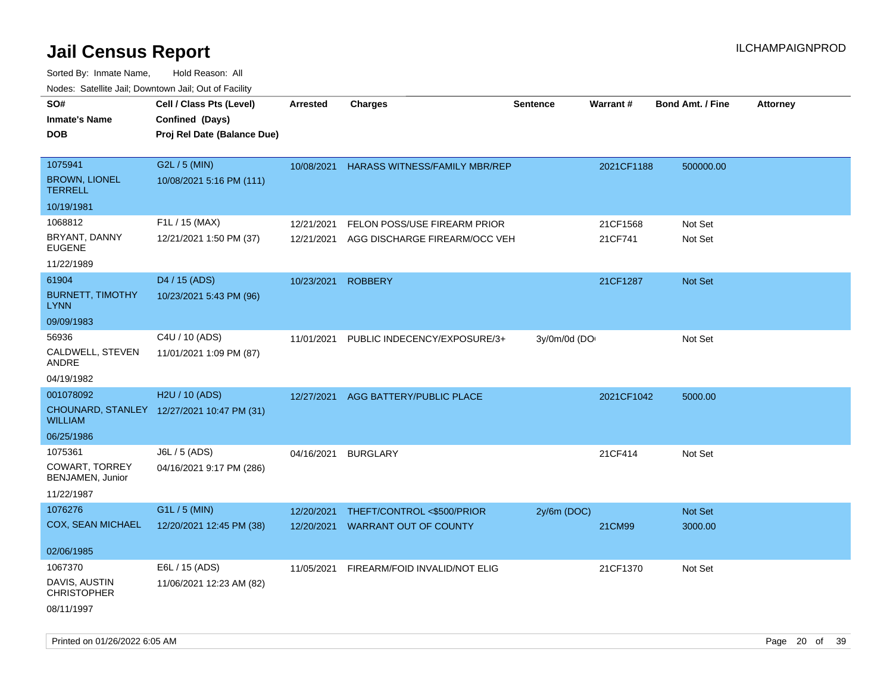| roaco. Calcinio dan, Downtown dan, Cal or Fability |                                            |                 |                               |                 |                 |                         |                 |
|----------------------------------------------------|--------------------------------------------|-----------------|-------------------------------|-----------------|-----------------|-------------------------|-----------------|
| SO#                                                | Cell / Class Pts (Level)                   | <b>Arrested</b> | <b>Charges</b>                | <b>Sentence</b> | <b>Warrant#</b> | <b>Bond Amt. / Fine</b> | <b>Attorney</b> |
| Inmate's Name                                      | Confined (Days)                            |                 |                               |                 |                 |                         |                 |
| DOB                                                | Proj Rel Date (Balance Due)                |                 |                               |                 |                 |                         |                 |
|                                                    |                                            |                 |                               |                 |                 |                         |                 |
| 1075941                                            | G2L / 5 (MIN)                              | 10/08/2021      | HARASS WITNESS/FAMILY MBR/REP |                 | 2021CF1188      | 500000.00               |                 |
| <b>BROWN, LIONEL</b><br><b>TERRELL</b>             | 10/08/2021 5:16 PM (111)                   |                 |                               |                 |                 |                         |                 |
| 10/19/1981                                         |                                            |                 |                               |                 |                 |                         |                 |
| 1068812                                            | F1L / 15 (MAX)                             | 12/21/2021      | FELON POSS/USE FIREARM PRIOR  |                 | 21CF1568        | Not Set                 |                 |
| BRYANT, DANNY<br><b>EUGENE</b>                     | 12/21/2021 1:50 PM (37)                    | 12/21/2021      | AGG DISCHARGE FIREARM/OCC VEH |                 | 21CF741         | Not Set                 |                 |
| 11/22/1989                                         |                                            |                 |                               |                 |                 |                         |                 |
| 61904                                              | D4 / 15 (ADS)                              | 10/23/2021      | <b>ROBBERY</b>                |                 | 21CF1287        | <b>Not Set</b>          |                 |
| <b>BURNETT, TIMOTHY</b><br>LYNN                    | 10/23/2021 5:43 PM (96)                    |                 |                               |                 |                 |                         |                 |
| 09/09/1983                                         |                                            |                 |                               |                 |                 |                         |                 |
| 56936                                              | C4U / 10 (ADS)                             | 11/01/2021      | PUBLIC INDECENCY/EXPOSURE/3+  | 3y/0m/0d (DO    |                 | Not Set                 |                 |
| CALDWELL, STEVEN<br>ANDRE                          | 11/01/2021 1:09 PM (87)                    |                 |                               |                 |                 |                         |                 |
| 04/19/1982                                         |                                            |                 |                               |                 |                 |                         |                 |
| 001078092                                          | H2U / 10 (ADS)                             | 12/27/2021      | AGG BATTERY/PUBLIC PLACE      |                 | 2021CF1042      | 5000.00                 |                 |
| WILLIAM                                            | CHOUNARD, STANLEY 12/27/2021 10:47 PM (31) |                 |                               |                 |                 |                         |                 |
| 06/25/1986                                         |                                            |                 |                               |                 |                 |                         |                 |
| 1075361                                            | J6L / 5 (ADS)                              | 04/16/2021      | <b>BURGLARY</b>               |                 | 21CF414         | Not Set                 |                 |
| COWART, TORREY<br>BENJAMEN, Junior                 | 04/16/2021 9:17 PM (286)                   |                 |                               |                 |                 |                         |                 |
| 11/22/1987                                         |                                            |                 |                               |                 |                 |                         |                 |
| 1076276                                            | G1L / 5 (MIN)                              | 12/20/2021      | THEFT/CONTROL <\$500/PRIOR    | $2y/6m$ (DOC)   |                 | <b>Not Set</b>          |                 |
| COX, SEAN MICHAEL                                  | 12/20/2021 12:45 PM (38)                   | 12/20/2021      | <b>WARRANT OUT OF COUNTY</b>  |                 | 21CM99          | 3000.00                 |                 |
|                                                    |                                            |                 |                               |                 |                 |                         |                 |
| 02/06/1985                                         |                                            |                 |                               |                 |                 |                         |                 |
| 1067370                                            | E6L / 15 (ADS)                             | 11/05/2021      | FIREARM/FOID INVALID/NOT ELIG |                 | 21CF1370        | Not Set                 |                 |
| DAVIS, AUSTIN<br><b>CHRISTOPHER</b>                | 11/06/2021 12:23 AM (82)                   |                 |                               |                 |                 |                         |                 |
| 08/11/1997                                         |                                            |                 |                               |                 |                 |                         |                 |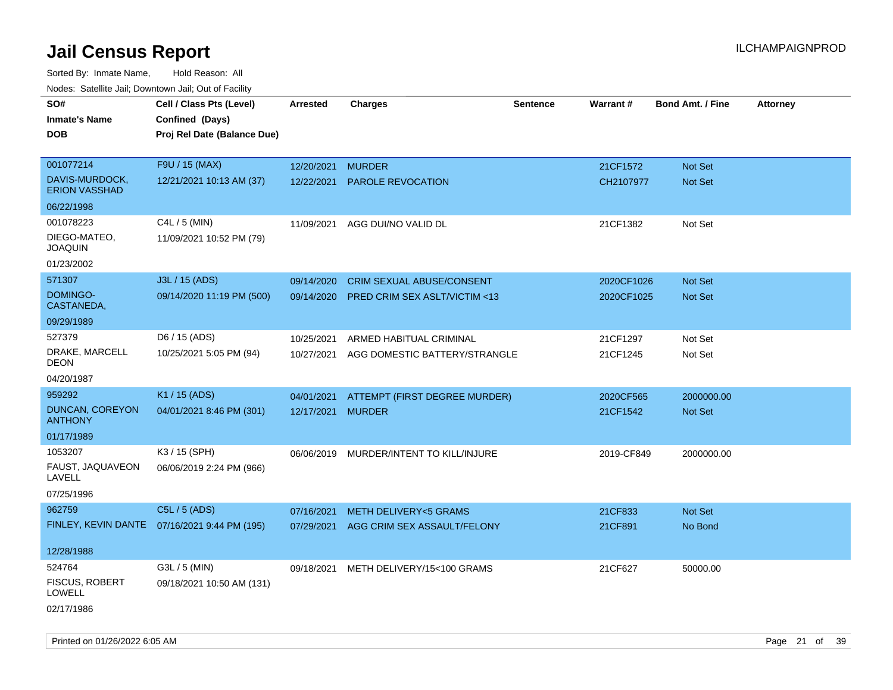| Noues. Salenne Jan, Downtown Jan, Out of Facility |                                              |            |                                         |          |                 |                         |                 |
|---------------------------------------------------|----------------------------------------------|------------|-----------------------------------------|----------|-----------------|-------------------------|-----------------|
| SO#                                               | Cell / Class Pts (Level)                     | Arrested   | <b>Charges</b>                          | Sentence | <b>Warrant#</b> | <b>Bond Amt. / Fine</b> | <b>Attorney</b> |
| <b>Inmate's Name</b>                              | Confined (Days)                              |            |                                         |          |                 |                         |                 |
| <b>DOB</b>                                        | Proj Rel Date (Balance Due)                  |            |                                         |          |                 |                         |                 |
|                                                   |                                              |            |                                         |          |                 |                         |                 |
| 001077214                                         | F9U / 15 (MAX)                               | 12/20/2021 | <b>MURDER</b>                           |          | 21CF1572        | Not Set                 |                 |
| DAVIS-MURDOCK,<br><b>ERION VASSHAD</b>            | 12/21/2021 10:13 AM (37)                     | 12/22/2021 | <b>PAROLE REVOCATION</b>                |          | CH2107977       | Not Set                 |                 |
| 06/22/1998                                        |                                              |            |                                         |          |                 |                         |                 |
| 001078223                                         | C4L / 5 (MIN)                                | 11/09/2021 | AGG DUI/NO VALID DL                     |          | 21CF1382        | Not Set                 |                 |
| DIEGO-MATEO,<br><b>JOAQUIN</b>                    | 11/09/2021 10:52 PM (79)                     |            |                                         |          |                 |                         |                 |
| 01/23/2002                                        |                                              |            |                                         |          |                 |                         |                 |
| 571307                                            | J3L / 15 (ADS)                               | 09/14/2020 | <b>CRIM SEXUAL ABUSE/CONSENT</b>        |          | 2020CF1026      | Not Set                 |                 |
| DOMINGO-<br>CASTANEDA,                            | 09/14/2020 11:19 PM (500)                    | 09/14/2020 | PRED CRIM SEX ASLT/VICTIM <13           |          | 2020CF1025      | Not Set                 |                 |
| 09/29/1989                                        |                                              |            |                                         |          |                 |                         |                 |
| 527379                                            | D6 / 15 (ADS)                                | 10/25/2021 | ARMED HABITUAL CRIMINAL                 |          | 21CF1297        | Not Set                 |                 |
| DRAKE, MARCELL<br>DEON                            | 10/25/2021 5:05 PM (94)                      | 10/27/2021 | AGG DOMESTIC BATTERY/STRANGLE           |          | 21CF1245        | Not Set                 |                 |
| 04/20/1987                                        |                                              |            |                                         |          |                 |                         |                 |
| 959292                                            | K1 / 15 (ADS)                                | 04/01/2021 | <b>ATTEMPT (FIRST DEGREE MURDER)</b>    |          | 2020CF565       | 2000000.00              |                 |
| DUNCAN, COREYON<br><b>ANTHONY</b>                 | 04/01/2021 8:46 PM (301)                     | 12/17/2021 | <b>MURDER</b>                           |          | 21CF1542        | <b>Not Set</b>          |                 |
| 01/17/1989                                        |                                              |            |                                         |          |                 |                         |                 |
| 1053207                                           | K3 / 15 (SPH)                                |            | 06/06/2019 MURDER/INTENT TO KILL/INJURE |          | 2019-CF849      | 2000000.00              |                 |
| FAUST, JAQUAVEON<br>LAVELL                        | 06/06/2019 2:24 PM (966)                     |            |                                         |          |                 |                         |                 |
| 07/25/1996                                        |                                              |            |                                         |          |                 |                         |                 |
| 962759                                            | C5L / 5 (ADS)                                | 07/16/2021 | <b>METH DELIVERY&lt;5 GRAMS</b>         |          | 21CF833         | <b>Not Set</b>          |                 |
|                                                   | FINLEY, KEVIN DANTE 07/16/2021 9:44 PM (195) | 07/29/2021 | AGG CRIM SEX ASSAULT/FELONY             |          | 21CF891         | No Bond                 |                 |
|                                                   |                                              |            |                                         |          |                 |                         |                 |
| 12/28/1988                                        |                                              |            |                                         |          |                 |                         |                 |
| 524764                                            | G3L / 5 (MIN)                                | 09/18/2021 | METH DELIVERY/15<100 GRAMS              |          | 21CF627         | 50000.00                |                 |
| <b>FISCUS, ROBERT</b><br>LOWELL                   | 09/18/2021 10:50 AM (131)                    |            |                                         |          |                 |                         |                 |
| 02/17/1986                                        |                                              |            |                                         |          |                 |                         |                 |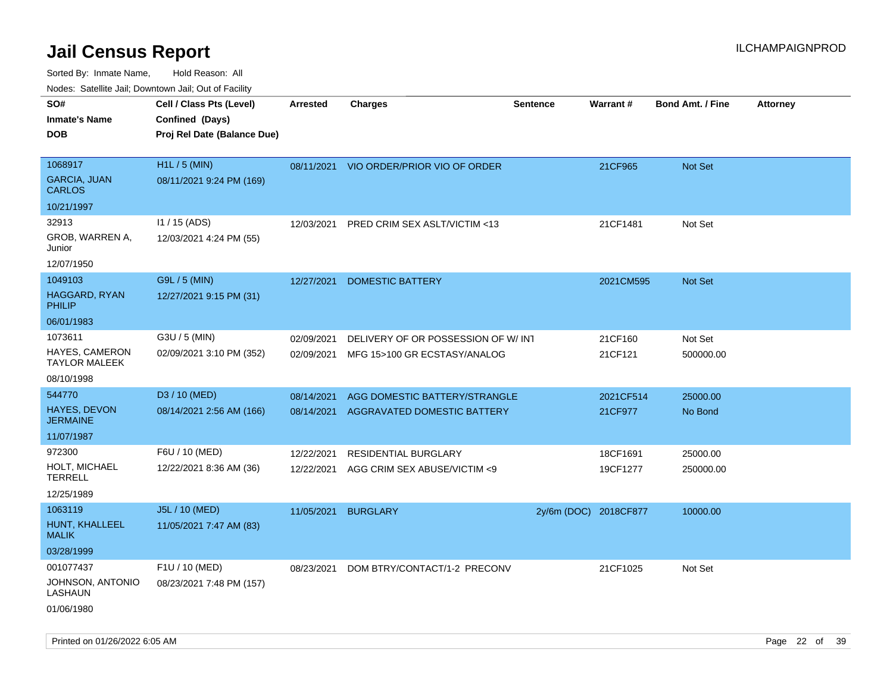| ivouss. Satellite Jall, Downtown Jall, Out of Facility |                             |            |                                    |                       |           |                         |                 |
|--------------------------------------------------------|-----------------------------|------------|------------------------------------|-----------------------|-----------|-------------------------|-----------------|
| SO#                                                    | Cell / Class Pts (Level)    | Arrested   | <b>Charges</b>                     | Sentence              | Warrant#  | <b>Bond Amt. / Fine</b> | <b>Attorney</b> |
| <b>Inmate's Name</b>                                   | Confined (Days)             |            |                                    |                       |           |                         |                 |
| <b>DOB</b>                                             | Proj Rel Date (Balance Due) |            |                                    |                       |           |                         |                 |
|                                                        |                             |            |                                    |                       |           |                         |                 |
| 1068917                                                | H1L / 5 (MIN)               | 08/11/2021 | VIO ORDER/PRIOR VIO OF ORDER       |                       | 21CF965   | Not Set                 |                 |
| <b>GARCIA, JUAN</b><br><b>CARLOS</b>                   | 08/11/2021 9:24 PM (169)    |            |                                    |                       |           |                         |                 |
| 10/21/1997                                             |                             |            |                                    |                       |           |                         |                 |
| 32913                                                  | $11 / 15$ (ADS)             | 12/03/2021 | PRED CRIM SEX ASLT/VICTIM <13      |                       | 21CF1481  | Not Set                 |                 |
| GROB, WARREN A,<br>Junior                              | 12/03/2021 4:24 PM (55)     |            |                                    |                       |           |                         |                 |
| 12/07/1950                                             |                             |            |                                    |                       |           |                         |                 |
| 1049103                                                | G9L / 5 (MIN)               | 12/27/2021 | <b>DOMESTIC BATTERY</b>            |                       | 2021CM595 | <b>Not Set</b>          |                 |
| <b>HAGGARD, RYAN</b><br><b>PHILIP</b>                  | 12/27/2021 9:15 PM (31)     |            |                                    |                       |           |                         |                 |
| 06/01/1983                                             |                             |            |                                    |                       |           |                         |                 |
| 1073611                                                | G3U / 5 (MIN)               | 02/09/2021 | DELIVERY OF OR POSSESSION OF W/INT |                       | 21CF160   | Not Set                 |                 |
| HAYES, CAMERON<br><b>TAYLOR MALEEK</b>                 | 02/09/2021 3:10 PM (352)    | 02/09/2021 | MFG 15>100 GR ECSTASY/ANALOG       |                       | 21CF121   | 500000.00               |                 |
| 08/10/1998                                             |                             |            |                                    |                       |           |                         |                 |
| 544770                                                 | D3 / 10 (MED)               | 08/14/2021 | AGG DOMESTIC BATTERY/STRANGLE      |                       | 2021CF514 | 25000.00                |                 |
| <b>HAYES, DEVON</b><br><b>JERMAINE</b>                 | 08/14/2021 2:56 AM (166)    | 08/14/2021 | AGGRAVATED DOMESTIC BATTERY        |                       | 21CF977   | No Bond                 |                 |
| 11/07/1987                                             |                             |            |                                    |                       |           |                         |                 |
| 972300                                                 | F6U / 10 (MED)              | 12/22/2021 | <b>RESIDENTIAL BURGLARY</b>        |                       | 18CF1691  | 25000.00                |                 |
| HOLT, MICHAEL<br><b>TERRELL</b>                        | 12/22/2021 8:36 AM (36)     | 12/22/2021 | AGG CRIM SEX ABUSE/VICTIM <9       |                       | 19CF1277  | 250000.00               |                 |
| 12/25/1989                                             |                             |            |                                    |                       |           |                         |                 |
| 1063119                                                | J5L / 10 (MED)              | 11/05/2021 | <b>BURGLARY</b>                    | 2y/6m (DOC) 2018CF877 |           | 10000.00                |                 |
| HUNT, KHALLEEL<br><b>MALIK</b>                         | 11/05/2021 7:47 AM (83)     |            |                                    |                       |           |                         |                 |
| 03/28/1999                                             |                             |            |                                    |                       |           |                         |                 |
| 001077437                                              | F1U / 10 (MED)              | 08/23/2021 | DOM BTRY/CONTACT/1-2 PRECONV       |                       | 21CF1025  | Not Set                 |                 |
| JOHNSON, ANTONIO<br>LASHAUN                            | 08/23/2021 7:48 PM (157)    |            |                                    |                       |           |                         |                 |
| 01/06/1980                                             |                             |            |                                    |                       |           |                         |                 |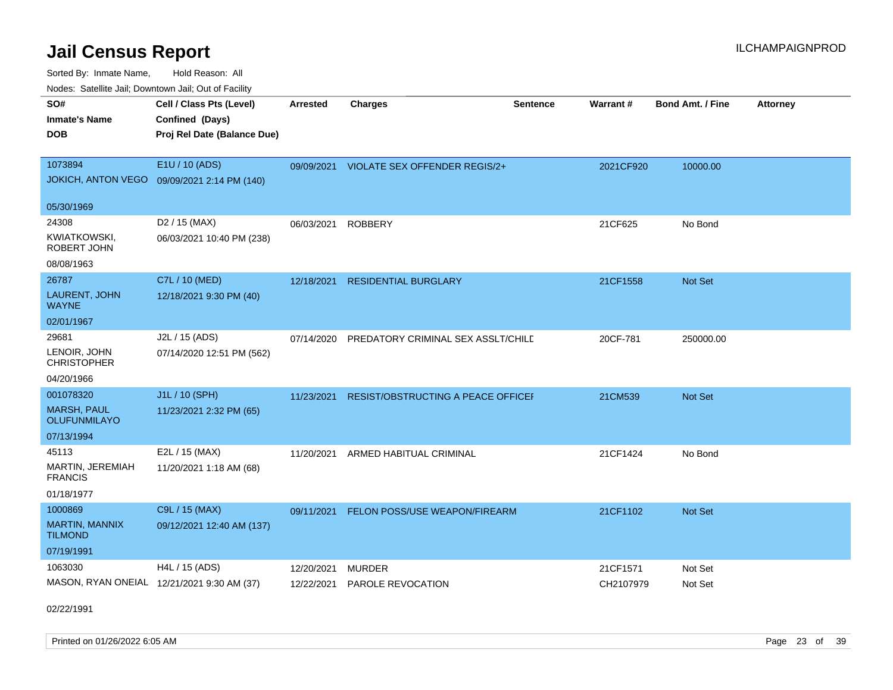Sorted By: Inmate Name, Hold Reason: All Nodes: Satellite Jail; Downtown Jail; Out of Facility

| <u>Houcs.</u> Outchne Juli, Downtown Juli, Out of Facility |                                             |                 |                                          |                 |           |                         |                 |
|------------------------------------------------------------|---------------------------------------------|-----------------|------------------------------------------|-----------------|-----------|-------------------------|-----------------|
| SO#                                                        | Cell / Class Pts (Level)                    | <b>Arrested</b> | <b>Charges</b>                           | <b>Sentence</b> | Warrant#  | <b>Bond Amt. / Fine</b> | <b>Attorney</b> |
| <b>Inmate's Name</b>                                       | Confined (Days)                             |                 |                                          |                 |           |                         |                 |
| <b>DOB</b>                                                 | Proj Rel Date (Balance Due)                 |                 |                                          |                 |           |                         |                 |
|                                                            |                                             |                 |                                          |                 |           |                         |                 |
| 1073894                                                    | E1U / 10 (ADS)                              |                 | 09/09/2021 VIOLATE SEX OFFENDER REGIS/2+ |                 | 2021CF920 | 10000.00                |                 |
|                                                            | JOKICH, ANTON VEGO 09/09/2021 2:14 PM (140) |                 |                                          |                 |           |                         |                 |
| 05/30/1969                                                 |                                             |                 |                                          |                 |           |                         |                 |
| 24308                                                      | D <sub>2</sub> / 15 (MAX)                   | 06/03/2021      | <b>ROBBERY</b>                           |                 | 21CF625   | No Bond                 |                 |
| <b>KWIATKOWSKI,</b><br>ROBERT JOHN                         | 06/03/2021 10:40 PM (238)                   |                 |                                          |                 |           |                         |                 |
| 08/08/1963                                                 |                                             |                 |                                          |                 |           |                         |                 |
| 26787                                                      | C7L / 10 (MED)                              | 12/18/2021      | <b>RESIDENTIAL BURGLARY</b>              |                 | 21CF1558  | <b>Not Set</b>          |                 |
| LAURENT, JOHN<br><b>WAYNE</b>                              | 12/18/2021 9:30 PM (40)                     |                 |                                          |                 |           |                         |                 |
| 02/01/1967                                                 |                                             |                 |                                          |                 |           |                         |                 |
| 29681                                                      | J2L / 15 (ADS)                              | 07/14/2020      | PREDATORY CRIMINAL SEX ASSLT/CHILD       |                 | 20CF-781  | 250000.00               |                 |
| LENOIR, JOHN<br><b>CHRISTOPHER</b>                         | 07/14/2020 12:51 PM (562)                   |                 |                                          |                 |           |                         |                 |
| 04/20/1966                                                 |                                             |                 |                                          |                 |           |                         |                 |
| 001078320                                                  | J1L / 10 (SPH)                              | 11/23/2021      | RESIST/OBSTRUCTING A PEACE OFFICEI       |                 | 21CM539   | Not Set                 |                 |
| <b>MARSH, PAUL</b><br><b>OLUFUNMILAYO</b>                  | 11/23/2021 2:32 PM (65)                     |                 |                                          |                 |           |                         |                 |
| 07/13/1994                                                 |                                             |                 |                                          |                 |           |                         |                 |
| 45113                                                      | E2L / 15 (MAX)                              | 11/20/2021      | ARMED HABITUAL CRIMINAL                  |                 | 21CF1424  | No Bond                 |                 |
| <b>MARTIN, JEREMIAH</b><br><b>FRANCIS</b>                  | 11/20/2021 1:18 AM (68)                     |                 |                                          |                 |           |                         |                 |
| 01/18/1977                                                 |                                             |                 |                                          |                 |           |                         |                 |
| 1000869                                                    | C9L / 15 (MAX)                              | 09/11/2021      | FELON POSS/USE WEAPON/FIREARM            |                 | 21CF1102  | Not Set                 |                 |
| MARTIN, MANNIX<br><b>TILMOND</b>                           | 09/12/2021 12:40 AM (137)                   |                 |                                          |                 |           |                         |                 |
| 07/19/1991                                                 |                                             |                 |                                          |                 |           |                         |                 |
| 1063030                                                    | H4L / 15 (ADS)                              | 12/20/2021      | MURDER                                   |                 | 21CF1571  | Not Set                 |                 |
|                                                            | MASON, RYAN ONEIAL 12/21/2021 9:30 AM (37)  | 12/22/2021      | PAROLE REVOCATION                        |                 | CH2107979 | Not Set                 |                 |

02/22/1991

Printed on 01/26/2022 6:05 AM Page 23 of 39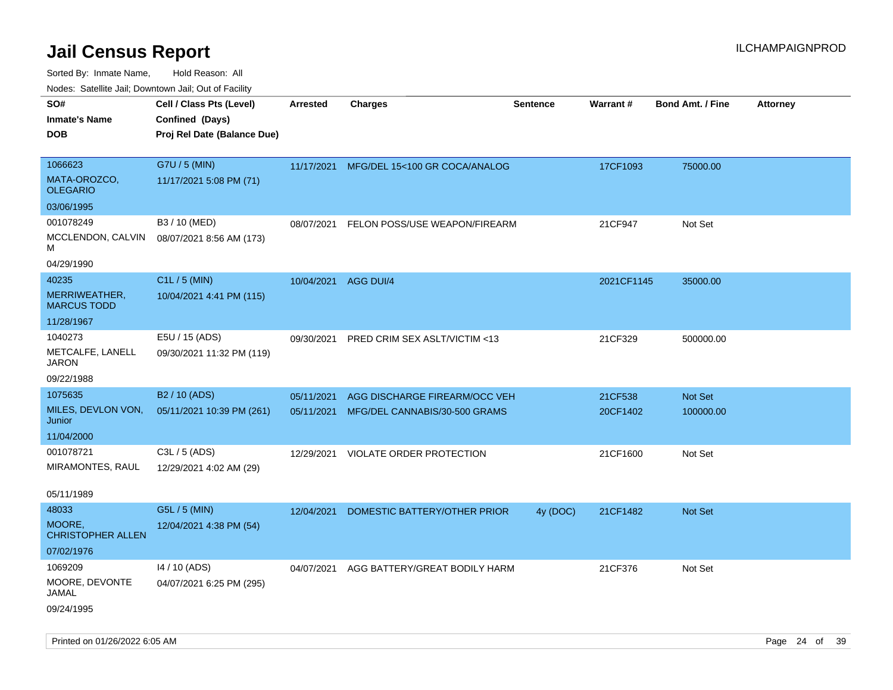Sorted By: Inmate Name, Hold Reason: All

| Nodes: Satellite Jail; Downtown Jail; Out of Facility |                             |                 |                               |                 |                 |                  |                 |
|-------------------------------------------------------|-----------------------------|-----------------|-------------------------------|-----------------|-----------------|------------------|-----------------|
| SO#                                                   | Cell / Class Pts (Level)    | <b>Arrested</b> | <b>Charges</b>                | <b>Sentence</b> | <b>Warrant#</b> | Bond Amt. / Fine | <b>Attorney</b> |
| <b>Inmate's Name</b>                                  | Confined (Days)             |                 |                               |                 |                 |                  |                 |
| <b>DOB</b>                                            | Proj Rel Date (Balance Due) |                 |                               |                 |                 |                  |                 |
|                                                       |                             |                 |                               |                 |                 |                  |                 |
| 1066623                                               | G7U / 5 (MIN)               | 11/17/2021      | MFG/DEL 15<100 GR COCA/ANALOG |                 | 17CF1093        | 75000.00         |                 |
| MATA-OROZCO,<br><b>OLEGARIO</b>                       | 11/17/2021 5:08 PM (71)     |                 |                               |                 |                 |                  |                 |
| 03/06/1995                                            |                             |                 |                               |                 |                 |                  |                 |
| 001078249                                             | B3 / 10 (MED)               | 08/07/2021      | FELON POSS/USE WEAPON/FIREARM |                 | 21CF947         | Not Set          |                 |
| MCCLENDON, CALVIN<br>M                                | 08/07/2021 8:56 AM (173)    |                 |                               |                 |                 |                  |                 |
| 04/29/1990                                            |                             |                 |                               |                 |                 |                  |                 |
| 40235                                                 | C1L / 5 (MIN)               | 10/04/2021      | AGG DUI/4                     |                 | 2021CF1145      | 35000.00         |                 |
| MERRIWEATHER,<br><b>MARCUS TODD</b>                   | 10/04/2021 4:41 PM (115)    |                 |                               |                 |                 |                  |                 |
| 11/28/1967                                            |                             |                 |                               |                 |                 |                  |                 |
| 1040273                                               | E5U / 15 (ADS)              | 09/30/2021      | PRED CRIM SEX ASLT/VICTIM <13 |                 | 21CF329         | 500000.00        |                 |
| METCALFE, LANELL<br>JARON                             | 09/30/2021 11:32 PM (119)   |                 |                               |                 |                 |                  |                 |
| 09/22/1988                                            |                             |                 |                               |                 |                 |                  |                 |
| 1075635                                               | B <sub>2</sub> / 10 (ADS)   | 05/11/2021      | AGG DISCHARGE FIREARM/OCC VEH |                 | 21CF538         | Not Set          |                 |
| MILES, DEVLON VON,                                    | 05/11/2021 10:39 PM (261)   | 05/11/2021      | MFG/DEL CANNABIS/30-500 GRAMS |                 | 20CF1402        | 100000.00        |                 |
| Junior                                                |                             |                 |                               |                 |                 |                  |                 |
| 11/04/2000                                            |                             |                 |                               |                 |                 |                  |                 |
| 001078721                                             | C3L / 5 (ADS)               | 12/29/2021      | VIOLATE ORDER PROTECTION      |                 | 21CF1600        | Not Set          |                 |
| MIRAMONTES, RAUL                                      | 12/29/2021 4:02 AM (29)     |                 |                               |                 |                 |                  |                 |
| 05/11/1989                                            |                             |                 |                               |                 |                 |                  |                 |
| 48033                                                 | G5L / 5 (MIN)               | 12/04/2021      | DOMESTIC BATTERY/OTHER PRIOR  | 4y (DOC)        | 21CF1482        | Not Set          |                 |
| MOORE,<br><b>CHRISTOPHER ALLEN</b>                    | 12/04/2021 4:38 PM (54)     |                 |                               |                 |                 |                  |                 |
| 07/02/1976                                            |                             |                 |                               |                 |                 |                  |                 |
| 1069209                                               | 14 / 10 (ADS)               | 04/07/2021      | AGG BATTERY/GREAT BODILY HARM |                 | 21CF376         | Not Set          |                 |
| MOORE, DEVONTE                                        | 04/07/2021 6:25 PM (295)    |                 |                               |                 |                 |                  |                 |
| JAMAL                                                 |                             |                 |                               |                 |                 |                  |                 |
| 09/24/1995                                            |                             |                 |                               |                 |                 |                  |                 |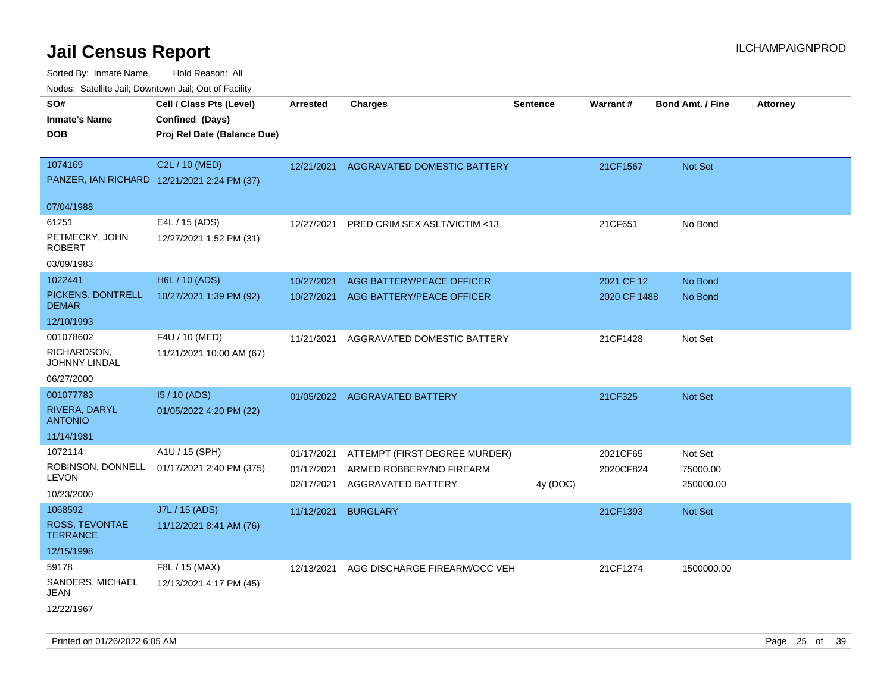Sorted By: Inmate Name, Hold Reason: All Nodes: Satellite Jail; Downtown Jail; Out of Facility

| Nudes. Salenne Jan, Downlown Jan, Out of Facility |                                             |            |                               |                 |                 |                         |                 |
|---------------------------------------------------|---------------------------------------------|------------|-------------------------------|-----------------|-----------------|-------------------------|-----------------|
| SO#                                               | Cell / Class Pts (Level)                    | Arrested   | <b>Charges</b>                | <b>Sentence</b> | <b>Warrant#</b> | <b>Bond Amt. / Fine</b> | <b>Attorney</b> |
| <b>Inmate's Name</b>                              | Confined (Days)                             |            |                               |                 |                 |                         |                 |
| DOB                                               | Proj Rel Date (Balance Due)                 |            |                               |                 |                 |                         |                 |
|                                                   |                                             |            |                               |                 |                 |                         |                 |
| 1074169                                           | C2L / 10 (MED)                              | 12/21/2021 | AGGRAVATED DOMESTIC BATTERY   |                 | 21CF1567        | <b>Not Set</b>          |                 |
|                                                   | PANZER, IAN RICHARD 12/21/2021 2:24 PM (37) |            |                               |                 |                 |                         |                 |
| 07/04/1988                                        |                                             |            |                               |                 |                 |                         |                 |
| 61251                                             | E4L / 15 (ADS)                              | 12/27/2021 | PRED CRIM SEX ASLT/VICTIM <13 |                 | 21CF651         | No Bond                 |                 |
| PETMECKY, JOHN<br>ROBERT                          | 12/27/2021 1:52 PM (31)                     |            |                               |                 |                 |                         |                 |
| 03/09/1983                                        |                                             |            |                               |                 |                 |                         |                 |
| 1022441                                           | H6L / 10 (ADS)                              | 10/27/2021 | AGG BATTERY/PEACE OFFICER     |                 | 2021 CF 12      | No Bond                 |                 |
| PICKENS, DONTRELL<br><b>DEMAR</b>                 | 10/27/2021 1:39 PM (92)                     | 10/27/2021 | AGG BATTERY/PEACE OFFICER     |                 | 2020 CF 1488    | No Bond                 |                 |
| 12/10/1993                                        |                                             |            |                               |                 |                 |                         |                 |
| 001078602                                         | F4U / 10 (MED)                              | 11/21/2021 | AGGRAVATED DOMESTIC BATTERY   |                 | 21CF1428        | Not Set                 |                 |
| RICHARDSON,<br>JOHNNY LINDAL                      | 11/21/2021 10:00 AM (67)                    |            |                               |                 |                 |                         |                 |
| 06/27/2000                                        |                                             |            |                               |                 |                 |                         |                 |
| 001077783                                         | 15 / 10 (ADS)                               |            | 01/05/2022 AGGRAVATED BATTERY |                 | 21CF325         | <b>Not Set</b>          |                 |
| RIVERA, DARYL<br><b>ANTONIO</b>                   | 01/05/2022 4:20 PM (22)                     |            |                               |                 |                 |                         |                 |
| 11/14/1981                                        |                                             |            |                               |                 |                 |                         |                 |
| 1072114                                           | A1U / 15 (SPH)                              | 01/17/2021 | ATTEMPT (FIRST DEGREE MURDER) |                 | 2021CF65        | Not Set                 |                 |
| ROBINSON, DONNELL                                 | 01/17/2021 2:40 PM (375)                    | 01/17/2021 | ARMED ROBBERY/NO FIREARM      |                 | 2020CF824       | 75000.00                |                 |
| LEVON                                             |                                             | 02/17/2021 | AGGRAVATED BATTERY            | 4y (DOC)        |                 | 250000.00               |                 |
| 10/23/2000                                        |                                             |            |                               |                 |                 |                         |                 |
| 1068592                                           | J7L / 15 (ADS)                              | 11/12/2021 | <b>BURGLARY</b>               |                 | 21CF1393        | Not Set                 |                 |
| ROSS, TEVONTAE<br><b>TERRANCE</b>                 | 11/12/2021 8:41 AM (76)                     |            |                               |                 |                 |                         |                 |
| 12/15/1998                                        |                                             |            |                               |                 |                 |                         |                 |
| 59178                                             | F8L / 15 (MAX)                              | 12/13/2021 | AGG DISCHARGE FIREARM/OCC VEH |                 | 21CF1274        | 1500000.00              |                 |
| SANDERS, MICHAEL<br>JEAN                          | 12/13/2021 4:17 PM (45)                     |            |                               |                 |                 |                         |                 |
| 12/22/1967                                        |                                             |            |                               |                 |                 |                         |                 |

Printed on 01/26/2022 6:05 AM Page 25 of 39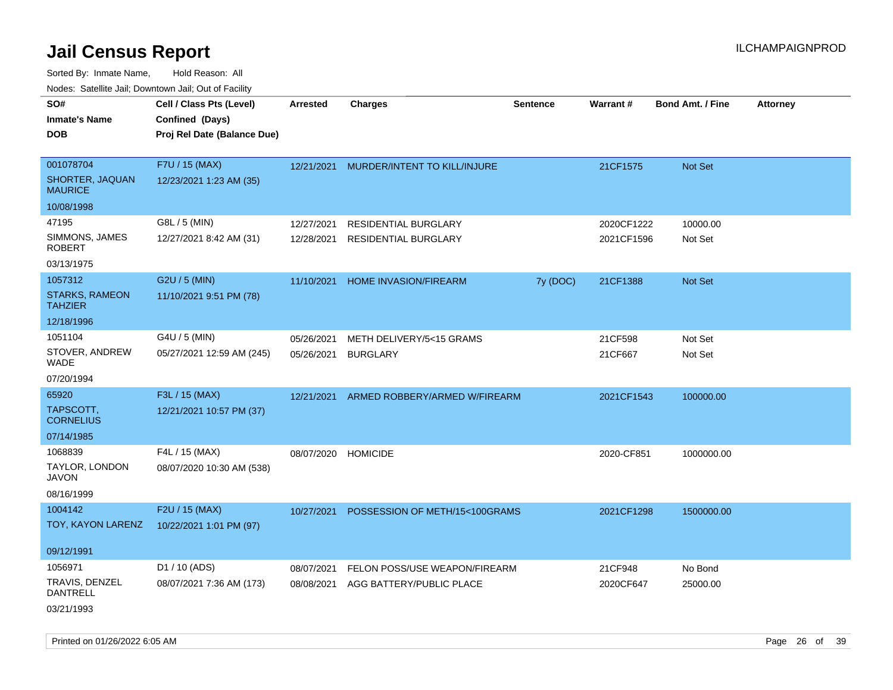Sorted By: Inmate Name, Hold Reason: All Nodes: Satellite Jail; Downtown Jail; Out of Facility

| rougs. Calcing Jan, Downtown Jan, Out of Facility                    |                                                                            |                          |                                                           |                 |                          |                         |                 |
|----------------------------------------------------------------------|----------------------------------------------------------------------------|--------------------------|-----------------------------------------------------------|-----------------|--------------------------|-------------------------|-----------------|
| SO#<br><b>Inmate's Name</b><br><b>DOB</b>                            | Cell / Class Pts (Level)<br>Confined (Days)<br>Proj Rel Date (Balance Due) | <b>Arrested</b>          | <b>Charges</b>                                            | <b>Sentence</b> | Warrant#                 | <b>Bond Amt. / Fine</b> | <b>Attorney</b> |
| 001078704<br>SHORTER, JAQUAN<br><b>MAURICE</b>                       | F7U / 15 (MAX)<br>12/23/2021 1:23 AM (35)                                  |                          | 12/21/2021 MURDER/INTENT TO KILL/INJURE                   |                 | 21CF1575                 | Not Set                 |                 |
| 10/08/1998<br>47195<br>SIMMONS, JAMES<br><b>ROBERT</b><br>03/13/1975 | G8L / 5 (MIN)<br>12/27/2021 8:42 AM (31)                                   | 12/27/2021<br>12/28/2021 | RESIDENTIAL BURGLARY<br><b>RESIDENTIAL BURGLARY</b>       |                 | 2020CF1222<br>2021CF1596 | 10000.00<br>Not Set     |                 |
| 1057312<br><b>STARKS, RAMEON</b><br><b>TAHZIER</b><br>12/18/1996     | G2U / 5 (MIN)<br>11/10/2021 9:51 PM (78)                                   | 11/10/2021               | <b>HOME INVASION/FIREARM</b>                              | 7y (DOC)        | 21CF1388                 | <b>Not Set</b>          |                 |
| 1051104<br>STOVER, ANDREW<br>WADE<br>07/20/1994                      | G4U / 5 (MIN)<br>05/27/2021 12:59 AM (245)                                 | 05/26/2021<br>05/26/2021 | METH DELIVERY/5<15 GRAMS<br><b>BURGLARY</b>               |                 | 21CF598<br>21CF667       | Not Set<br>Not Set      |                 |
| 65920<br>TAPSCOTT,<br><b>CORNELIUS</b><br>07/14/1985                 | F3L / 15 (MAX)<br>12/21/2021 10:57 PM (37)                                 | 12/21/2021               | ARMED ROBBERY/ARMED W/FIREARM                             |                 | 2021CF1543               | 100000.00               |                 |
| 1068839<br>TAYLOR, LONDON<br>JAVON<br>08/16/1999                     | F4L / 15 (MAX)<br>08/07/2020 10:30 AM (538)                                | 08/07/2020               | <b>HOMICIDE</b>                                           |                 | 2020-CF851               | 1000000.00              |                 |
| 1004142<br>TOY, KAYON LARENZ<br>09/12/1991                           | F2U / 15 (MAX)<br>10/22/2021 1:01 PM (97)                                  | 10/27/2021               | POSSESSION OF METH/15<100GRAMS                            |                 | 2021CF1298               | 1500000.00              |                 |
| 1056971<br>TRAVIS, DENZEL<br>DANTRELL<br>03/21/1993                  | D1 / 10 (ADS)<br>08/07/2021 7:36 AM (173)                                  | 08/07/2021<br>08/08/2021 | FELON POSS/USE WEAPON/FIREARM<br>AGG BATTERY/PUBLIC PLACE |                 | 21CF948<br>2020CF647     | No Bond<br>25000.00     |                 |

Printed on 01/26/2022 6:05 AM Page 26 of 39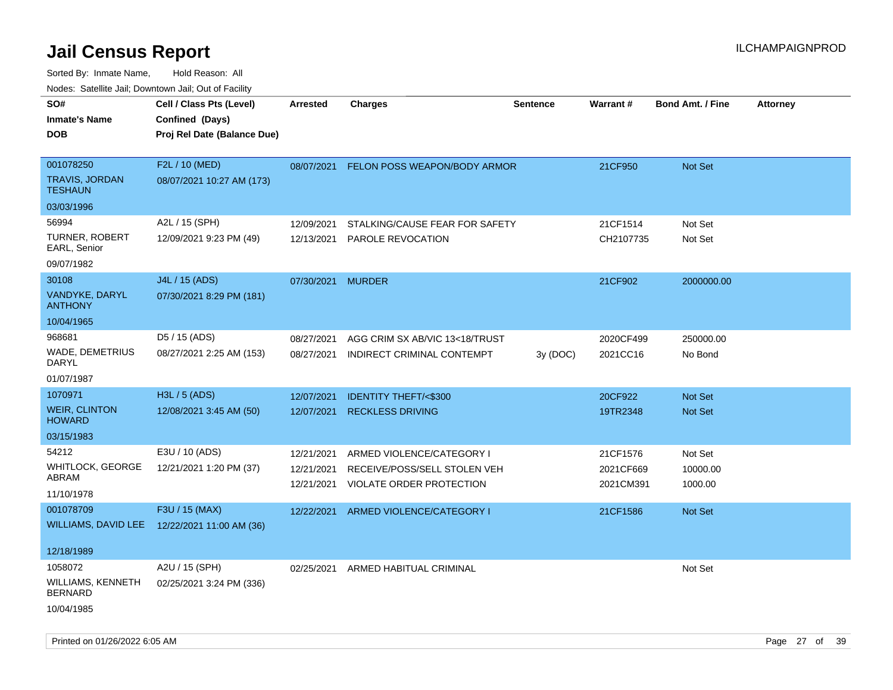| rougs. Calcing Jan, Downtown Jan, Out of Facility              |                                                                            |                                        |                                                                                       |          |                                    |                                |                 |
|----------------------------------------------------------------|----------------------------------------------------------------------------|----------------------------------------|---------------------------------------------------------------------------------------|----------|------------------------------------|--------------------------------|-----------------|
| SO#<br><b>Inmate's Name</b><br><b>DOB</b>                      | Cell / Class Pts (Level)<br>Confined (Days)<br>Proj Rel Date (Balance Due) | Arrested                               | <b>Charges</b>                                                                        | Sentence | Warrant#                           | <b>Bond Amt. / Fine</b>        | <b>Attorney</b> |
| 001078250<br>TRAVIS, JORDAN<br><b>TESHAUN</b><br>03/03/1996    | F2L / 10 (MED)<br>08/07/2021 10:27 AM (173)                                |                                        | 08/07/2021 FELON POSS WEAPON/BODY ARMOR                                               |          | 21CF950                            | Not Set                        |                 |
| 56994<br>TURNER, ROBERT<br>EARL, Senior<br>09/07/1982          | A2L / 15 (SPH)<br>12/09/2021 9:23 PM (49)                                  | 12/09/2021<br>12/13/2021               | STALKING/CAUSE FEAR FOR SAFETY<br>PAROLE REVOCATION                                   |          | 21CF1514<br>CH2107735              | Not Set<br>Not Set             |                 |
| 30108<br>VANDYKE, DARYL<br><b>ANTHONY</b><br>10/04/1965        | J4L / 15 (ADS)<br>07/30/2021 8:29 PM (181)                                 | 07/30/2021 MURDER                      |                                                                                       |          | 21CF902                            | 2000000.00                     |                 |
| 968681<br>WADE, DEMETRIUS<br><b>DARYL</b><br>01/07/1987        | D5 / 15 (ADS)<br>08/27/2021 2:25 AM (153)                                  | 08/27/2021<br>08/27/2021               | AGG CRIM SX AB/VIC 13<18/TRUST<br>INDIRECT CRIMINAL CONTEMPT                          | 3y (DOC) | 2020CF499<br>2021CC16              | 250000.00<br>No Bond           |                 |
| 1070971<br><b>WEIR, CLINTON</b><br><b>HOWARD</b><br>03/15/1983 | H3L / 5 (ADS)<br>12/08/2021 3:45 AM (50)                                   | 12/07/2021<br>12/07/2021               | <b>IDENTITY THEFT/&lt;\$300</b><br><b>RECKLESS DRIVING</b>                            |          | 20CF922<br>19TR2348                | <b>Not Set</b><br>Not Set      |                 |
| 54212<br>WHITLOCK, GEORGE<br>ABRAM<br>11/10/1978               | E3U / 10 (ADS)<br>12/21/2021 1:20 PM (37)                                  | 12/21/2021<br>12/21/2021<br>12/21/2021 | ARMED VIOLENCE/CATEGORY I<br>RECEIVE/POSS/SELL STOLEN VEH<br>VIOLATE ORDER PROTECTION |          | 21CF1576<br>2021CF669<br>2021CM391 | Not Set<br>10000.00<br>1000.00 |                 |
| 001078709<br>12/18/1989                                        | F3U / 15 (MAX)<br>WILLIAMS, DAVID LEE 12/22/2021 11:00 AM (36)             | 12/22/2021                             | ARMED VIOLENCE/CATEGORY I                                                             |          | 21CF1586                           | <b>Not Set</b>                 |                 |
| 1058072<br>WILLIAMS, KENNETH<br><b>BERNARD</b><br>10/04/1985   | A2U / 15 (SPH)<br>02/25/2021 3:24 PM (336)                                 | 02/25/2021                             | ARMED HABITUAL CRIMINAL                                                               |          |                                    | Not Set                        |                 |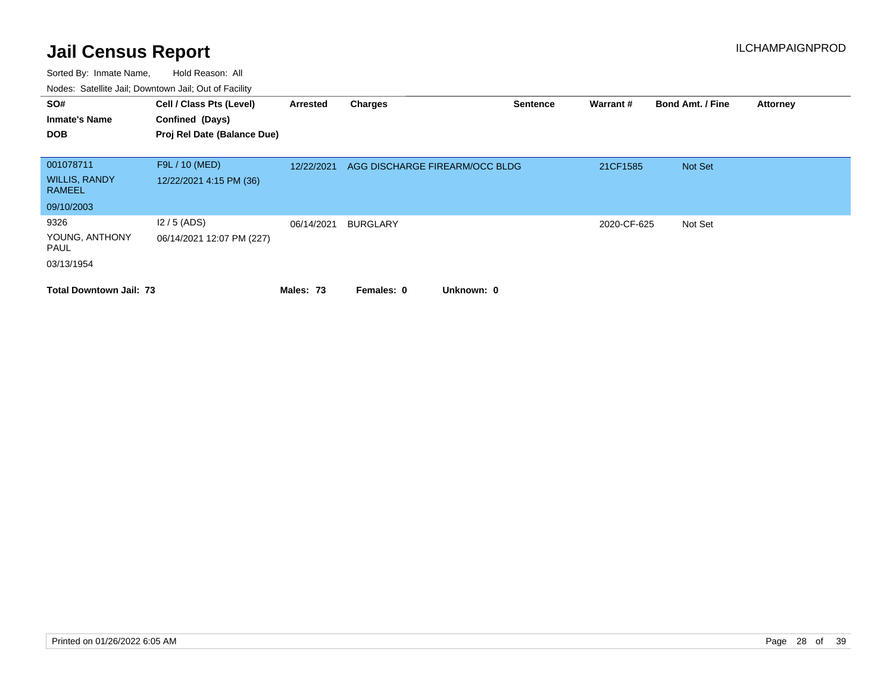| SO#<br><b>Inmate's Name</b><br><b>DOB</b>          | Cell / Class Pts (Level)<br>Confined (Days)<br>Proj Rel Date (Balance Due) | Arrested   | <b>Charges</b>                 | <b>Sentence</b> | Warrant#    | <b>Bond Amt. / Fine</b> | <b>Attorney</b> |
|----------------------------------------------------|----------------------------------------------------------------------------|------------|--------------------------------|-----------------|-------------|-------------------------|-----------------|
| 001078711<br><b>WILLIS, RANDY</b><br><b>RAMEEL</b> | F9L / 10 (MED)<br>12/22/2021 4:15 PM (36)                                  | 12/22/2021 | AGG DISCHARGE FIREARM/OCC BLDG |                 | 21CF1585    | Not Set                 |                 |
| 09/10/2003                                         |                                                                            |            |                                |                 |             |                         |                 |
| 9326<br>YOUNG, ANTHONY<br>PAUL<br>03/13/1954       | $12/5$ (ADS)<br>06/14/2021 12:07 PM (227)                                  | 06/14/2021 | <b>BURGLARY</b>                |                 | 2020-CF-625 | Not Set                 |                 |
| <b>Total Downtown Jail: 73</b>                     |                                                                            | Males: 73  | Unknown: 0<br>Females: 0       |                 |             |                         |                 |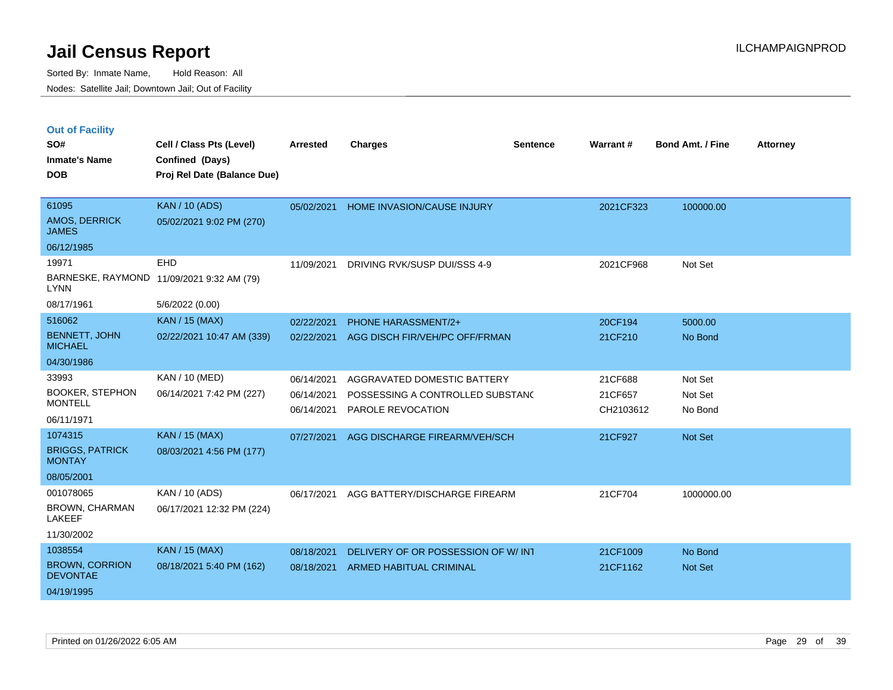| <b>Out of Facility</b> |  |
|------------------------|--|
|------------------------|--|

| SO#                                      | Cell / Class Pts (Level)    | <b>Arrested</b> | <b>Charges</b>                     | <b>Sentence</b> | Warrant#  | <b>Bond Amt. / Fine</b> | <b>Attorney</b> |
|------------------------------------------|-----------------------------|-----------------|------------------------------------|-----------------|-----------|-------------------------|-----------------|
| <b>Inmate's Name</b>                     | Confined (Days)             |                 |                                    |                 |           |                         |                 |
| <b>DOB</b>                               | Proj Rel Date (Balance Due) |                 |                                    |                 |           |                         |                 |
|                                          |                             |                 |                                    |                 |           |                         |                 |
| 61095                                    | <b>KAN / 10 (ADS)</b>       | 05/02/2021      | HOME INVASION/CAUSE INJURY         |                 | 2021CF323 | 100000.00               |                 |
| <b>AMOS, DERRICK</b><br><b>JAMES</b>     | 05/02/2021 9:02 PM (270)    |                 |                                    |                 |           |                         |                 |
| 06/12/1985                               |                             |                 |                                    |                 |           |                         |                 |
| 19971                                    | EHD                         | 11/09/2021      | DRIVING RVK/SUSP DUI/SSS 4-9       |                 | 2021CF968 | Not Set                 |                 |
| BARNESKE, RAYMOND<br><b>LYNN</b>         | 11/09/2021 9:32 AM (79)     |                 |                                    |                 |           |                         |                 |
| 08/17/1961                               | 5/6/2022 (0.00)             |                 |                                    |                 |           |                         |                 |
| 516062                                   | <b>KAN / 15 (MAX)</b>       | 02/22/2021      | PHONE HARASSMENT/2+                |                 | 20CF194   | 5000.00                 |                 |
| <b>BENNETT, JOHN</b><br><b>MICHAEL</b>   | 02/22/2021 10:47 AM (339)   | 02/22/2021      | AGG DISCH FIR/VEH/PC OFF/FRMAN     |                 | 21CF210   | No Bond                 |                 |
| 04/30/1986                               |                             |                 |                                    |                 |           |                         |                 |
| 33993                                    | KAN / 10 (MED)              | 06/14/2021      | AGGRAVATED DOMESTIC BATTERY        |                 | 21CF688   | Not Set                 |                 |
| <b>BOOKER, STEPHON</b>                   | 06/14/2021 7:42 PM (227)    | 06/14/2021      | POSSESSING A CONTROLLED SUBSTANC   |                 | 21CF657   | Not Set                 |                 |
| <b>MONTELL</b>                           |                             | 06/14/2021      | PAROLE REVOCATION                  |                 | CH2103612 | No Bond                 |                 |
| 06/11/1971                               |                             |                 |                                    |                 |           |                         |                 |
| 1074315                                  | <b>KAN / 15 (MAX)</b>       | 07/27/2021      | AGG DISCHARGE FIREARM/VEH/SCH      |                 | 21CF927   | <b>Not Set</b>          |                 |
| <b>BRIGGS, PATRICK</b><br><b>MONTAY</b>  | 08/03/2021 4:56 PM (177)    |                 |                                    |                 |           |                         |                 |
| 08/05/2001                               |                             |                 |                                    |                 |           |                         |                 |
| 001078065                                | KAN / 10 (ADS)              | 06/17/2021      | AGG BATTERY/DISCHARGE FIREARM      |                 | 21CF704   | 1000000.00              |                 |
| <b>BROWN, CHARMAN</b><br><b>LAKEEF</b>   | 06/17/2021 12:32 PM (224)   |                 |                                    |                 |           |                         |                 |
| 11/30/2002                               |                             |                 |                                    |                 |           |                         |                 |
| 1038554                                  | <b>KAN / 15 (MAX)</b>       | 08/18/2021      | DELIVERY OF OR POSSESSION OF W/INT |                 | 21CF1009  | No Bond                 |                 |
| <b>BROWN, CORRION</b><br><b>DEVONTAE</b> | 08/18/2021 5:40 PM (162)    | 08/18/2021      | ARMED HABITUAL CRIMINAL            |                 | 21CF1162  | <b>Not Set</b>          |                 |
| 04/19/1995                               |                             |                 |                                    |                 |           |                         |                 |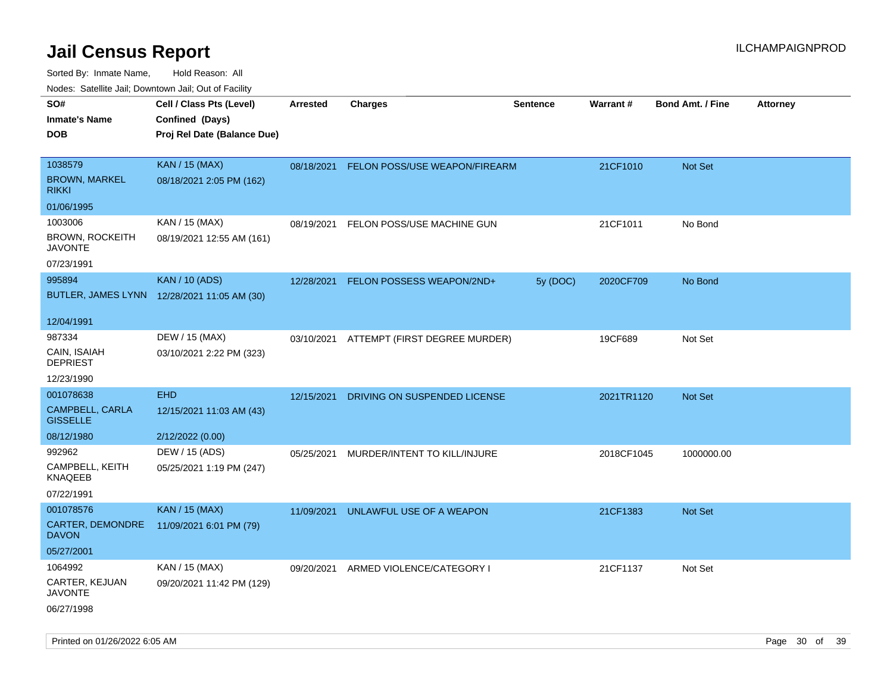| ivouss. Satellite Jali, Downtown Jali, Out of Facility |                                             |            |                                          |                 |            |                         |                 |
|--------------------------------------------------------|---------------------------------------------|------------|------------------------------------------|-----------------|------------|-------------------------|-----------------|
| SO#                                                    | Cell / Class Pts (Level)                    | Arrested   | <b>Charges</b>                           | <b>Sentence</b> | Warrant#   | <b>Bond Amt. / Fine</b> | <b>Attorney</b> |
| Inmate's Name                                          | Confined (Days)                             |            |                                          |                 |            |                         |                 |
| DOB                                                    | Proj Rel Date (Balance Due)                 |            |                                          |                 |            |                         |                 |
|                                                        |                                             |            |                                          |                 |            |                         |                 |
| 1038579                                                | <b>KAN / 15 (MAX)</b>                       | 08/18/2021 | FELON POSS/USE WEAPON/FIREARM            |                 | 21CF1010   | Not Set                 |                 |
| <b>BROWN, MARKEL</b><br>rikki                          | 08/18/2021 2:05 PM (162)                    |            |                                          |                 |            |                         |                 |
| 01/06/1995                                             |                                             |            |                                          |                 |            |                         |                 |
| 1003006                                                | KAN / 15 (MAX)                              | 08/19/2021 | FELON POSS/USE MACHINE GUN               |                 | 21CF1011   | No Bond                 |                 |
| BROWN, ROCKEITH<br>JAVONTE                             | 08/19/2021 12:55 AM (161)                   |            |                                          |                 |            |                         |                 |
| 07/23/1991                                             |                                             |            |                                          |                 |            |                         |                 |
| 995894                                                 | <b>KAN / 10 (ADS)</b>                       | 12/28/2021 | FELON POSSESS WEAPON/2ND+                | 5y (DOC)        | 2020CF709  | No Bond                 |                 |
|                                                        | BUTLER, JAMES LYNN 12/28/2021 11:05 AM (30) |            |                                          |                 |            |                         |                 |
| 12/04/1991                                             |                                             |            |                                          |                 |            |                         |                 |
| 987334                                                 | DEW / 15 (MAX)                              |            | 03/10/2021 ATTEMPT (FIRST DEGREE MURDER) |                 | 19CF689    | Not Set                 |                 |
| CAIN, ISAIAH<br><b>DEPRIEST</b>                        | 03/10/2021 2:22 PM (323)                    |            |                                          |                 |            |                         |                 |
| 12/23/1990                                             |                                             |            |                                          |                 |            |                         |                 |
| 001078638                                              | <b>EHD</b>                                  | 12/15/2021 | DRIVING ON SUSPENDED LICENSE             |                 | 2021TR1120 | <b>Not Set</b>          |                 |
| CAMPBELL, CARLA<br><b>GISSELLE</b>                     | 12/15/2021 11:03 AM (43)                    |            |                                          |                 |            |                         |                 |
| 08/12/1980                                             | 2/12/2022 (0.00)                            |            |                                          |                 |            |                         |                 |
| 992962                                                 | DEW / 15 (ADS)                              | 05/25/2021 | MURDER/INTENT TO KILL/INJURE             |                 | 2018CF1045 | 1000000.00              |                 |
| CAMPBELL, KEITH<br>KNAQEEB                             | 05/25/2021 1:19 PM (247)                    |            |                                          |                 |            |                         |                 |
| 07/22/1991                                             |                                             |            |                                          |                 |            |                         |                 |
| 001078576                                              | <b>KAN / 15 (MAX)</b>                       | 11/09/2021 | UNLAWFUL USE OF A WEAPON                 |                 | 21CF1383   | <b>Not Set</b>          |                 |
| <b>CARTER, DEMONDRE</b><br>DAVON                       | 11/09/2021 6:01 PM (79)                     |            |                                          |                 |            |                         |                 |
| 05/27/2001                                             |                                             |            |                                          |                 |            |                         |                 |
| 1064992                                                | KAN / 15 (MAX)                              | 09/20/2021 | ARMED VIOLENCE/CATEGORY I                |                 | 21CF1137   | Not Set                 |                 |
| CARTER, KEJUAN<br>JAVONTE                              | 09/20/2021 11:42 PM (129)                   |            |                                          |                 |            |                         |                 |
| 06/27/1998                                             |                                             |            |                                          |                 |            |                         |                 |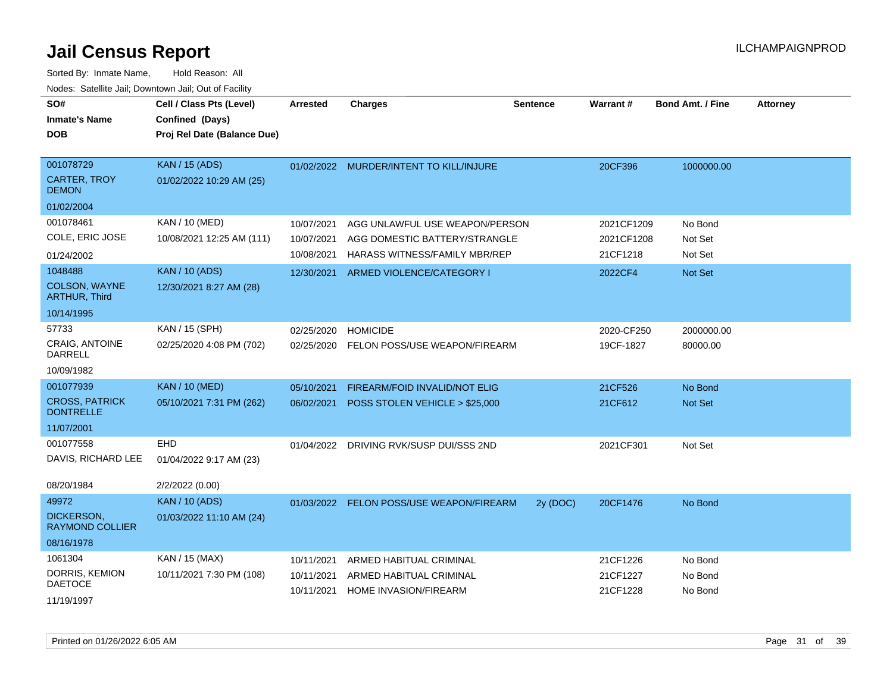| SO#<br><b>Inmate's Name</b><br><b>DOB</b> | Cell / Class Pts (Level)<br>Confined (Days)<br>Proj Rel Date (Balance Due) | Arrested   | <b>Charges</b>                           | <b>Sentence</b> | <b>Warrant#</b> | <b>Bond Amt. / Fine</b> | <b>Attorney</b> |
|-------------------------------------------|----------------------------------------------------------------------------|------------|------------------------------------------|-----------------|-----------------|-------------------------|-----------------|
| 001078729                                 | <b>KAN / 15 (ADS)</b>                                                      |            | 01/02/2022 MURDER/INTENT TO KILL/INJURE  |                 | 20CF396         | 1000000.00              |                 |
| <b>CARTER, TROY</b><br><b>DEMON</b>       | 01/02/2022 10:29 AM (25)                                                   |            |                                          |                 |                 |                         |                 |
| 01/02/2004                                |                                                                            |            |                                          |                 |                 |                         |                 |
| 001078461                                 | KAN / 10 (MED)                                                             | 10/07/2021 | AGG UNLAWFUL USE WEAPON/PERSON           |                 | 2021CF1209      | No Bond                 |                 |
| COLE, ERIC JOSE                           | 10/08/2021 12:25 AM (111)                                                  | 10/07/2021 | AGG DOMESTIC BATTERY/STRANGLE            |                 | 2021CF1208      | Not Set                 |                 |
| 01/24/2002                                |                                                                            | 10/08/2021 | HARASS WITNESS/FAMILY MBR/REP            |                 | 21CF1218        | Not Set                 |                 |
| 1048488                                   | <b>KAN / 10 (ADS)</b>                                                      | 12/30/2021 | ARMED VIOLENCE/CATEGORY I                |                 | 2022CF4         | Not Set                 |                 |
| COLSON, WAYNE<br><b>ARTHUR, Third</b>     | 12/30/2021 8:27 AM (28)                                                    |            |                                          |                 |                 |                         |                 |
| 10/14/1995                                |                                                                            |            |                                          |                 |                 |                         |                 |
| 57733                                     | KAN / 15 (SPH)                                                             | 02/25/2020 | <b>HOMICIDE</b>                          |                 | 2020-CF250      | 2000000.00              |                 |
| <b>CRAIG, ANTOINE</b><br><b>DARRELL</b>   | 02/25/2020 4:08 PM (702)                                                   | 02/25/2020 | FELON POSS/USE WEAPON/FIREARM            |                 | 19CF-1827       | 80000.00                |                 |
| 10/09/1982                                |                                                                            |            |                                          |                 |                 |                         |                 |
| 001077939                                 | <b>KAN / 10 (MED)</b>                                                      | 05/10/2021 | FIREARM/FOID INVALID/NOT ELIG            |                 | 21CF526         | No Bond                 |                 |
| <b>CROSS, PATRICK</b><br><b>DONTRELLE</b> | 05/10/2021 7:31 PM (262)                                                   | 06/02/2021 | POSS STOLEN VEHICLE > \$25,000           |                 | 21CF612         | Not Set                 |                 |
| 11/07/2001                                |                                                                            |            |                                          |                 |                 |                         |                 |
| 001077558                                 | <b>EHD</b>                                                                 | 01/04/2022 | DRIVING RVK/SUSP DUI/SSS 2ND             |                 | 2021CF301       | Not Set                 |                 |
| DAVIS, RICHARD LEE                        | 01/04/2022 9:17 AM (23)                                                    |            |                                          |                 |                 |                         |                 |
| 08/20/1984                                | 2/2/2022 (0.00)                                                            |            |                                          |                 |                 |                         |                 |
| 49972                                     | <b>KAN / 10 (ADS)</b>                                                      |            | 01/03/2022 FELON POSS/USE WEAPON/FIREARM | 2y (DOC)        | 20CF1476        | No Bond                 |                 |
| DICKERSON,<br><b>RAYMOND COLLIER</b>      | 01/03/2022 11:10 AM (24)                                                   |            |                                          |                 |                 |                         |                 |
| 08/16/1978                                |                                                                            |            |                                          |                 |                 |                         |                 |
| 1061304                                   | KAN / 15 (MAX)                                                             | 10/11/2021 | ARMED HABITUAL CRIMINAL                  |                 | 21CF1226        | No Bond                 |                 |
| DORRIS, KEMION<br><b>DAETOCE</b>          | 10/11/2021 7:30 PM (108)                                                   | 10/11/2021 | ARMED HABITUAL CRIMINAL                  |                 | 21CF1227        | No Bond                 |                 |
| 11/19/1997                                |                                                                            | 10/11/2021 | HOME INVASION/FIREARM                    |                 | 21CF1228        | No Bond                 |                 |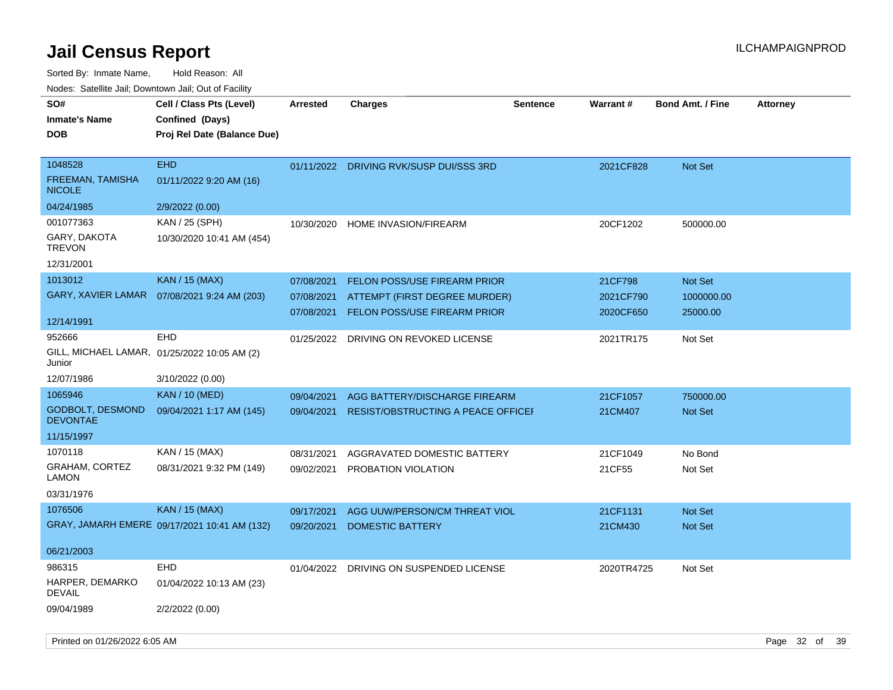Sorted By: Inmate Name, Hold Reason: All

| Nodes: Satellite Jail; Downtown Jail; Out of Facility |  |
|-------------------------------------------------------|--|
|                                                       |  |

| SO#<br><b>Inmate's Name</b><br><b>DOB</b>    | Cell / Class Pts (Level)<br>Confined (Days)<br>Proj Rel Date (Balance Due) | <b>Arrested</b> | <b>Charges</b>                            | <b>Sentence</b> | <b>Warrant#</b> | <b>Bond Amt. / Fine</b> | <b>Attorney</b> |
|----------------------------------------------|----------------------------------------------------------------------------|-----------------|-------------------------------------------|-----------------|-----------------|-------------------------|-----------------|
| 1048528<br>FREEMAN, TAMISHA<br><b>NICOLE</b> | <b>EHD</b><br>01/11/2022 9:20 AM (16)                                      |                 | 01/11/2022 DRIVING RVK/SUSP DUI/SSS 3RD   |                 | 2021CF828       | Not Set                 |                 |
| 04/24/1985                                   | 2/9/2022 (0.00)                                                            |                 |                                           |                 |                 |                         |                 |
| 001077363                                    | KAN / 25 (SPH)                                                             | 10/30/2020      | <b>HOME INVASION/FIREARM</b>              |                 | 20CF1202        | 500000.00               |                 |
| GARY, DAKOTA<br><b>TREVON</b>                | 10/30/2020 10:41 AM (454)                                                  |                 |                                           |                 |                 |                         |                 |
| 12/31/2001                                   |                                                                            |                 |                                           |                 |                 |                         |                 |
| 1013012                                      | KAN / 15 (MAX)                                                             | 07/08/2021      | <b>FELON POSS/USE FIREARM PRIOR</b>       |                 | 21CF798         | Not Set                 |                 |
| GARY, XAVIER LAMAR                           | 07/08/2021 9:24 AM (203)                                                   | 07/08/2021      | ATTEMPT (FIRST DEGREE MURDER)             |                 | 2021CF790       | 1000000.00              |                 |
| 12/14/1991                                   |                                                                            | 07/08/2021      | FELON POSS/USE FIREARM PRIOR              |                 | 2020CF650       | 25000.00                |                 |
| 952666                                       | EHD                                                                        |                 |                                           |                 |                 |                         |                 |
| Junior                                       | GILL, MICHAEL LAMAR, 01/25/2022 10:05 AM (2)                               | 01/25/2022      | DRIVING ON REVOKED LICENSE                |                 | 2021TR175       | Not Set                 |                 |
| 12/07/1986                                   | 3/10/2022 (0.00)                                                           |                 |                                           |                 |                 |                         |                 |
| 1065946                                      | <b>KAN / 10 (MED)</b>                                                      | 09/04/2021      | AGG BATTERY/DISCHARGE FIREARM             |                 | 21CF1057        | 750000.00               |                 |
| <b>GODBOLT, DESMOND</b><br><b>DEVONTAE</b>   | 09/04/2021 1:17 AM (145)                                                   | 09/04/2021      | <b>RESIST/OBSTRUCTING A PEACE OFFICEF</b> |                 | 21CM407         | Not Set                 |                 |
| 11/15/1997                                   |                                                                            |                 |                                           |                 |                 |                         |                 |
| 1070118                                      | KAN / 15 (MAX)                                                             | 08/31/2021      | AGGRAVATED DOMESTIC BATTERY               |                 | 21CF1049        | No Bond                 |                 |
| <b>GRAHAM, CORTEZ</b><br><b>LAMON</b>        | 08/31/2021 9:32 PM (149)                                                   | 09/02/2021      | PROBATION VIOLATION                       |                 | 21CF55          | Not Set                 |                 |
| 03/31/1976                                   |                                                                            |                 |                                           |                 |                 |                         |                 |
| 1076506                                      | <b>KAN / 15 (MAX)</b>                                                      | 09/17/2021      | AGG UUW/PERSON/CM THREAT VIOL             |                 | 21CF1131        | Not Set                 |                 |
|                                              | GRAY, JAMARH EMERE 09/17/2021 10:41 AM (132)                               | 09/20/2021      | <b>DOMESTIC BATTERY</b>                   |                 | 21CM430         | Not Set                 |                 |
| 06/21/2003                                   |                                                                            |                 |                                           |                 |                 |                         |                 |
| 986315                                       | <b>EHD</b>                                                                 | 01/04/2022      | DRIVING ON SUSPENDED LICENSE              |                 | 2020TR4725      | Not Set                 |                 |
| HARPER, DEMARKO<br><b>DEVAIL</b>             | 01/04/2022 10:13 AM (23)                                                   |                 |                                           |                 |                 |                         |                 |
| 09/04/1989                                   | 2/2/2022 (0.00)                                                            |                 |                                           |                 |                 |                         |                 |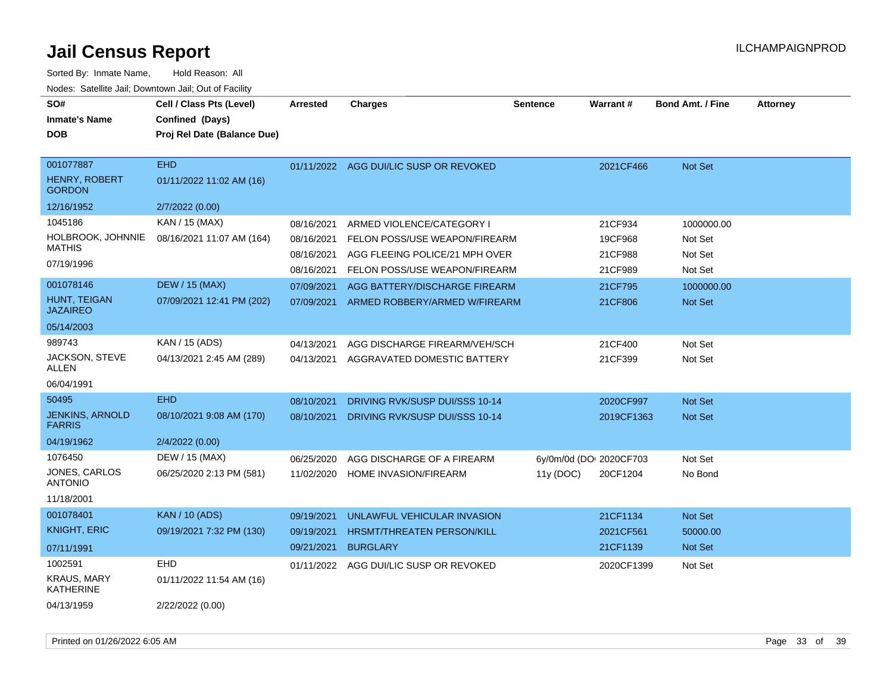| SO#<br><b>Inmate's Name</b><br>DOB                 | Cell / Class Pts (Level)<br>Confined (Days)<br>Proj Rel Date (Balance Due) | <b>Arrested</b>          | <b>Charges</b>                                                  | <b>Sentence</b>         | <b>Warrant#</b>    | <b>Bond Amt. / Fine</b> | <b>Attorney</b> |
|----------------------------------------------------|----------------------------------------------------------------------------|--------------------------|-----------------------------------------------------------------|-------------------------|--------------------|-------------------------|-----------------|
| 001077887<br><b>HENRY, ROBERT</b><br><b>GORDON</b> | <b>EHD</b><br>01/11/2022 11:02 AM (16)                                     | 01/11/2022               | AGG DUI/LIC SUSP OR REVOKED                                     |                         | 2021CF466          | <b>Not Set</b>          |                 |
| 12/16/1952                                         | 2/7/2022 (0.00)                                                            |                          |                                                                 |                         |                    |                         |                 |
| 1045186<br>HOLBROOK, JOHNNIE<br><b>MATHIS</b>      | KAN / 15 (MAX)<br>08/16/2021 11:07 AM (164)                                | 08/16/2021<br>08/16/2021 | ARMED VIOLENCE/CATEGORY I<br>FELON POSS/USE WEAPON/FIREARM      |                         | 21CF934<br>19CF968 | 1000000.00<br>Not Set   |                 |
| 07/19/1996                                         |                                                                            | 08/16/2021<br>08/16/2021 | AGG FLEEING POLICE/21 MPH OVER<br>FELON POSS/USE WEAPON/FIREARM |                         | 21CF988<br>21CF989 | Not Set<br>Not Set      |                 |
| 001078146                                          | <b>DEW / 15 (MAX)</b>                                                      | 07/09/2021               | AGG BATTERY/DISCHARGE FIREARM                                   |                         | 21CF795            | 1000000.00              |                 |
| HUNT, TEIGAN<br>JAZAIREO                           | 07/09/2021 12:41 PM (202)                                                  | 07/09/2021               | ARMED ROBBERY/ARMED W/FIREARM                                   |                         | 21CF806            | <b>Not Set</b>          |                 |
| 05/14/2003                                         |                                                                            |                          |                                                                 |                         |                    |                         |                 |
| 989743                                             | KAN / 15 (ADS)                                                             | 04/13/2021               | AGG DISCHARGE FIREARM/VEH/SCH                                   |                         | 21CF400            | Not Set                 |                 |
| JACKSON, STEVE<br>ALLEN                            | 04/13/2021 2:45 AM (289)                                                   | 04/13/2021               | AGGRAVATED DOMESTIC BATTERY                                     |                         | 21CF399            | Not Set                 |                 |
| 06/04/1991                                         |                                                                            |                          |                                                                 |                         |                    |                         |                 |
| 50495                                              | <b>EHD</b>                                                                 | 08/10/2021               | DRIVING RVK/SUSP DUI/SSS 10-14                                  |                         | 2020CF997          | Not Set                 |                 |
| <b>JENKINS, ARNOLD</b><br><b>FARRIS</b>            | 08/10/2021 9:08 AM (170)                                                   | 08/10/2021               | DRIVING RVK/SUSP DUI/SSS 10-14                                  |                         | 2019CF1363         | <b>Not Set</b>          |                 |
| 04/19/1962                                         | 2/4/2022 (0.00)                                                            |                          |                                                                 |                         |                    |                         |                 |
| 1076450                                            | DEW / 15 (MAX)                                                             | 06/25/2020               | AGG DISCHARGE OF A FIREARM                                      | 6y/0m/0d (DO: 2020CF703 |                    | Not Set                 |                 |
| JONES, CARLOS<br><b>ANTONIO</b>                    | 06/25/2020 2:13 PM (581)                                                   | 11/02/2020               | HOME INVASION/FIREARM                                           | 11y(DOC)                | 20CF1204           | No Bond                 |                 |
| 11/18/2001                                         |                                                                            |                          |                                                                 |                         |                    |                         |                 |
| 001078401                                          | <b>KAN / 10 (ADS)</b>                                                      | 09/19/2021               | UNLAWFUL VEHICULAR INVASION                                     |                         | 21CF1134           | Not Set                 |                 |
| <b>KNIGHT, ERIC</b>                                | 09/19/2021 7:32 PM (130)                                                   | 09/19/2021               | <b>HRSMT/THREATEN PERSON/KILL</b>                               |                         | 2021CF561          | 50000.00                |                 |
| 07/11/1991                                         |                                                                            | 09/21/2021               | <b>BURGLARY</b>                                                 |                         | 21CF1139           | Not Set                 |                 |
| 1002591                                            | <b>EHD</b>                                                                 | 01/11/2022               | AGG DUI/LIC SUSP OR REVOKED                                     |                         | 2020CF1399         | Not Set                 |                 |
| <b>KRAUS, MARY</b><br>KATHERINE                    | 01/11/2022 11:54 AM (16)                                                   |                          |                                                                 |                         |                    |                         |                 |
| 04/13/1959                                         | 2/22/2022 (0.00)                                                           |                          |                                                                 |                         |                    |                         |                 |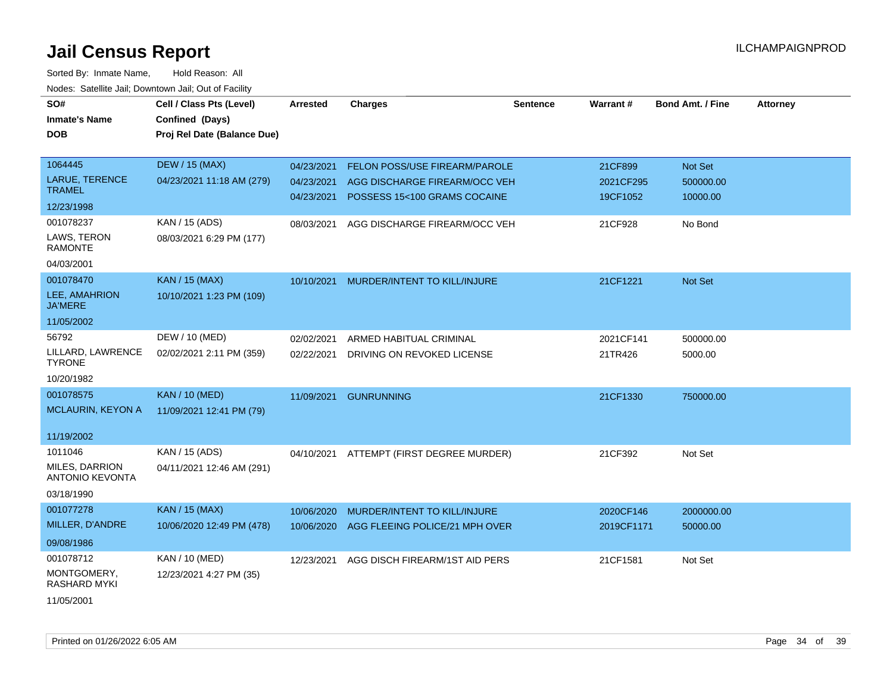| SO#                                      | Cell / Class Pts (Level)    | Arrested   | <b>Charges</b>                 | Sentence | Warrant#   | <b>Bond Amt. / Fine</b> | <b>Attorney</b> |
|------------------------------------------|-----------------------------|------------|--------------------------------|----------|------------|-------------------------|-----------------|
| <b>Inmate's Name</b>                     | Confined (Days)             |            |                                |          |            |                         |                 |
| <b>DOB</b>                               | Proj Rel Date (Balance Due) |            |                                |          |            |                         |                 |
|                                          |                             |            |                                |          |            |                         |                 |
| 1064445                                  | <b>DEW / 15 (MAX)</b>       | 04/23/2021 | FELON POSS/USE FIREARM/PAROLE  |          | 21CF899    | Not Set                 |                 |
| <b>LARUE, TERENCE</b>                    | 04/23/2021 11:18 AM (279)   | 04/23/2021 | AGG DISCHARGE FIREARM/OCC VEH  |          | 2021CF295  | 500000.00               |                 |
| <b>TRAMEL</b>                            |                             | 04/23/2021 | POSSESS 15<100 GRAMS COCAINE   |          | 19CF1052   | 10000.00                |                 |
| 12/23/1998                               |                             |            |                                |          |            |                         |                 |
| 001078237                                | KAN / 15 (ADS)              | 08/03/2021 | AGG DISCHARGE FIREARM/OCC VEH  |          | 21CF928    | No Bond                 |                 |
| LAWS, TERON<br><b>RAMONTE</b>            | 08/03/2021 6:29 PM (177)    |            |                                |          |            |                         |                 |
| 04/03/2001                               |                             |            |                                |          |            |                         |                 |
| 001078470                                | <b>KAN / 15 (MAX)</b>       | 10/10/2021 | MURDER/INTENT TO KILL/INJURE   |          | 21CF1221   | Not Set                 |                 |
| LEE, AMAHRION<br><b>JA'MERE</b>          | 10/10/2021 1:23 PM (109)    |            |                                |          |            |                         |                 |
| 11/05/2002                               |                             |            |                                |          |            |                         |                 |
| 56792                                    | DEW / 10 (MED)              | 02/02/2021 | ARMED HABITUAL CRIMINAL        |          | 2021CF141  | 500000.00               |                 |
| LILLARD, LAWRENCE<br><b>TYRONE</b>       | 02/02/2021 2:11 PM (359)    | 02/22/2021 | DRIVING ON REVOKED LICENSE     |          | 21TR426    | 5000.00                 |                 |
| 10/20/1982                               |                             |            |                                |          |            |                         |                 |
| 001078575                                | <b>KAN / 10 (MED)</b>       | 11/09/2021 | <b>GUNRUNNING</b>              |          | 21CF1330   | 750000.00               |                 |
| MCLAURIN, KEYON A                        | 11/09/2021 12:41 PM (79)    |            |                                |          |            |                         |                 |
|                                          |                             |            |                                |          |            |                         |                 |
| 11/19/2002                               |                             |            |                                |          |            |                         |                 |
| 1011046                                  | KAN / 15 (ADS)              | 04/10/2021 | ATTEMPT (FIRST DEGREE MURDER)  |          | 21CF392    | Not Set                 |                 |
| MILES, DARRION<br><b>ANTONIO KEVONTA</b> | 04/11/2021 12:46 AM (291)   |            |                                |          |            |                         |                 |
| 03/18/1990                               |                             |            |                                |          |            |                         |                 |
| 001077278                                | <b>KAN / 15 (MAX)</b>       | 10/06/2020 | MURDER/INTENT TO KILL/INJURE   |          | 2020CF146  | 2000000.00              |                 |
| MILLER, D'ANDRE                          | 10/06/2020 12:49 PM (478)   | 10/06/2020 | AGG FLEEING POLICE/21 MPH OVER |          | 2019CF1171 | 50000.00                |                 |
| 09/08/1986                               |                             |            |                                |          |            |                         |                 |
| 001078712                                | KAN / 10 (MED)              | 12/23/2021 | AGG DISCH FIREARM/1ST AID PERS |          | 21CF1581   | Not Set                 |                 |
| MONTGOMERY,<br><b>RASHARD MYKI</b>       | 12/23/2021 4:27 PM (35)     |            |                                |          |            |                         |                 |
| 11/05/2001                               |                             |            |                                |          |            |                         |                 |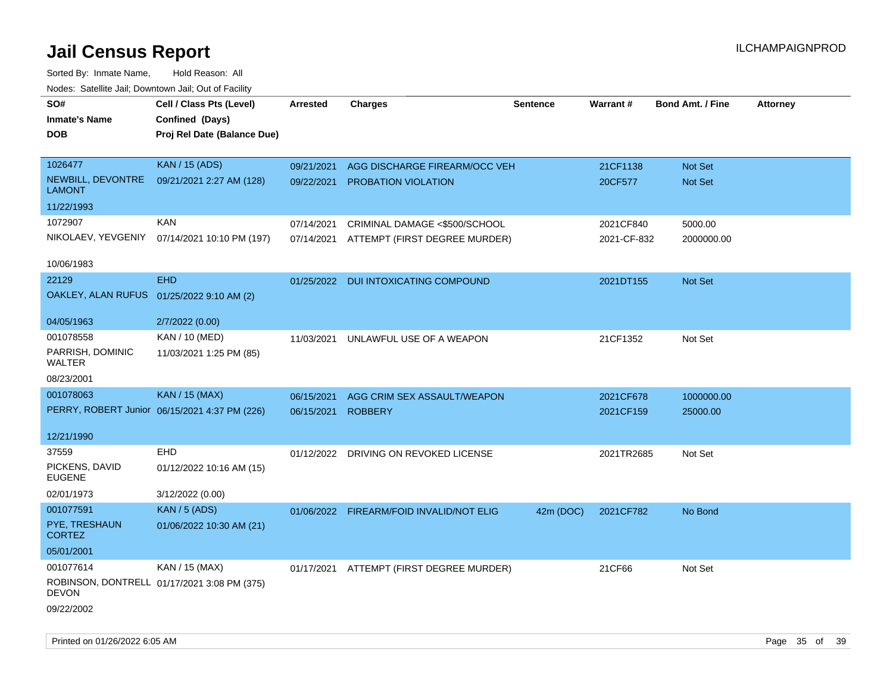| SO#<br><b>Inmate's Name</b><br><b>DOB</b> | Cell / Class Pts (Level)<br>Confined (Days)<br>Proj Rel Date (Balance Due) | Arrested   | <b>Charges</b>                           | <b>Sentence</b> | Warrant#    | <b>Bond Amt. / Fine</b> | <b>Attorney</b> |
|-------------------------------------------|----------------------------------------------------------------------------|------------|------------------------------------------|-----------------|-------------|-------------------------|-----------------|
| 1026477                                   | <b>KAN / 15 (ADS)</b>                                                      | 09/21/2021 | AGG DISCHARGE FIREARM/OCC VEH            |                 | 21CF1138    | Not Set                 |                 |
| NEWBILL, DEVONTRE<br><b>LAMONT</b>        | 09/21/2021 2:27 AM (128)                                                   | 09/22/2021 | <b>PROBATION VIOLATION</b>               |                 | 20CF577     | Not Set                 |                 |
| 11/22/1993                                |                                                                            |            |                                          |                 |             |                         |                 |
| 1072907                                   | <b>KAN</b>                                                                 | 07/14/2021 | CRIMINAL DAMAGE <\$500/SCHOOL            |                 | 2021CF840   | 5000.00                 |                 |
| NIKOLAEV, YEVGENIY                        | 07/14/2021 10:10 PM (197)                                                  |            | 07/14/2021 ATTEMPT (FIRST DEGREE MURDER) |                 | 2021-CF-832 | 2000000.00              |                 |
| 10/06/1983                                |                                                                            |            |                                          |                 |             |                         |                 |
| 22129                                     | <b>EHD</b>                                                                 |            | 01/25/2022 DUI INTOXICATING COMPOUND     |                 | 2021DT155   | Not Set                 |                 |
| OAKLEY, ALAN RUFUS 01/25/2022 9:10 AM (2) |                                                                            |            |                                          |                 |             |                         |                 |
| 04/05/1963                                | 2/7/2022 (0.00)                                                            |            |                                          |                 |             |                         |                 |
| 001078558                                 | <b>KAN / 10 (MED)</b>                                                      | 11/03/2021 | UNLAWFUL USE OF A WEAPON                 |                 | 21CF1352    | Not Set                 |                 |
| PARRISH, DOMINIC<br><b>WALTER</b>         | 11/03/2021 1:25 PM (85)                                                    |            |                                          |                 |             |                         |                 |
| 08/23/2001                                |                                                                            |            |                                          |                 |             |                         |                 |
| 001078063                                 | <b>KAN / 15 (MAX)</b>                                                      | 06/15/2021 | AGG CRIM SEX ASSAULT/WEAPON              |                 | 2021CF678   | 1000000.00              |                 |
|                                           | PERRY, ROBERT Junior 06/15/2021 4:37 PM (226)                              | 06/15/2021 | <b>ROBBERY</b>                           |                 | 2021CF159   | 25000.00                |                 |
| 12/21/1990                                |                                                                            |            |                                          |                 |             |                         |                 |
| 37559                                     | <b>EHD</b>                                                                 |            | 01/12/2022 DRIVING ON REVOKED LICENSE    |                 | 2021TR2685  | Not Set                 |                 |
| PICKENS, DAVID<br><b>EUGENE</b>           | 01/12/2022 10:16 AM (15)                                                   |            |                                          |                 |             |                         |                 |
| 02/01/1973                                | 3/12/2022 (0.00)                                                           |            |                                          |                 |             |                         |                 |
| 001077591                                 | <b>KAN / 5 (ADS)</b>                                                       |            | 01/06/2022 FIREARM/FOID INVALID/NOT ELIG | 42m (DOC)       | 2021CF782   | No Bond                 |                 |
| PYE, TRESHAUN<br><b>CORTEZ</b>            | 01/06/2022 10:30 AM (21)                                                   |            |                                          |                 |             |                         |                 |
| 05/01/2001                                |                                                                            |            |                                          |                 |             |                         |                 |
| 001077614                                 | KAN / 15 (MAX)                                                             |            | 01/17/2021 ATTEMPT (FIRST DEGREE MURDER) |                 | 21CF66      | Not Set                 |                 |
| <b>DEVON</b>                              | ROBINSON, DONTRELL 01/17/2021 3:08 PM (375)                                |            |                                          |                 |             |                         |                 |
| 09/22/2002                                |                                                                            |            |                                          |                 |             |                         |                 |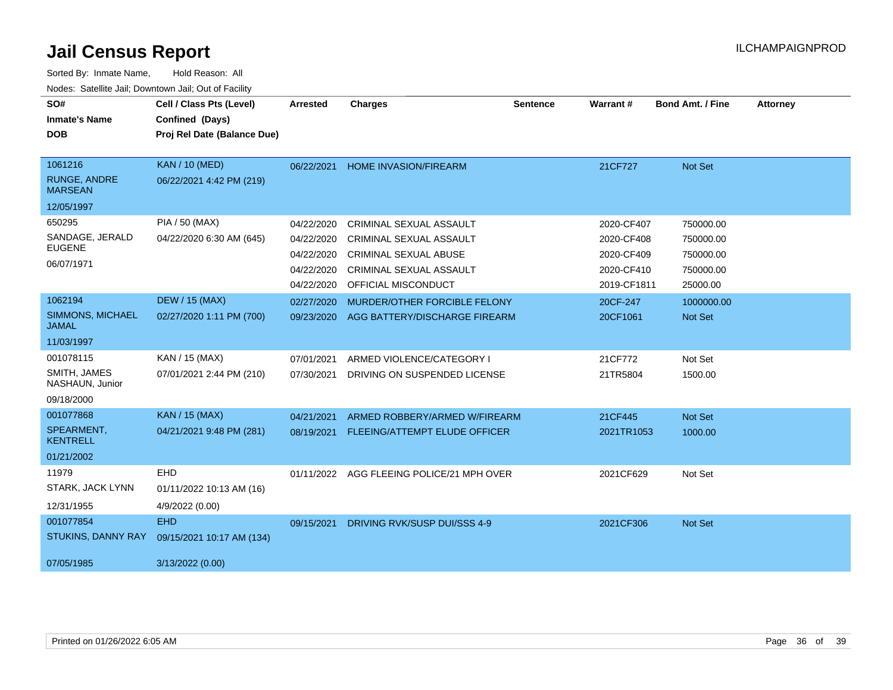| SO#                                     | Cell / Class Pts (Level)    | <b>Arrested</b> | <b>Charges</b>                 | <b>Sentence</b> | <b>Warrant#</b> | <b>Bond Amt. / Fine</b> | <b>Attorney</b> |
|-----------------------------------------|-----------------------------|-----------------|--------------------------------|-----------------|-----------------|-------------------------|-----------------|
| <b>Inmate's Name</b>                    | Confined (Days)             |                 |                                |                 |                 |                         |                 |
| <b>DOB</b>                              | Proj Rel Date (Balance Due) |                 |                                |                 |                 |                         |                 |
| 1061216                                 | <b>KAN / 10 (MED)</b>       | 06/22/2021      | <b>HOME INVASION/FIREARM</b>   |                 | 21CF727         | <b>Not Set</b>          |                 |
| <b>RUNGE, ANDRE</b><br><b>MARSEAN</b>   | 06/22/2021 4:42 PM (219)    |                 |                                |                 |                 |                         |                 |
| 12/05/1997                              |                             |                 |                                |                 |                 |                         |                 |
| 650295                                  | PIA / 50 (MAX)              | 04/22/2020      | <b>CRIMINAL SEXUAL ASSAULT</b> |                 | 2020-CF407      | 750000.00               |                 |
| SANDAGE, JERALD                         | 04/22/2020 6:30 AM (645)    | 04/22/2020      | CRIMINAL SEXUAL ASSAULT        |                 | 2020-CF408      | 750000.00               |                 |
| <b>EUGENE</b>                           |                             | 04/22/2020      | <b>CRIMINAL SEXUAL ABUSE</b>   |                 | 2020-CF409      | 750000.00               |                 |
| 06/07/1971                              |                             | 04/22/2020      | <b>CRIMINAL SEXUAL ASSAULT</b> |                 | 2020-CF410      | 750000.00               |                 |
|                                         |                             | 04/22/2020      | OFFICIAL MISCONDUCT            |                 | 2019-CF1811     | 25000.00                |                 |
| 1062194                                 | <b>DEW / 15 (MAX)</b>       | 02/27/2020      | MURDER/OTHER FORCIBLE FELONY   |                 | 20CF-247        | 1000000.00              |                 |
| <b>SIMMONS, MICHAEL</b><br><b>JAMAL</b> | 02/27/2020 1:11 PM (700)    | 09/23/2020      | AGG BATTERY/DISCHARGE FIREARM  |                 | 20CF1061        | Not Set                 |                 |
| 11/03/1997                              |                             |                 |                                |                 |                 |                         |                 |
| 001078115                               | KAN / 15 (MAX)              | 07/01/2021      | ARMED VIOLENCE/CATEGORY I      |                 | 21CF772         | Not Set                 |                 |
| SMITH, JAMES<br>NASHAUN, Junior         | 07/01/2021 2:44 PM (210)    | 07/30/2021      | DRIVING ON SUSPENDED LICENSE   |                 | 21TR5804        | 1500.00                 |                 |
| 09/18/2000                              |                             |                 |                                |                 |                 |                         |                 |
| 001077868                               | <b>KAN / 15 (MAX)</b>       | 04/21/2021      | ARMED ROBBERY/ARMED W/FIREARM  |                 | 21CF445         | Not Set                 |                 |
| SPEARMENT.<br><b>KENTRELL</b>           | 04/21/2021 9:48 PM (281)    | 08/19/2021      | FLEEING/ATTEMPT ELUDE OFFICER  |                 | 2021TR1053      | 1000.00                 |                 |
| 01/21/2002                              |                             |                 |                                |                 |                 |                         |                 |
| 11979                                   | EHD                         | 01/11/2022      | AGG FLEEING POLICE/21 MPH OVER |                 | 2021CF629       | Not Set                 |                 |
| STARK, JACK LYNN                        | 01/11/2022 10:13 AM (16)    |                 |                                |                 |                 |                         |                 |
| 12/31/1955                              | 4/9/2022 (0.00)             |                 |                                |                 |                 |                         |                 |
| 001077854                               | <b>EHD</b>                  | 09/15/2021      | DRIVING RVK/SUSP DUI/SSS 4-9   |                 | 2021CF306       | Not Set                 |                 |
| STUKINS, DANNY RAY                      | 09/15/2021 10:17 AM (134)   |                 |                                |                 |                 |                         |                 |
| 07/05/1985                              | 3/13/2022 (0.00)            |                 |                                |                 |                 |                         |                 |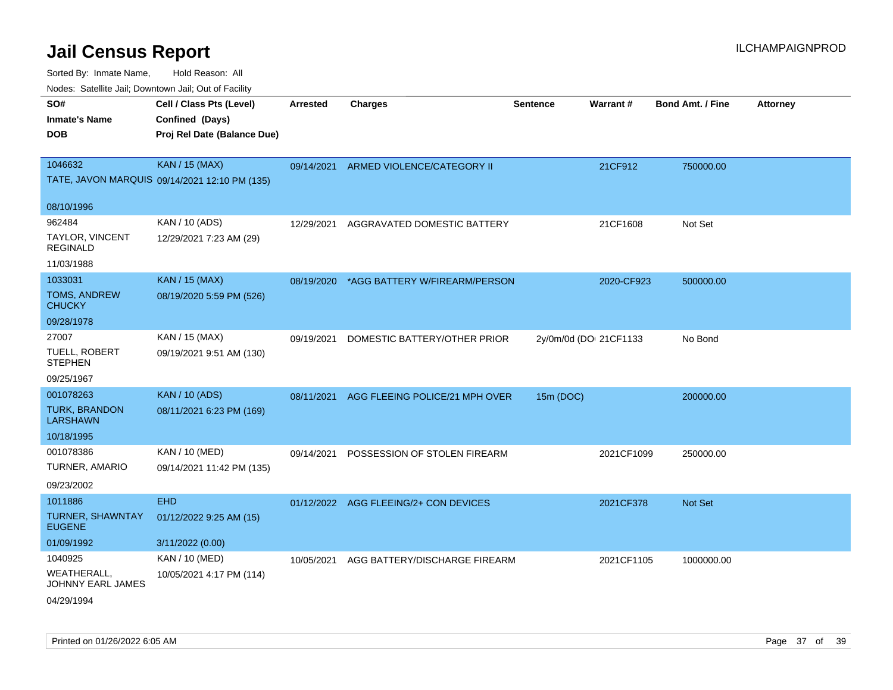|                                                                                                                  | rouco. Calcillo Jali, Downtown Jali, Out of Facility |                                          |                        |            |                         |                 |
|------------------------------------------------------------------------------------------------------------------|------------------------------------------------------|------------------------------------------|------------------------|------------|-------------------------|-----------------|
| SO#<br>Cell / Class Pts (Level)<br>Confined (Days)<br>Inmate's Name<br>Proj Rel Date (Balance Due)<br><b>DOB</b> | <b>Arrested</b>                                      | <b>Charges</b>                           | <b>Sentence</b>        | Warrant#   | <b>Bond Amt. / Fine</b> | <b>Attorney</b> |
| 1046632<br><b>KAN / 15 (MAX)</b><br>TATE, JAVON MARQUIS 09/14/2021 12:10 PM (135)                                | 09/14/2021                                           | ARMED VIOLENCE/CATEGORY II               |                        | 21CF912    | 750000.00               |                 |
| 08/10/1996                                                                                                       |                                                      |                                          |                        |            |                         |                 |
| 962484<br>KAN / 10 (ADS)<br>TAYLOR, VINCENT<br>12/29/2021 7:23 AM (29)<br>REGINALD                               | 12/29/2021                                           | AGGRAVATED DOMESTIC BATTERY              |                        | 21CF1608   | Not Set                 |                 |
| 11/03/1988<br>1033031                                                                                            |                                                      |                                          |                        |            |                         |                 |
| <b>KAN / 15 (MAX)</b><br>TOMS, ANDREW<br>08/19/2020 5:59 PM (526)<br>CHUCKY                                      |                                                      | 08/19/2020 *AGG BATTERY W/FIREARM/PERSON |                        | 2020-CF923 | 500000.00               |                 |
| 09/28/1978                                                                                                       |                                                      |                                          |                        |            |                         |                 |
| 27007<br>KAN / 15 (MAX)<br>TUELL, ROBERT<br>09/19/2021 9:51 AM (130)<br><b>STEPHEN</b><br>09/25/1967             | 09/19/2021                                           | DOMESTIC BATTERY/OTHER PRIOR             | 2y/0m/0d (DOI 21CF1133 |            | No Bond                 |                 |
| 001078263<br><b>KAN / 10 (ADS)</b>                                                                               | 08/11/2021                                           | AGG FLEEING POLICE/21 MPH OVER           | 15m (DOC)              |            | 200000.00               |                 |
| <b>TURK, BRANDON</b><br>08/11/2021 6:23 PM (169)<br>LARSHAWN                                                     |                                                      |                                          |                        |            |                         |                 |
| 10/18/1995                                                                                                       |                                                      |                                          |                        |            |                         |                 |
| 001078386<br>KAN / 10 (MED)<br>TURNER, AMARIO<br>09/14/2021 11:42 PM (135)<br>09/23/2002                         | 09/14/2021                                           | POSSESSION OF STOLEN FIREARM             |                        | 2021CF1099 | 250000.00               |                 |
| <b>EHD</b><br>1011886                                                                                            |                                                      | 01/12/2022 AGG FLEEING/2+ CON DEVICES    |                        | 2021CF378  | <b>Not Set</b>          |                 |
| TURNER, SHAWNTAY<br>01/12/2022 9:25 AM (15)<br><b>EUGENE</b>                                                     |                                                      |                                          |                        |            |                         |                 |
| 3/11/2022 (0.00)<br>01/09/1992                                                                                   |                                                      |                                          |                        |            |                         |                 |
| 1040925<br>KAN / 10 (MED)                                                                                        | 10/05/2021                                           | AGG BATTERY/DISCHARGE FIREARM            |                        | 2021CF1105 | 1000000.00              |                 |
| WEATHERALL.<br>10/05/2021 4:17 PM (114)<br>JOHNNY EARL JAMES<br>04/29/1994                                       |                                                      |                                          |                        |            |                         |                 |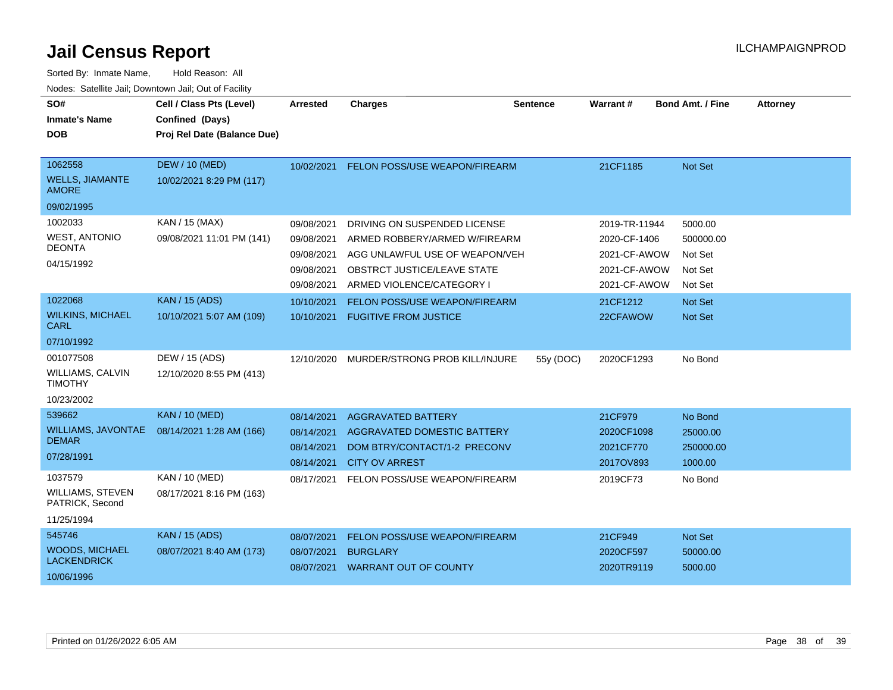| SO#<br><b>Inmate's Name</b><br><b>DOB</b>                            | Cell / Class Pts (Level)<br>Confined (Days)<br>Proj Rel Date (Balance Due) | Arrested                                                           | <b>Charges</b>                                                                                                                                                     | <b>Sentence</b> | Warrant#                                                                      | <b>Bond Amt. / Fine</b>                               | <b>Attorney</b> |
|----------------------------------------------------------------------|----------------------------------------------------------------------------|--------------------------------------------------------------------|--------------------------------------------------------------------------------------------------------------------------------------------------------------------|-----------------|-------------------------------------------------------------------------------|-------------------------------------------------------|-----------------|
| 1062558<br><b>WELLS, JIAMANTE</b><br><b>AMORE</b>                    | <b>DEW / 10 (MED)</b><br>10/02/2021 8:29 PM (117)                          | 10/02/2021                                                         | FELON POSS/USE WEAPON/FIREARM                                                                                                                                      |                 | 21CF1185                                                                      | Not Set                                               |                 |
| 09/02/1995                                                           |                                                                            |                                                                    |                                                                                                                                                                    |                 |                                                                               |                                                       |                 |
| 1002033<br><b>WEST, ANTONIO</b><br><b>DEONTA</b><br>04/15/1992       | KAN / 15 (MAX)<br>09/08/2021 11:01 PM (141)                                | 09/08/2021<br>09/08/2021<br>09/08/2021<br>09/08/2021<br>09/08/2021 | DRIVING ON SUSPENDED LICENSE<br>ARMED ROBBERY/ARMED W/FIREARM<br>AGG UNLAWFUL USE OF WEAPON/VEH<br><b>OBSTRCT JUSTICE/LEAVE STATE</b><br>ARMED VIOLENCE/CATEGORY I |                 | 2019-TR-11944<br>2020-CF-1406<br>2021-CF-AWOW<br>2021-CF-AWOW<br>2021-CF-AWOW | 5000.00<br>500000.00<br>Not Set<br>Not Set<br>Not Set |                 |
| 1022068                                                              | <b>KAN / 15 (ADS)</b>                                                      | 10/10/2021                                                         | <b>FELON POSS/USE WEAPON/FIREARM</b>                                                                                                                               |                 | 21CF1212                                                                      | <b>Not Set</b>                                        |                 |
| <b>WILKINS, MICHAEL</b><br><b>CARL</b>                               | 10/10/2021 5:07 AM (109)                                                   | 10/10/2021                                                         | <b>FUGITIVE FROM JUSTICE</b>                                                                                                                                       |                 | 22CFAWOW                                                                      | Not Set                                               |                 |
| 07/10/1992                                                           |                                                                            |                                                                    |                                                                                                                                                                    |                 |                                                                               |                                                       |                 |
| 001077508<br><b>WILLIAMS, CALVIN</b><br><b>TIMOTHY</b><br>10/23/2002 | DEW / 15 (ADS)<br>12/10/2020 8:55 PM (413)                                 | 12/10/2020                                                         | MURDER/STRONG PROB KILL/INJURE                                                                                                                                     | 55y (DOC)       | 2020CF1293                                                                    | No Bond                                               |                 |
| 539662                                                               | <b>KAN / 10 (MED)</b>                                                      | 08/14/2021                                                         | <b>AGGRAVATED BATTERY</b>                                                                                                                                          |                 | 21CF979                                                                       | No Bond                                               |                 |
| <b>WILLIAMS, JAVONTAE</b><br><b>DEMAR</b><br>07/28/1991              | 08/14/2021 1:28 AM (166)                                                   | 08/14/2021<br>08/14/2021<br>08/14/2021                             | AGGRAVATED DOMESTIC BATTERY<br>DOM BTRY/CONTACT/1-2 PRECONV<br><b>CITY OV ARREST</b>                                                                               |                 | 2020CF1098<br>2021CF770<br>2017OV893                                          | 25000.00<br>250000.00<br>1000.00                      |                 |
| 1037579<br><b>WILLIAMS, STEVEN</b><br>PATRICK, Second<br>11/25/1994  | <b>KAN / 10 (MED)</b><br>08/17/2021 8:16 PM (163)                          | 08/17/2021                                                         | FELON POSS/USE WEAPON/FIREARM                                                                                                                                      |                 | 2019CF73                                                                      | No Bond                                               |                 |
| 545746                                                               | <b>KAN / 15 (ADS)</b>                                                      | 08/07/2021                                                         | FELON POSS/USE WEAPON/FIREARM                                                                                                                                      |                 | 21CF949                                                                       | Not Set                                               |                 |
| <b>WOODS, MICHAEL</b><br><b>LACKENDRICK</b><br>10/06/1996            | 08/07/2021 8:40 AM (173)                                                   | 08/07/2021<br>08/07/2021                                           | <b>BURGLARY</b><br><b>WARRANT OUT OF COUNTY</b>                                                                                                                    |                 | 2020CF597<br>2020TR9119                                                       | 50000.00<br>5000.00                                   |                 |